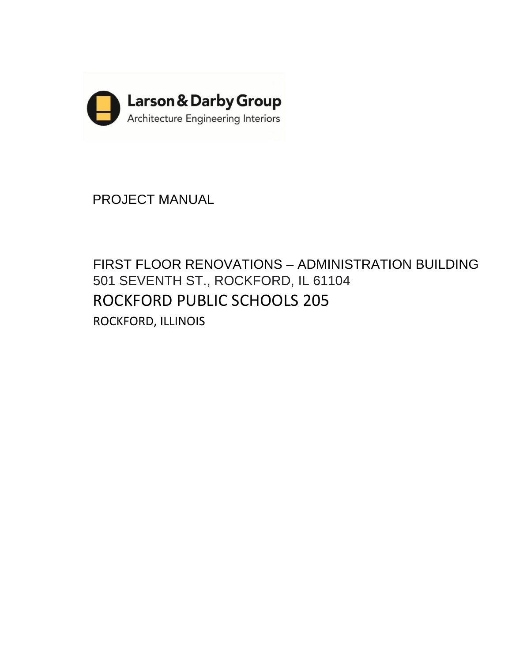

PROJECT MANUAL

FIRST FLOOR RENOVATIONS – ADMINISTRATION BUILDING 501 SEVENTH ST., ROCKFORD, IL 61104 ROCKFORD PUBLIC SCHOOLS 205 ROCKFORD, ILLINOIS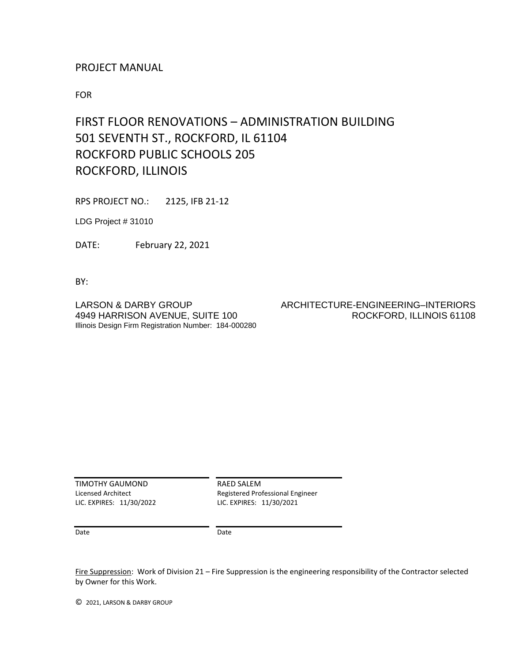## PROJECT MANUAL

FOR

# FIRST FLOOR RENOVATIONS – ADMINISTRATION BUILDING 501 SEVENTH ST., ROCKFORD, IL 61104 ROCKFORD PUBLIC SCHOOLS 205 ROCKFORD, ILLINOIS

RPS PROJECT NO.: 2125, IFB 21-12

LDG Project # 31010

DATE: February 22, 2021

BY:

Illinois Design Firm Registration Number: 184-000280

## LARSON & DARBY GROUP ARCHITECTURE-ENGINEERING–INTERIORS 4949 HARRISON AVENUE, SUITE 100 ROCKFORD, ILLINOIS 61108

TIMOTHY GAUMOND Licensed Architect LIC. EXPIRES: 11/30/2022 RAED SALEM Registered Professional Engineer LIC. EXPIRES: 11/30/2021

Date

Date

Fire Suppression: Work of Division 21 – Fire Suppression is the engineering responsibility of the Contractor selected by Owner for this Work.

© 2021, LARSON & DARBY GROUP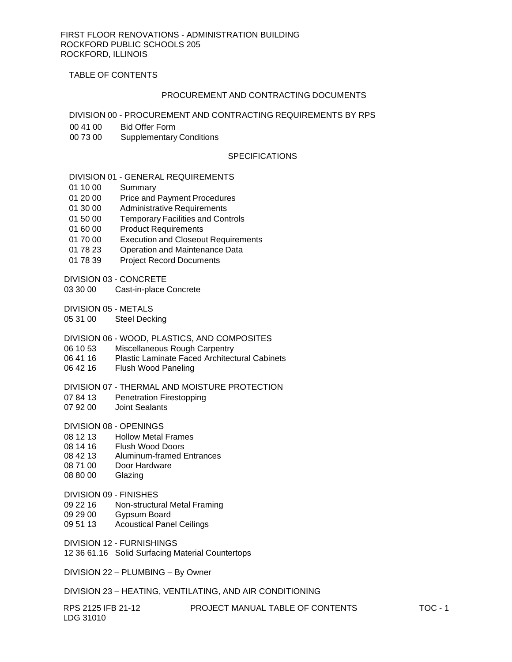TABLE OF CONTENTS

#### PROCUREMENT AND CONTRACTING DOCUMENTS

DIVISION 00 - PROCUREMENT AND CONTRACTING REQUIREMENTS BY RPS

- 00 41 00 Bid Offer Form
- 00 73 00 Supplementary Conditions

## **SPECIFICATIONS**

#### DIVISION 01 - GENERAL REQUIREMENTS

- 01 10 00 Summary
- 01 20 00 Price and Payment Procedures
- 01 30 00 Administrative Requirements
- 01 50 00 Temporary Facilities and Controls
- 01 60 00 Product Requirements
- 01 70 00 Execution and Closeout Requirements
- 01 78 23 Operation and Maintenance Data
- 01 78 39 Project Record Documents
- DIVISION 03 CONCRETE
- 03 30 00 Cast-in-place Concrete

DIVISION 05 - METALS

05 31 00 Steel Decking

#### DIVISION 06 - WOOD, PLASTICS, AND COMPOSITES

- 06 10 53 Miscellaneous Rough Carpentry<br>06 41 16 Plastic Laminate Faced Architect
- Plastic Laminate Faced Architectural Cabinets
- 06 42 16 Flush Wood Paneling

#### DIVISION 07 - THERMAL AND MOISTURE PROTECTION

- 07 84 13 Penetration Firestopping
- 07 92 00 Joint Sealants

DIVISION 08 - OPENINGS

- 08 12 13 Hollow Metal Frames
- 08 14 16 Flush Wood Doors
- 08 42 13 Aluminum-framed Entrances
- 08 71 00 Door Hardware
- 08 80 00 Glazing
- DIVISION 09 FINISHES
- 09 22 16 Non-structural Metal Framing
- 09 29 00 Gypsum Board
- 09 51 13 Acoustical Panel Ceilings

DIVISION 12 - FURNISHINGS

12 36 61.16 Solid Surfacing Material Countertops

DIVISION 22 – PLUMBING – By Owner

DIVISION 23 – HEATING, VENTILATING, AND AIR CONDITIONING

| RPS 2125 IFB 21-12 | PROJECT MANUAL TABLE OF CONTENTS | <b>TOC - 1</b> |
|--------------------|----------------------------------|----------------|
| LDG 31010          |                                  |                |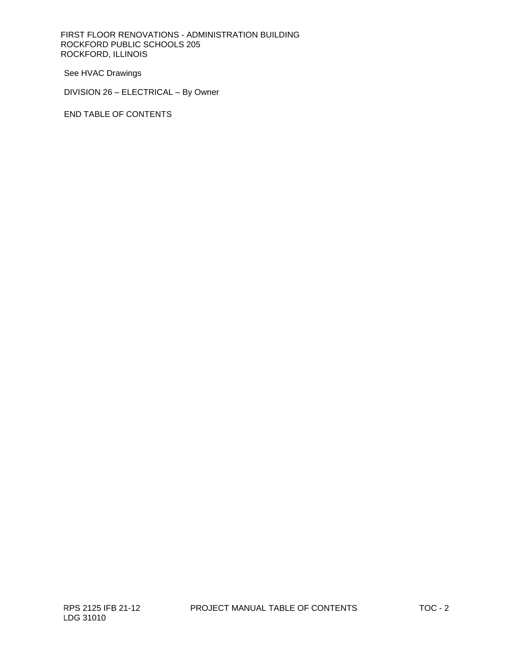FIRST FLOOR RENOVATIONS - ADMINISTRATION BUILDING ROCKFORD PUBLIC SCHOOLS 205 ROCKFORD, ILLINOIS

See HVAC Drawings

DIVISION 26 – ELECTRICAL – By Owner

END TABLE OF CONTENTS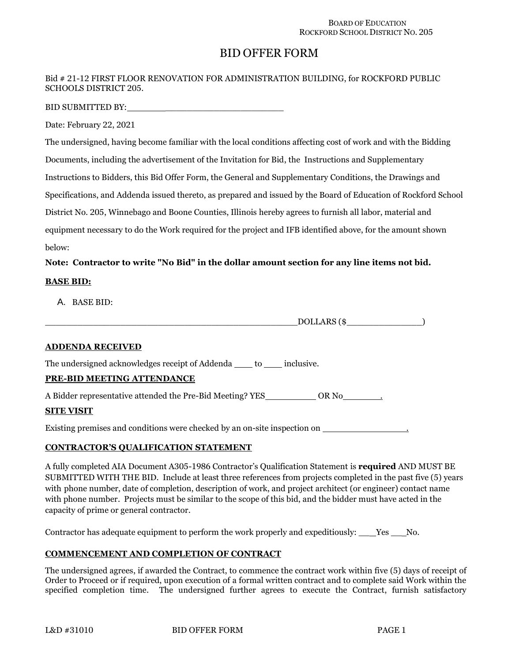## BID OFFER FORM

## Bid # 21-12 FIRST FLOOR RENOVATION FOR ADMINISTRATION BUILDING, for ROCKFORD PUBLIC SCHOOLS DISTRICT 205.

BID SUBMITTED BY: \_\_\_\_\_\_\_\_\_\_\_\_\_\_\_\_\_\_\_\_\_\_

Date: February 22, 2021

The undersigned, having become familiar with the local conditions affecting cost of work and with the Bidding Documents, including the advertisement of the Invitation for Bid, the Instructions and Supplementary Instructions to Bidders, this Bid Offer Form, the General and Supplementary Conditions, the Drawings and Specifications, and Addenda issued thereto, as prepared and issued by the Board of Education of Rockford School District No. 205, Winnebago and Boone Counties, Illinois hereby agrees to furnish all labor, material and equipment necessary to do the Work required for the project and IFB identified above, for the amount shown below:

## **Note: Contractor to write "No Bid" in the dollar amount section for any line items not bid.**

## **BASE BID:**

A. BASE BID:

DOLLARS (\$

#### **ADDENDA RECEIVED**

The undersigned acknowledges receipt of Addenda \_\_\_\_ to \_\_\_\_ inclusive.

## **PRE-BID MEETING ATTENDANCE**

A Bidder representative attended the Pre-Bid Meeting? YES\_\_\_\_\_\_\_\_\_\_\_\_\_ OR No\_\_\_\_\_\_\_\_\_\_

#### **SITE VISIT**

Existing premises and conditions were checked by an on-site inspection on .

#### **CONTRACTOR'S QUALIFICATION STATEMENT**

A fully completed AIA Document A305-1986 Contractor's Qualification Statement is **required** AND MUST BE SUBMITTED WITH THE BID. Include at least three references from projects completed in the past five (5) years with phone number, date of completion, description of work, and project architect (or engineer) contact name with phone number. Projects must be similar to the scope of this bid, and the bidder must have acted in the capacity of prime or general contractor.

Contractor has adequate equipment to perform the work properly and expeditiously: Yes No.

## **COMMENCEMENT AND COMPLETION OF CONTRACT**

The undersigned agrees, if awarded the Contract, to commence the contract work within five (5) days of receipt of Order to Proceed or if required, upon execution of a formal written contract and to complete said Work within the specified completion time. The undersigned further agrees to execute the Contract, furnish satisfactory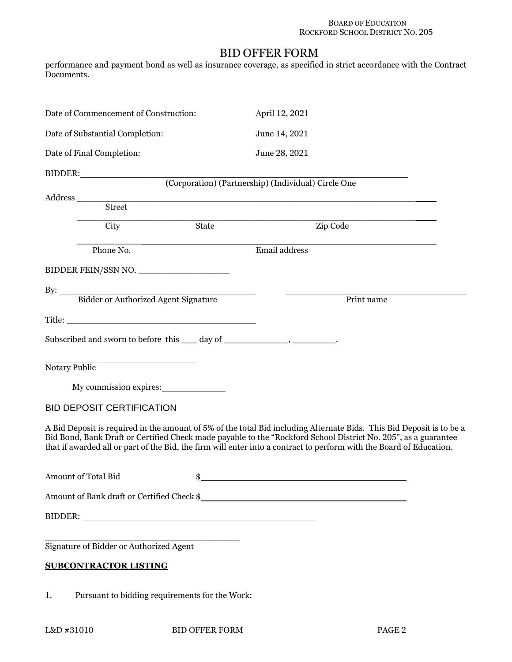## BID OFFER FORM

performance and payment bond as well as insurance coverage, as specified in strict accordance with the Contract Documents.

| Date of Commencement of Construction:                                                                               | April 12, 2021                                                                                                                                                                                                                         |
|---------------------------------------------------------------------------------------------------------------------|----------------------------------------------------------------------------------------------------------------------------------------------------------------------------------------------------------------------------------------|
| Date of Substantial Completion:                                                                                     | June 14, 2021                                                                                                                                                                                                                          |
| Date of Final Completion:                                                                                           | June 28, 2021                                                                                                                                                                                                                          |
|                                                                                                                     |                                                                                                                                                                                                                                        |
|                                                                                                                     | (Corporation) (Partnership) (Individual) Circle One                                                                                                                                                                                    |
| Street                                                                                                              |                                                                                                                                                                                                                                        |
| City<br>State                                                                                                       | Zip Code                                                                                                                                                                                                                               |
| Phone No.                                                                                                           | Email address                                                                                                                                                                                                                          |
| BIDDER FEIN/SSN NO.                                                                                                 |                                                                                                                                                                                                                                        |
|                                                                                                                     |                                                                                                                                                                                                                                        |
| By: Bidder or Authorized Agent Signature                                                                            | Print name                                                                                                                                                                                                                             |
|                                                                                                                     |                                                                                                                                                                                                                                        |
| Subscribed and sworn to before this ____ day of ________________________________.                                   |                                                                                                                                                                                                                                        |
| Notary Public                                                                                                       |                                                                                                                                                                                                                                        |
| My commission expires:                                                                                              |                                                                                                                                                                                                                                        |
| <b>BID DEPOSIT CERTIFICATION</b>                                                                                    |                                                                                                                                                                                                                                        |
| that if awarded all or part of the Bid, the firm will enter into a contract to perform with the Board of Education. | A Bid Deposit is required in the amount of 5% of the total Bid including Alternate Bids. This Bid Deposit is to be a<br>Bid Bond, Bank Draft or Certified Check made payable to the "Rockford School District No. 205", as a guarantee |
| Amount of Total Bid                                                                                                 | the control of the control of the control of the control of the control of the control of the control of the control of the control of the control of the control of the control of the control of the control of the control          |
| Amount of Bank draft or Certified Check \$                                                                          |                                                                                                                                                                                                                                        |
|                                                                                                                     |                                                                                                                                                                                                                                        |
| Signature of Bidder or Authorized Agent<br><b>SUBCONTRACTOR LISTING</b>                                             |                                                                                                                                                                                                                                        |
| Pursuant to bidding requirements for the Work:<br>1.                                                                |                                                                                                                                                                                                                                        |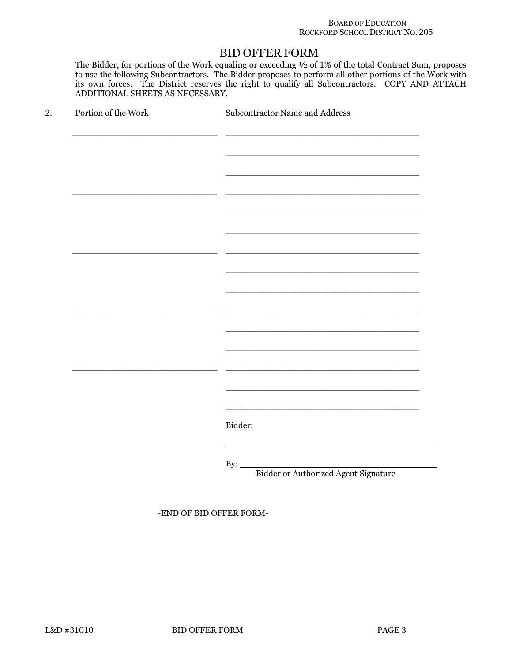#### BOARD OF EDUCATION ROCKFORD SCHOOL DISTRICT NO. 205

## BID OFFER FORM

The Bidder, for portions of the Work equaling or exceeding ½ of 1% of the total Contract Sum, proposes to use the following Subcontractors. The Bidder proposes to perform all other portions of the Work with Its own forces. The District reserves the right to qualify all Subcontractors. COPY AND ATTACH ADDITIONAL SHEETS AS NECESSARY.

| Portion of the Work | <b>Subcontractor Name and Address</b>       |
|---------------------|---------------------------------------------|
|                     |                                             |
|                     |                                             |
|                     |                                             |
|                     |                                             |
|                     |                                             |
|                     |                                             |
|                     |                                             |
|                     |                                             |
|                     |                                             |
|                     |                                             |
|                     |                                             |
|                     |                                             |
|                     |                                             |
|                     |                                             |
|                     |                                             |
|                     |                                             |
|                     |                                             |
|                     |                                             |
|                     |                                             |
|                     | Bidder:                                     |
|                     |                                             |
|                     | By: $\_\_$                                  |
|                     | <b>Bidder or Authorized Agent Signature</b> |

-END OF BID OFFER FORM-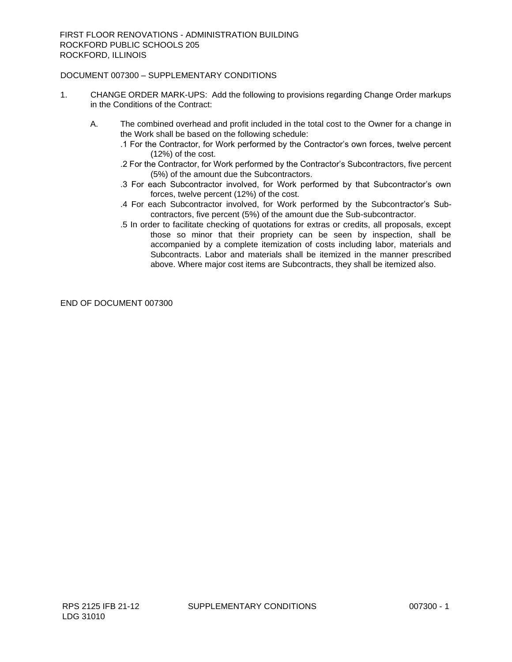## DOCUMENT 007300 – SUPPLEMENTARY CONDITIONS

- 1. CHANGE ORDER MARK-UPS: Add the following to provisions regarding Change Order markups in the Conditions of the Contract:
	- A. The combined overhead and profit included in the total cost to the Owner for a change in the Work shall be based on the following schedule:
		- .1 For the Contractor, for Work performed by the Contractor's own forces, twelve percent (12%) of the cost.
		- .2 For the Contractor, for Work performed by the Contractor's Subcontractors, five percent (5%) of the amount due the Subcontractors.
		- .3 For each Subcontractor involved, for Work performed by that Subcontractor's own forces, twelve percent (12%) of the cost.
		- .4 For each Subcontractor involved, for Work performed by the Subcontractor's Subcontractors, five percent (5%) of the amount due the Sub-subcontractor.
		- .5 In order to facilitate checking of quotations for extras or credits, all proposals, except those so minor that their propriety can be seen by inspection, shall be accompanied by a complete itemization of costs including labor, materials and Subcontracts. Labor and materials shall be itemized in the manner prescribed above. Where major cost items are Subcontracts, they shall be itemized also.

END OF DOCUMENT 007300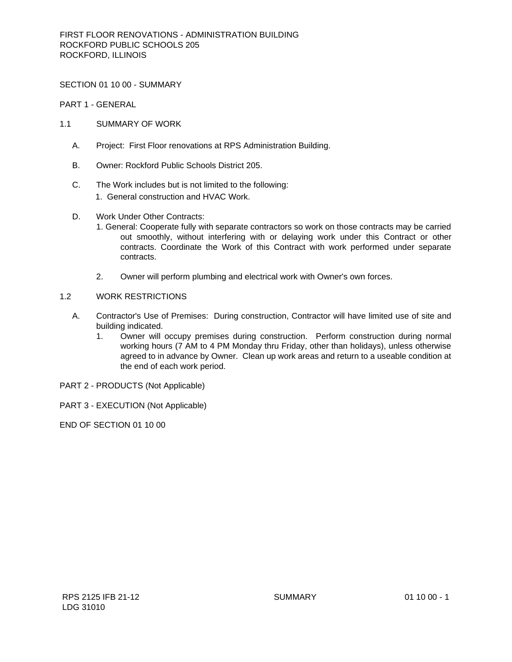SECTION 01 10 00 - SUMMARY

PART 1 - GENERAL

- 1.1 SUMMARY OF WORK
	- A. Project: First Floor renovations at RPS Administration Building.
	- B. Owner: Rockford Public Schools District 205.
	- C. The Work includes but is not limited to the following: 1. General construction and HVAC Work.
	- D. Work Under Other Contracts:
		- 1. General: Cooperate fully with separate contractors so work on those contracts may be carried out smoothly, without interfering with or delaying work under this Contract or other contracts. Coordinate the Work of this Contract with work performed under separate contracts.
		- 2. Owner will perform plumbing and electrical work with Owner's own forces.

## 1.2 WORK RESTRICTIONS

- A. Contractor's Use of Premises: During construction, Contractor will have limited use of site and building indicated.
	- 1. Owner will occupy premises during construction. Perform construction during normal working hours (7 AM to 4 PM Monday thru Friday, other than holidays), unless otherwise agreed to in advance by Owner. Clean up work areas and return to a useable condition at the end of each work period.
- PART 2 PRODUCTS (Not Applicable)
- PART 3 EXECUTION (Not Applicable)

END OF SECTION 01 10 00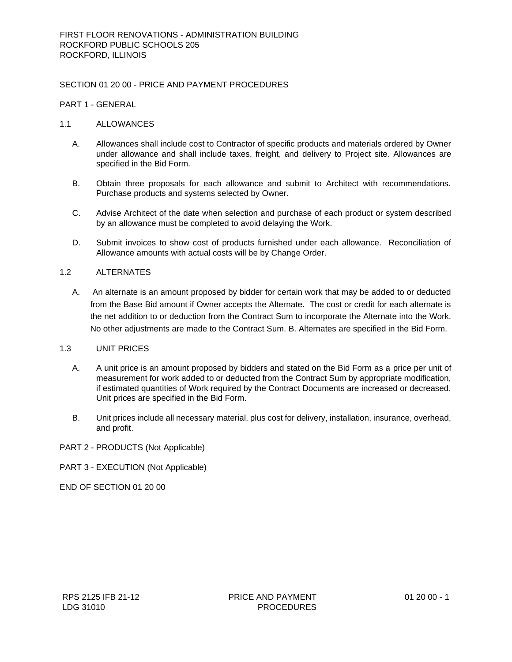## SECTION 01 20 00 - PRICE AND PAYMENT PROCEDURES

#### PART 1 - GENERAL

#### 1.1 ALLOWANCES

- A. Allowances shall include cost to Contractor of specific products and materials ordered by Owner under allowance and shall include taxes, freight, and delivery to Project site. Allowances are specified in the Bid Form.
- B. Obtain three proposals for each allowance and submit to Architect with recommendations. Purchase products and systems selected by Owner.
- C. Advise Architect of the date when selection and purchase of each product or system described by an allowance must be completed to avoid delaying the Work.
- D. Submit invoices to show cost of products furnished under each allowance. Reconciliation of Allowance amounts with actual costs will be by Change Order.

## 1.2 ALTERNATES

A. An alternate is an amount proposed by bidder for certain work that may be added to or deducted from the Base Bid amount if Owner accepts the Alternate. The cost or credit for each alternate is the net addition to or deduction from the Contract Sum to incorporate the Alternate into the Work. No other adjustments are made to the Contract Sum. B. Alternates are specified in the Bid Form.

## 1.3 UNIT PRICES

- A. A unit price is an amount proposed by bidders and stated on the Bid Form as a price per unit of measurement for work added to or deducted from the Contract Sum by appropriate modification, if estimated quantities of Work required by the Contract Documents are increased or decreased. Unit prices are specified in the Bid Form.
- B. Unit prices include all necessary material, plus cost for delivery, installation, insurance, overhead, and profit.

#### PART 2 - PRODUCTS (Not Applicable)

#### PART 3 - EXECUTION (Not Applicable)

END OF SECTION 01 20 00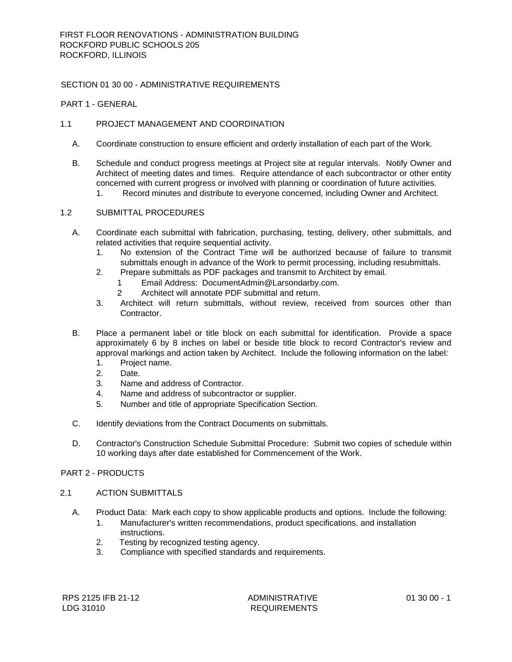## SECTION 01 30 00 - ADMINISTRATIVE REQUIREMENTS

#### PART 1 - GENERAL

## 1.1 PROJECT MANAGEMENT AND COORDINATION

- A. Coordinate construction to ensure efficient and orderly installation of each part of the Work.
- B. Schedule and conduct progress meetings at Project site at regular intervals. Notify Owner and Architect of meeting dates and times. Require attendance of each subcontractor or other entity concerned with current progress or involved with planning or coordination of future activities.
	- 1. Record minutes and distribute to everyone concerned, including Owner and Architect.

## 1.2 SUBMITTAL PROCEDURES

- A. Coordinate each submittal with fabrication, purchasing, testing, delivery, other submittals, and related activities that require sequential activity.
	- 1. No extension of the Contract Time will be authorized because of failure to transmit submittals enough in advance of the Work to permit processing, including resubmittals.
	- 2. Prepare submittals as PDF packages and transmit to Architect by email.
		- 1 Email Address: DocumentAdmin@Larsondarby.com.
		- 2 Architect will annotate PDF submittal and return.
	- 3. Architect will return submittals, without review, received from sources other than Contractor.
- B. Place a permanent label or title block on each submittal for identification. Provide a space approximately 6 by 8 inches on label or beside title block to record Contractor's review and approval markings and action taken by Architect. Include the following information on the label:
	- 1. Project name.
	- 2. Date.
	- 3. Name and address of Contractor.
	- 4. Name and address of subcontractor or supplier.
	- 5. Number and title of appropriate Specification Section.
- C. Identify deviations from the Contract Documents on submittals.
- D. Contractor's Construction Schedule Submittal Procedure: Submit two copies of schedule within 10 working days after date established for Commencement of the Work.

#### PART 2 - PRODUCTS

## 2.1 ACTION SUBMITTALS

- A. Product Data: Mark each copy to show applicable products and options. Include the following:
	- 1. Manufacturer's written recommendations, product specifications, and installation instructions.
	- 2. Testing by recognized testing agency.
	- 3. Compliance with specified standards and requirements.

ADMINISTRATIVE REQUIREMENTS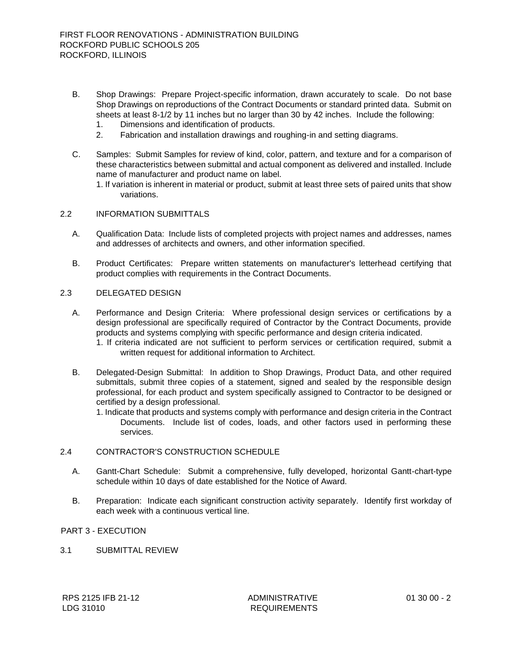- B. Shop Drawings: Prepare Project-specific information, drawn accurately to scale. Do not base Shop Drawings on reproductions of the Contract Documents or standard printed data. Submit on sheets at least 8-1/2 by 11 inches but no larger than 30 by 42 inches. Include the following:
	- 1. Dimensions and identification of products.
	- 2. Fabrication and installation drawings and roughing-in and setting diagrams.
- C. Samples: Submit Samples for review of kind, color, pattern, and texture and for a comparison of these characteristics between submittal and actual component as delivered and installed. Include name of manufacturer and product name on label.

1. If variation is inherent in material or product, submit at least three sets of paired units that show variations.

#### 2.2 INFORMATION SUBMITTALS

- A. Qualification Data: Include lists of completed projects with project names and addresses, names and addresses of architects and owners, and other information specified.
- B. Product Certificates: Prepare written statements on manufacturer's letterhead certifying that product complies with requirements in the Contract Documents.

#### 2.3 DELEGATED DESIGN

- A. Performance and Design Criteria: Where professional design services or certifications by a design professional are specifically required of Contractor by the Contract Documents, provide products and systems complying with specific performance and design criteria indicated.
	- 1. If criteria indicated are not sufficient to perform services or certification required, submit a written request for additional information to Architect.
- B. Delegated-Design Submittal: In addition to Shop Drawings, Product Data, and other required submittals, submit three copies of a statement, signed and sealed by the responsible design professional, for each product and system specifically assigned to Contractor to be designed or certified by a design professional.
	- 1. Indicate that products and systems comply with performance and design criteria in the Contract Documents. Include list of codes, loads, and other factors used in performing these services.

## 2.4 CONTRACTOR'S CONSTRUCTION SCHEDULE

- A. Gantt-Chart Schedule: Submit a comprehensive, fully developed, horizontal Gantt-chart-type schedule within 10 days of date established for the Notice of Award.
- B. Preparation: Indicate each significant construction activity separately. Identify first workday of each week with a continuous vertical line.

## PART 3 - EXECUTION

3.1 SUBMITTAL REVIEW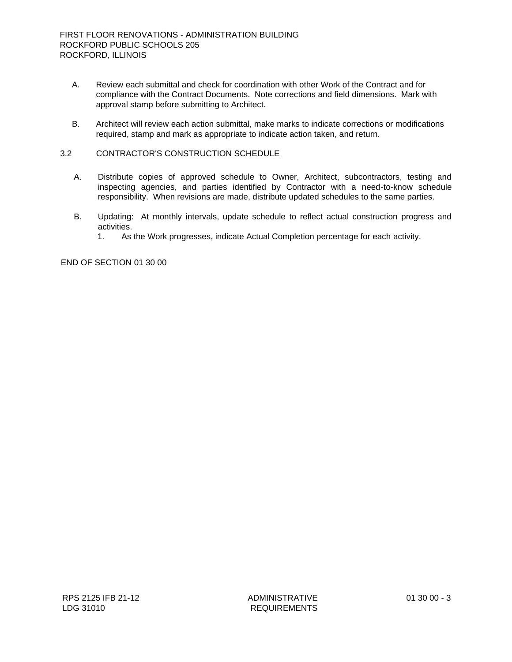- A. Review each submittal and check for coordination with other Work of the Contract and for compliance with the Contract Documents. Note corrections and field dimensions. Mark with approval stamp before submitting to Architect.
- B. Architect will review each action submittal, make marks to indicate corrections or modifications required, stamp and mark as appropriate to indicate action taken, and return.

## 3.2 CONTRACTOR'S CONSTRUCTION SCHEDULE

- A. Distribute copies of approved schedule to Owner, Architect, subcontractors, testing and inspecting agencies, and parties identified by Contractor with a need-to-know schedule responsibility. When revisions are made, distribute updated schedules to the same parties.
- B. Updating: At monthly intervals, update schedule to reflect actual construction progress and activities.
	- 1. As the Work progresses, indicate Actual Completion percentage for each activity.

END OF SECTION 01 30 00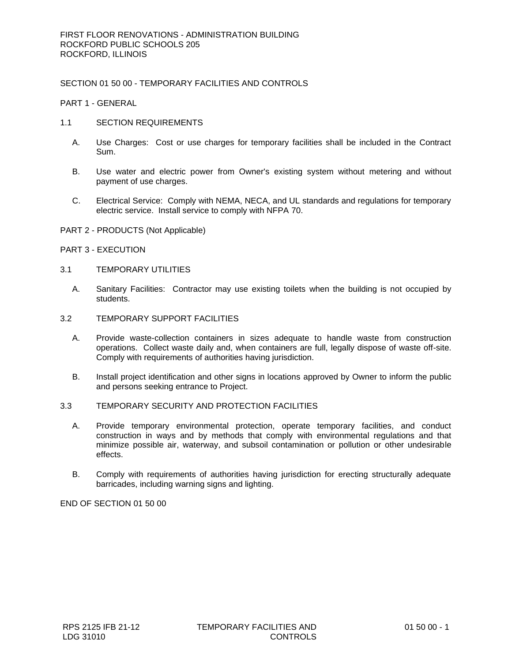## SECTION 01 50 00 - TEMPORARY FACILITIES AND CONTROLS

PART 1 - GENERAL

- 1.1 SECTION REQUIREMENTS
	- A. Use Charges: Cost or use charges for temporary facilities shall be included in the Contract Sum.
	- B. Use water and electric power from Owner's existing system without metering and without payment of use charges.
	- C. Electrical Service: Comply with NEMA, NECA, and UL standards and regulations for temporary electric service. Install service to comply with NFPA 70.
- PART 2 PRODUCTS (Not Applicable)
- PART 3 EXECUTION

#### 3.1 TEMPORARY UTILITIES

- A. Sanitary Facilities: Contractor may use existing toilets when the building is not occupied by students.
- 3.2 TEMPORARY SUPPORT FACILITIES
	- A. Provide waste-collection containers in sizes adequate to handle waste from construction operations. Collect waste daily and, when containers are full, legally dispose of waste off-site. Comply with requirements of authorities having jurisdiction.
	- B. Install project identification and other signs in locations approved by Owner to inform the public and persons seeking entrance to Project.

## 3.3 TEMPORARY SECURITY AND PROTECTION FACILITIES

- A. Provide temporary environmental protection, operate temporary facilities, and conduct construction in ways and by methods that comply with environmental regulations and that minimize possible air, waterway, and subsoil contamination or pollution or other undesirable effects.
- B. Comply with requirements of authorities having jurisdiction for erecting structurally adequate barricades, including warning signs and lighting.

END OF SECTION 01 50 00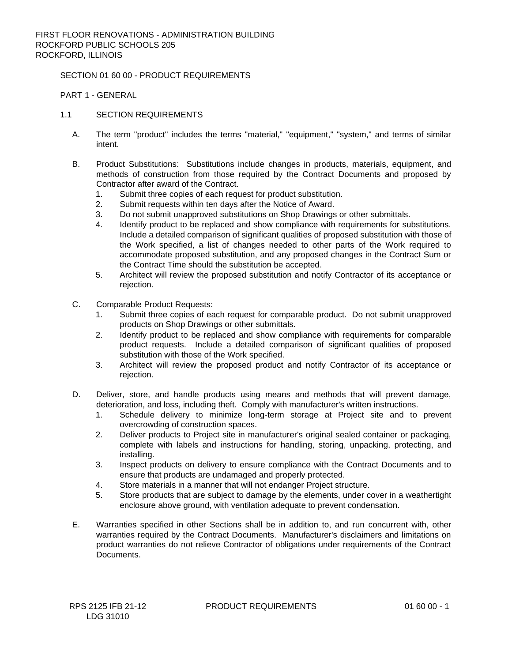#### SECTION 01 60 00 - PRODUCT REQUIREMENTS

PART 1 - GENERAL

## 1.1 SECTION REQUIREMENTS

- A. The term "product" includes the terms "material," "equipment," "system," and terms of similar intent.
- B. Product Substitutions: Substitutions include changes in products, materials, equipment, and methods of construction from those required by the Contract Documents and proposed by Contractor after award of the Contract.
	- 1. Submit three copies of each request for product substitution.
	- 2. Submit requests within ten days after the Notice of Award.
	- 3. Do not submit unapproved substitutions on Shop Drawings or other submittals.
	- 4. Identify product to be replaced and show compliance with requirements for substitutions. Include a detailed comparison of significant qualities of proposed substitution with those of the Work specified, a list of changes needed to other parts of the Work required to accommodate proposed substitution, and any proposed changes in the Contract Sum or the Contract Time should the substitution be accepted.
	- 5. Architect will review the proposed substitution and notify Contractor of its acceptance or rejection.
- C. Comparable Product Requests:
	- 1. Submit three copies of each request for comparable product. Do not submit unapproved products on Shop Drawings or other submittals.
	- 2. Identify product to be replaced and show compliance with requirements for comparable product requests. Include a detailed comparison of significant qualities of proposed substitution with those of the Work specified.
	- 3. Architect will review the proposed product and notify Contractor of its acceptance or rejection.
- D. Deliver, store, and handle products using means and methods that will prevent damage, deterioration, and loss, including theft. Comply with manufacturer's written instructions.
	- 1. Schedule delivery to minimize long-term storage at Project site and to prevent overcrowding of construction spaces.
	- 2. Deliver products to Project site in manufacturer's original sealed container or packaging, complete with labels and instructions for handling, storing, unpacking, protecting, and installing.
	- 3. Inspect products on delivery to ensure compliance with the Contract Documents and to ensure that products are undamaged and properly protected.
	- 4. Store materials in a manner that will not endanger Project structure.
	- 5. Store products that are subject to damage by the elements, under cover in a weathertight enclosure above ground, with ventilation adequate to prevent condensation.
- E. Warranties specified in other Sections shall be in addition to, and run concurrent with, other warranties required by the Contract Documents. Manufacturer's disclaimers and limitations on product warranties do not relieve Contractor of obligations under requirements of the Contract **Documents**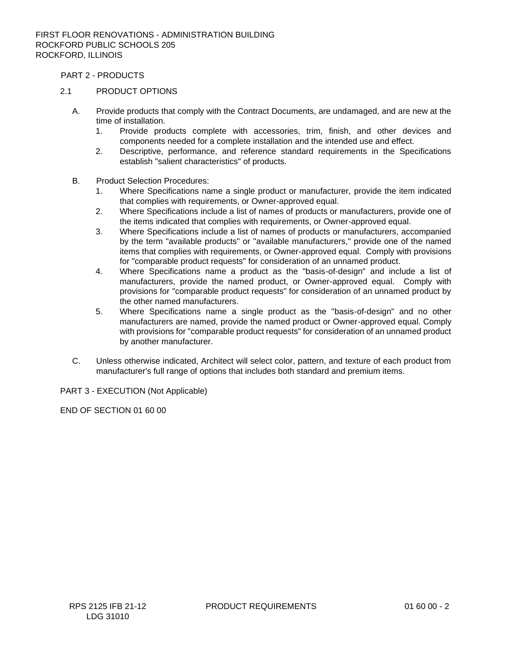PART 2 - PRODUCTS

## 2.1 PRODUCT OPTIONS

- A. Provide products that comply with the Contract Documents, are undamaged, and are new at the time of installation.
	- 1. Provide products complete with accessories, trim, finish, and other devices and components needed for a complete installation and the intended use and effect.
	- 2. Descriptive, performance, and reference standard requirements in the Specifications establish "salient characteristics" of products.
- B. Product Selection Procedures:
	- 1. Where Specifications name a single product or manufacturer, provide the item indicated that complies with requirements, or Owner-approved equal.
	- 2. Where Specifications include a list of names of products or manufacturers, provide one of the items indicated that complies with requirements, or Owner-approved equal.
	- 3. Where Specifications include a list of names of products or manufacturers, accompanied by the term "available products" or "available manufacturers," provide one of the named items that complies with requirements, or Owner-approved equal. Comply with provisions for "comparable product requests" for consideration of an unnamed product.
	- 4. Where Specifications name a product as the "basis-of-design" and include a list of manufacturers, provide the named product, or Owner-approved equal. Comply with provisions for "comparable product requests" for consideration of an unnamed product by the other named manufacturers.
	- 5. Where Specifications name a single product as the "basis-of-design" and no other manufacturers are named, provide the named product or Owner-approved equal. Comply with provisions for "comparable product requests" for consideration of an unnamed product by another manufacturer.
- C. Unless otherwise indicated, Architect will select color, pattern, and texture of each product from manufacturer's full range of options that includes both standard and premium items.

PART 3 - EXECUTION (Not Applicable)

END OF SECTION 01 60 00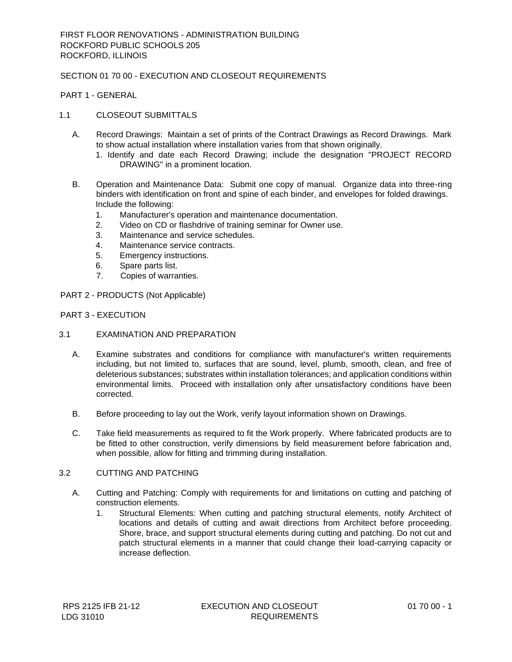## SECTION 01 70 00 - EXECUTION AND CLOSEOUT REQUIREMENTS

PART 1 - GENERAL

## 1.1 CLOSEOUT SUBMITTALS

- A. Record Drawings: Maintain a set of prints of the Contract Drawings as Record Drawings. Mark to show actual installation where installation varies from that shown originally.
	- 1. Identify and date each Record Drawing; include the designation "PROJECT RECORD DRAWING" in a prominent location.
- B. Operation and Maintenance Data: Submit one copy of manual. Organize data into three-ring binders with identification on front and spine of each binder, and envelopes for folded drawings. Include the following:
	- 1. Manufacturer's operation and maintenance documentation.
	- 2. Video on CD or flashdrive of training seminar for Owner use.
	- 3. Maintenance and service schedules.
	- 4. Maintenance service contracts.
	- 5. Emergency instructions.
	- 6. Spare parts list.
	- 7. Copies of warranties.
- PART 2 PRODUCTS (Not Applicable)

## PART 3 - EXECUTION

- 3.1 EXAMINATION AND PREPARATION
	- A. Examine substrates and conditions for compliance with manufacturer's written requirements including, but not limited to, surfaces that are sound, level, plumb, smooth, clean, and free of deleterious substances; substrates within installation tolerances; and application conditions within environmental limits. Proceed with installation only after unsatisfactory conditions have been corrected.
	- B. Before proceeding to lay out the Work, verify layout information shown on Drawings.
	- C. Take field measurements as required to fit the Work properly. Where fabricated products are to be fitted to other construction, verify dimensions by field measurement before fabrication and, when possible, allow for fitting and trimming during installation.

### 3.2 CUTTING AND PATCHING

- A. Cutting and Patching: Comply with requirements for and limitations on cutting and patching of construction elements.
	- 1. Structural Elements: When cutting and patching structural elements, notify Architect of locations and details of cutting and await directions from Architect before proceeding. Shore, brace, and support structural elements during cutting and patching. Do not cut and patch structural elements in a manner that could change their load-carrying capacity or increase deflection.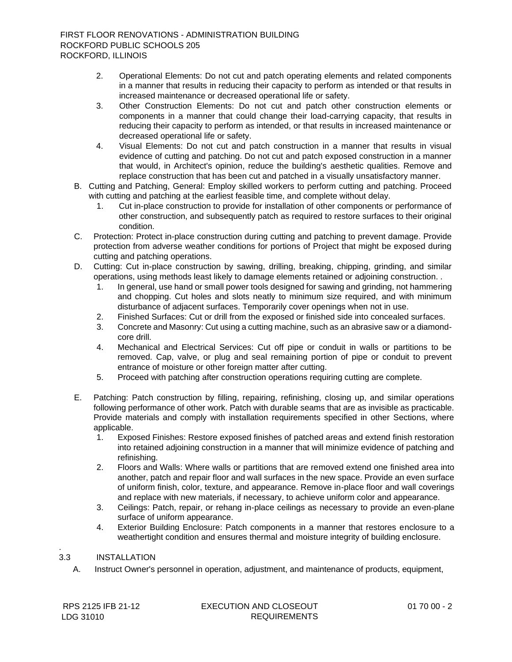- 2. Operational Elements: Do not cut and patch operating elements and related components in a manner that results in reducing their capacity to perform as intended or that results in increased maintenance or decreased operational life or safety.
- 3. Other Construction Elements: Do not cut and patch other construction elements or components in a manner that could change their load-carrying capacity, that results in reducing their capacity to perform as intended, or that results in increased maintenance or decreased operational life or safety.
- 4. Visual Elements: Do not cut and patch construction in a manner that results in visual evidence of cutting and patching. Do not cut and patch exposed construction in a manner that would, in Architect's opinion, reduce the building's aesthetic qualities. Remove and replace construction that has been cut and patched in a visually unsatisfactory manner.
- B. Cutting and Patching, General: Employ skilled workers to perform cutting and patching. Proceed with cutting and patching at the earliest feasible time, and complete without delay.
	- 1. Cut in-place construction to provide for installation of other components or performance of other construction, and subsequently patch as required to restore surfaces to their original condition.
- C. Protection: Protect in-place construction during cutting and patching to prevent damage. Provide protection from adverse weather conditions for portions of Project that might be exposed during cutting and patching operations.
- D. Cutting: Cut in-place construction by sawing, drilling, breaking, chipping, grinding, and similar operations, using methods least likely to damage elements retained or adjoining construction. .
	- 1. In general, use hand or small power tools designed for sawing and grinding, not hammering and chopping. Cut holes and slots neatly to minimum size required, and with minimum disturbance of adjacent surfaces. Temporarily cover openings when not in use.
	- 2. Finished Surfaces: Cut or drill from the exposed or finished side into concealed surfaces.
	- 3. Concrete and Masonry: Cut using a cutting machine, such as an abrasive saw or a diamondcore drill.
	- 4. Mechanical and Electrical Services: Cut off pipe or conduit in walls or partitions to be removed. Cap, valve, or plug and seal remaining portion of pipe or conduit to prevent entrance of moisture or other foreign matter after cutting.
	- 5. Proceed with patching after construction operations requiring cutting are complete.
- E. Patching: Patch construction by filling, repairing, refinishing, closing up, and similar operations following performance of other work. Patch with durable seams that are as invisible as practicable. Provide materials and comply with installation requirements specified in other Sections, where applicable.
	- 1. Exposed Finishes: Restore exposed finishes of patched areas and extend finish restoration into retained adjoining construction in a manner that will minimize evidence of patching and refinishing.
	- 2. Floors and Walls: Where walls or partitions that are removed extend one finished area into another, patch and repair floor and wall surfaces in the new space. Provide an even surface of uniform finish, color, texture, and appearance. Remove in-place floor and wall coverings and replace with new materials, if necessary, to achieve uniform color and appearance.
	- 3. Ceilings: Patch, repair, or rehang in-place ceilings as necessary to provide an even-plane surface of uniform appearance.
	- 4. Exterior Building Enclosure: Patch components in a manner that restores enclosure to a weathertight condition and ensures thermal and moisture integrity of building enclosure.

#### . 3.3 INSTALLATION

A. Instruct Owner's personnel in operation, adjustment, and maintenance of products, equipment,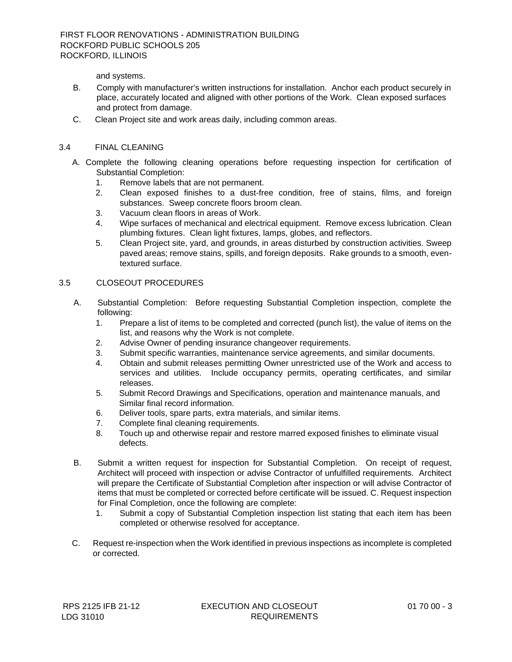and systems.

- B. Comply with manufacturer's written instructions for installation. Anchor each product securely in place, accurately located and aligned with other portions of the Work. Clean exposed surfaces and protect from damage.
- C. Clean Project site and work areas daily, including common areas.

## 3.4 FINAL CLEANING

- A. Complete the following cleaning operations before requesting inspection for certification of Substantial Completion:
	- 1. Remove labels that are not permanent.
	- 2. Clean exposed finishes to a dust-free condition, free of stains, films, and foreign substances. Sweep concrete floors broom clean.
	- 3. Vacuum clean floors in areas of Work.
	- 4. Wipe surfaces of mechanical and electrical equipment. Remove excess lubrication. Clean plumbing fixtures. Clean light fixtures, lamps, globes, and reflectors.
	- 5. Clean Project site, yard, and grounds, in areas disturbed by construction activities. Sweep paved areas; remove stains, spills, and foreign deposits. Rake grounds to a smooth, eventextured surface.

#### 3.5 CLOSEOUT PROCEDURES

- A. Substantial Completion: Before requesting Substantial Completion inspection, complete the following:
	- 1. Prepare a list of items to be completed and corrected (punch list), the value of items on the list, and reasons why the Work is not complete.
	- 2. Advise Owner of pending insurance changeover requirements.
	- 3. Submit specific warranties, maintenance service agreements, and similar documents.
	- 4. Obtain and submit releases permitting Owner unrestricted use of the Work and access to services and utilities. Include occupancy permits, operating certificates, and similar releases.
	- 5. Submit Record Drawings and Specifications, operation and maintenance manuals, and Similar final record information.
	- 6. Deliver tools, spare parts, extra materials, and similar items.
	- 7. Complete final cleaning requirements.
	- 8. Touch up and otherwise repair and restore marred exposed finishes to eliminate visual defects.
- B. Submit a written request for inspection for Substantial Completion. On receipt of request, Architect will proceed with inspection or advise Contractor of unfulfilled requirements. Architect will prepare the Certificate of Substantial Completion after inspection or will advise Contractor of items that must be completed or corrected before certificate will be issued. C. Request inspection for Final Completion, once the following are complete:
	- 1. Submit a copy of Substantial Completion inspection list stating that each item has been completed or otherwise resolved for acceptance.
- C. Request re-inspection when the Work identified in previous inspections as incomplete is completed or corrected.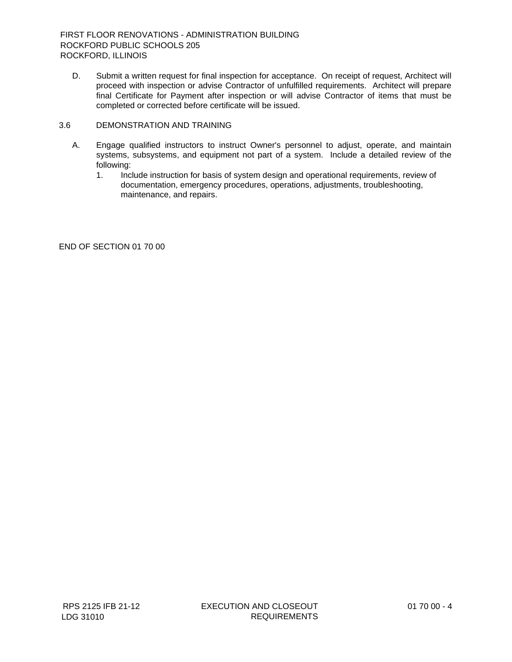- D. Submit a written request for final inspection for acceptance. On receipt of request, Architect will proceed with inspection or advise Contractor of unfulfilled requirements. Architect will prepare final Certificate for Payment after inspection or will advise Contractor of items that must be completed or corrected before certificate will be issued.
- 3.6 DEMONSTRATION AND TRAINING
	- A. Engage qualified instructors to instruct Owner's personnel to adjust, operate, and maintain systems, subsystems, and equipment not part of a system. Include a detailed review of the following:
		- 1. Include instruction for basis of system design and operational requirements, review of documentation, emergency procedures, operations, adjustments, troubleshooting, maintenance, and repairs.

END OF SECTION 01 70 00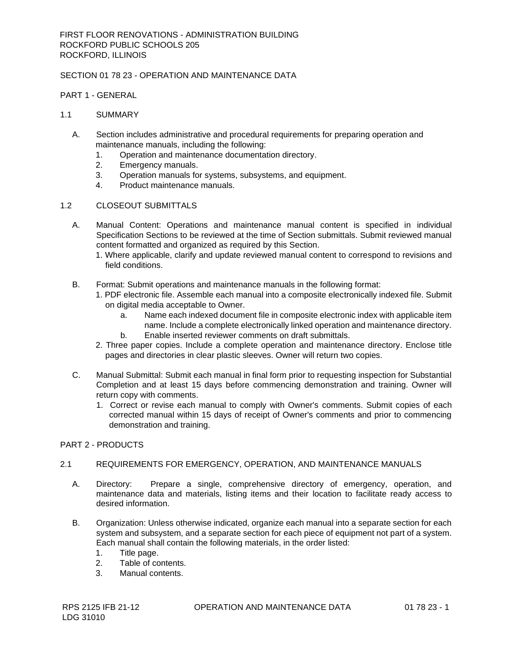## SECTION 01 78 23 - OPERATION AND MAINTENANCE DATA

#### PART 1 - GENERAL

### 1.1 SUMMARY

- A. Section includes administrative and procedural requirements for preparing operation and maintenance manuals, including the following:
	- 1. Operation and maintenance documentation directory.
	- 2. Emergency manuals.
	- 3. Operation manuals for systems, subsystems, and equipment.
	- 4. Product maintenance manuals.

### 1.2 CLOSEOUT SUBMITTALS

- A. Manual Content: Operations and maintenance manual content is specified in individual Specification Sections to be reviewed at the time of Section submittals. Submit reviewed manual content formatted and organized as required by this Section.
	- 1. Where applicable, clarify and update reviewed manual content to correspond to revisions and field conditions.
- B. Format: Submit operations and maintenance manuals in the following format:
	- 1. PDF electronic file. Assemble each manual into a composite electronically indexed file. Submit on digital media acceptable to Owner.
		- a. Name each indexed document file in composite electronic index with applicable item name. Include a complete electronically linked operation and maintenance directory.
		- b. Enable inserted reviewer comments on draft submittals.
	- 2. Three paper copies. Include a complete operation and maintenance directory. Enclose title pages and directories in clear plastic sleeves. Owner will return two copies.
- C. Manual Submittal: Submit each manual in final form prior to requesting inspection for Substantial Completion and at least 15 days before commencing demonstration and training. Owner will return copy with comments.
	- 1. Correct or revise each manual to comply with Owner's comments. Submit copies of each corrected manual within 15 days of receipt of Owner's comments and prior to commencing demonstration and training.

## PART 2 - PRODUCTS

## 2.1 REQUIREMENTS FOR EMERGENCY, OPERATION, AND MAINTENANCE MANUALS

- A. Directory: Prepare a single, comprehensive directory of emergency, operation, and maintenance data and materials, listing items and their location to facilitate ready access to desired information.
- B. Organization: Unless otherwise indicated, organize each manual into a separate section for each system and subsystem, and a separate section for each piece of equipment not part of a system. Each manual shall contain the following materials, in the order listed:
	- 1. Title page.
	- 2. Table of contents.
	- 3. Manual contents.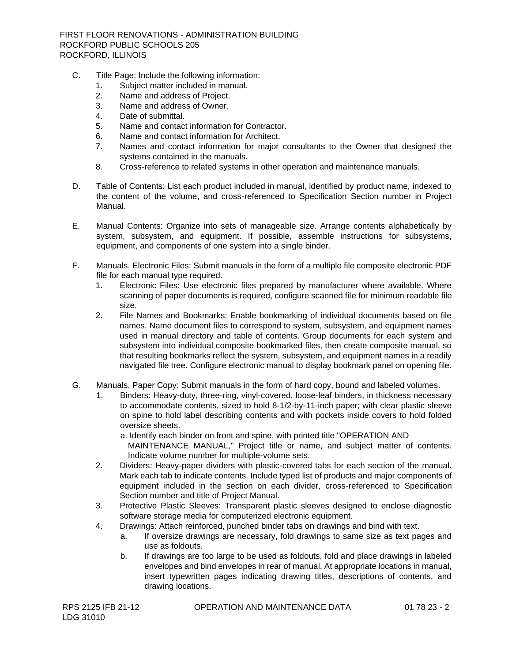FIRST FLOOR RENOVATIONS - ADMINISTRATION BUILDING ROCKFORD PUBLIC SCHOOLS 205 ROCKFORD, ILLINOIS

- C. Title Page: Include the following information:
	- 1. Subject matter included in manual.
	- 2. Name and address of Project.
	- 3. Name and address of Owner.
	- 4. Date of submittal.
	- 5. Name and contact information for Contractor.
	- 6. Name and contact information for Architect.
	- 7. Names and contact information for major consultants to the Owner that designed the systems contained in the manuals.
	- 8. Cross-reference to related systems in other operation and maintenance manuals.
- D. Table of Contents: List each product included in manual, identified by product name, indexed to the content of the volume, and cross-referenced to Specification Section number in Project Manual.
- E. Manual Contents: Organize into sets of manageable size. Arrange contents alphabetically by system, subsystem, and equipment. If possible, assemble instructions for subsystems, equipment, and components of one system into a single binder.
- F. Manuals, Electronic Files: Submit manuals in the form of a multiple file composite electronic PDF file for each manual type required.
	- 1. Electronic Files: Use electronic files prepared by manufacturer where available. Where scanning of paper documents is required, configure scanned file for minimum readable file size.
	- 2. File Names and Bookmarks: Enable bookmarking of individual documents based on file names. Name document files to correspond to system, subsystem, and equipment names used in manual directory and table of contents. Group documents for each system and subsystem into individual composite bookmarked files, then create composite manual, so that resulting bookmarks reflect the system, subsystem, and equipment names in a readily navigated file tree. Configure electronic manual to display bookmark panel on opening file.
- G. Manuals, Paper Copy: Submit manuals in the form of hard copy, bound and labeled volumes.
	- Binders: Heavy-duty, three-ring, vinyl-covered, loose-leaf binders, in thickness necessary to accommodate contents, sized to hold 8-1/2-by-11-inch paper; with clear plastic sleeve on spine to hold label describing contents and with pockets inside covers to hold folded oversize sheets.
		- a. Identify each binder on front and spine, with printed title "OPERATION AND MAINTENANCE MANUAL," Project title or name, and subject matter of contents. Indicate volume number for multiple-volume sets.
	- 2. Dividers: Heavy-paper dividers with plastic-covered tabs for each section of the manual. Mark each tab to indicate contents. Include typed list of products and major components of equipment included in the section on each divider, cross-referenced to Specification Section number and title of Project Manual.
	- 3. Protective Plastic Sleeves: Transparent plastic sleeves designed to enclose diagnostic software storage media for computerized electronic equipment.
	- 4. Drawings: Attach reinforced, punched binder tabs on drawings and bind with text.
		- a. If oversize drawings are necessary, fold drawings to same size as text pages and use as foldouts.
		- b. If drawings are too large to be used as foldouts, fold and place drawings in labeled envelopes and bind envelopes in rear of manual. At appropriate locations in manual, insert typewritten pages indicating drawing titles, descriptions of contents, and drawing locations.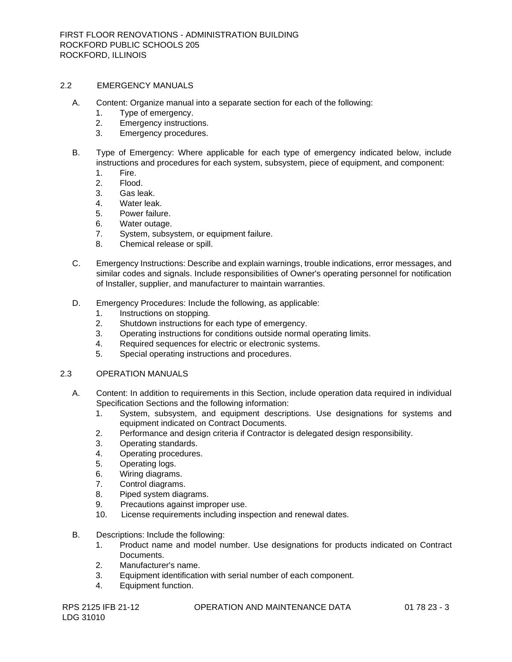### 2.2 EMERGENCY MANUALS

- A. Content: Organize manual into a separate section for each of the following:
	- 1. Type of emergency.
	- 2. Emergency instructions.
	- 3. Emergency procedures.
- B. Type of Emergency: Where applicable for each type of emergency indicated below, include instructions and procedures for each system, subsystem, piece of equipment, and component:
	- 1. Fire.
	- 2. Flood.
	- 3. Gas leak.
	- 4. Water leak.
	- 5. Power failure.
	- 6. Water outage.
	- 7. System, subsystem, or equipment failure.
	- 8. Chemical release or spill.
- C. Emergency Instructions: Describe and explain warnings, trouble indications, error messages, and similar codes and signals. Include responsibilities of Owner's operating personnel for notification of Installer, supplier, and manufacturer to maintain warranties.
- D. Emergency Procedures: Include the following, as applicable:
	- 1. Instructions on stopping.
	- 2. Shutdown instructions for each type of emergency.
	- 3. Operating instructions for conditions outside normal operating limits.
	- 4. Required sequences for electric or electronic systems.
	- 5. Special operating instructions and procedures.

## 2.3 OPERATION MANUALS

- A. Content: In addition to requirements in this Section, include operation data required in individual Specification Sections and the following information:
	- 1. System, subsystem, and equipment descriptions. Use designations for systems and equipment indicated on Contract Documents.
	- 2. Performance and design criteria if Contractor is delegated design responsibility.
	- 3. Operating standards.
	- 4. Operating procedures.
	- 5. Operating logs.
	- 6. Wiring diagrams.
	- 7. Control diagrams.
	- 8. Piped system diagrams.
	- 9. Precautions against improper use.
	- 10. License requirements including inspection and renewal dates.
- B. Descriptions: Include the following:
	- 1. Product name and model number. Use designations for products indicated on Contract Documents.
	- 2. Manufacturer's name.
	- 3. Equipment identification with serial number of each component.
	- 4. Equipment function.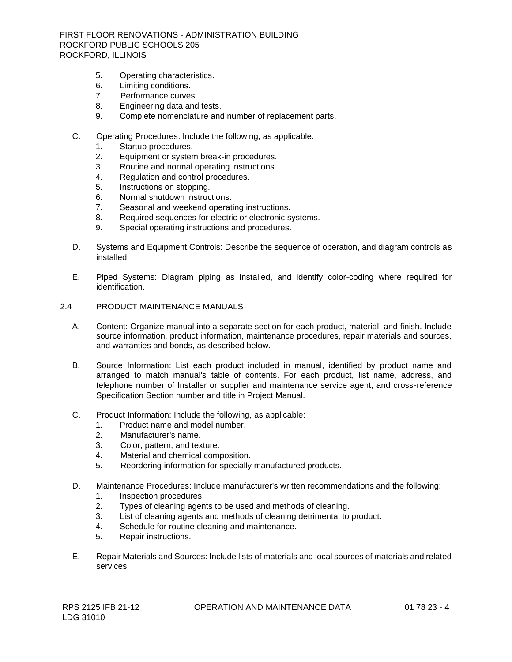FIRST FLOOR RENOVATIONS - ADMINISTRATION BUILDING ROCKFORD PUBLIC SCHOOLS 205 ROCKFORD, ILLINOIS

- 5. Operating characteristics.
- 6. Limiting conditions.
- 7. Performance curves.
- 8. Engineering data and tests.
- 9. Complete nomenclature and number of replacement parts.
- C. Operating Procedures: Include the following, as applicable:
	- 1. Startup procedures.
	- 2. Equipment or system break-in procedures.
	- 3. Routine and normal operating instructions.
	- 4. Regulation and control procedures.
	- 5. Instructions on stopping.
	- 6. Normal shutdown instructions.
	- 7. Seasonal and weekend operating instructions.
	- 8. Required sequences for electric or electronic systems.
	- 9. Special operating instructions and procedures.
- D. Systems and Equipment Controls: Describe the sequence of operation, and diagram controls as installed.
- E. Piped Systems: Diagram piping as installed, and identify color-coding where required for identification.
- 2.4 PRODUCT MAINTENANCE MANUALS
	- A. Content: Organize manual into a separate section for each product, material, and finish. Include source information, product information, maintenance procedures, repair materials and sources, and warranties and bonds, as described below.
	- B. Source Information: List each product included in manual, identified by product name and arranged to match manual's table of contents. For each product, list name, address, and telephone number of Installer or supplier and maintenance service agent, and cross-reference Specification Section number and title in Project Manual.
	- C. Product Information: Include the following, as applicable:
		- 1. Product name and model number.
		- 2. Manufacturer's name.
		- 3. Color, pattern, and texture.
		- 4. Material and chemical composition.
		- 5. Reordering information for specially manufactured products.
	- D. Maintenance Procedures: Include manufacturer's written recommendations and the following:
		- 1. Inspection procedures.
		- 2. Types of cleaning agents to be used and methods of cleaning.
		- 3. List of cleaning agents and methods of cleaning detrimental to product.
		- 4. Schedule for routine cleaning and maintenance.
		- 5. Repair instructions.
	- E. Repair Materials and Sources: Include lists of materials and local sources of materials and related services.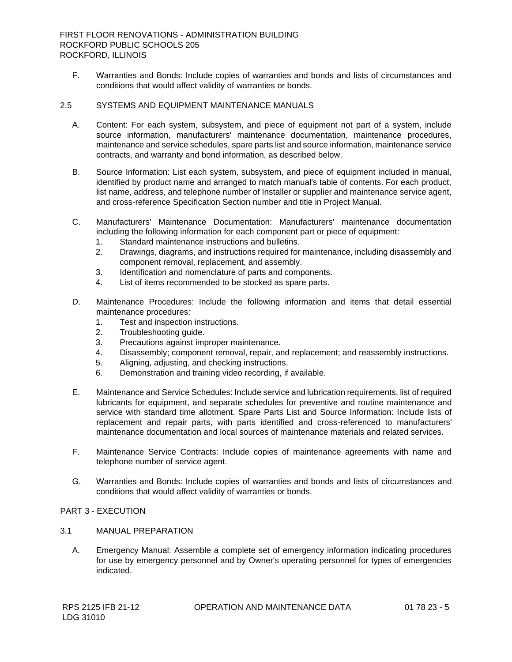F. Warranties and Bonds: Include copies of warranties and bonds and lists of circumstances and conditions that would affect validity of warranties or bonds.

## 2.5 SYSTEMS AND EQUIPMENT MAINTENANCE MANUALS

- A. Content: For each system, subsystem, and piece of equipment not part of a system, include source information, manufacturers' maintenance documentation, maintenance procedures, maintenance and service schedules, spare parts list and source information, maintenance service contracts, and warranty and bond information, as described below.
- B. Source Information: List each system, subsystem, and piece of equipment included in manual, identified by product name and arranged to match manual's table of contents. For each product, list name, address, and telephone number of Installer or supplier and maintenance service agent, and cross-reference Specification Section number and title in Project Manual.
- C. Manufacturers' Maintenance Documentation: Manufacturers' maintenance documentation including the following information for each component part or piece of equipment:
	- 1. Standard maintenance instructions and bulletins.
	- 2. Drawings, diagrams, and instructions required for maintenance, including disassembly and component removal, replacement, and assembly.
	- 3. Identification and nomenclature of parts and components.
	- 4. List of items recommended to be stocked as spare parts.
- D. Maintenance Procedures: Include the following information and items that detail essential maintenance procedures:
	- 1. Test and inspection instructions.
	- 2. Troubleshooting guide.
	- 3. Precautions against improper maintenance.
	- 4. Disassembly; component removal, repair, and replacement; and reassembly instructions.
	- 5. Aligning, adjusting, and checking instructions.
	- 6. Demonstration and training video recording, if available.
- E. Maintenance and Service Schedules: Include service and lubrication requirements, list of required lubricants for equipment, and separate schedules for preventive and routine maintenance and service with standard time allotment. Spare Parts List and Source Information: Include lists of replacement and repair parts, with parts identified and cross-referenced to manufacturers' maintenance documentation and local sources of maintenance materials and related services.
- F. Maintenance Service Contracts: Include copies of maintenance agreements with name and telephone number of service agent.
- G. Warranties and Bonds: Include copies of warranties and bonds and lists of circumstances and conditions that would affect validity of warranties or bonds.

#### PART 3 - EXECUTION

- 3.1 MANUAL PREPARATION
	- A. Emergency Manual: Assemble a complete set of emergency information indicating procedures for use by emergency personnel and by Owner's operating personnel for types of emergencies indicated.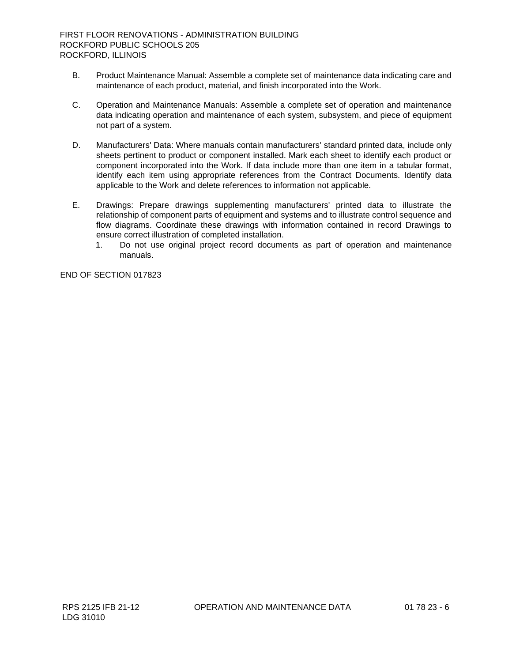- B. Product Maintenance Manual: Assemble a complete set of maintenance data indicating care and maintenance of each product, material, and finish incorporated into the Work.
- C. Operation and Maintenance Manuals: Assemble a complete set of operation and maintenance data indicating operation and maintenance of each system, subsystem, and piece of equipment not part of a system.
- D. Manufacturers' Data: Where manuals contain manufacturers' standard printed data, include only sheets pertinent to product or component installed. Mark each sheet to identify each product or component incorporated into the Work. If data include more than one item in a tabular format, identify each item using appropriate references from the Contract Documents. Identify data applicable to the Work and delete references to information not applicable.
- E. Drawings: Prepare drawings supplementing manufacturers' printed data to illustrate the relationship of component parts of equipment and systems and to illustrate control sequence and flow diagrams. Coordinate these drawings with information contained in record Drawings to ensure correct illustration of completed installation.
	- 1. Do not use original project record documents as part of operation and maintenance manuals.

END OF SECTION 017823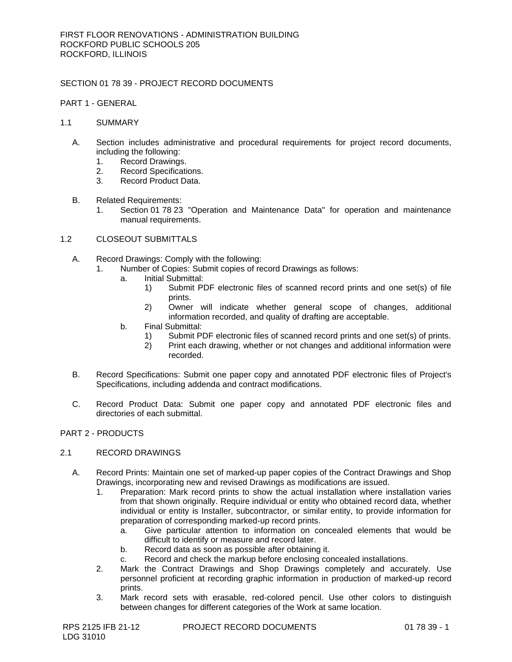## SECTION 01 78 39 - PROJECT RECORD DOCUMENTS

PART 1 - GENERAL

#### 1.1 SUMMARY

- A. Section includes administrative and procedural requirements for project record documents, including the following:
	- 1. Record Drawings.
	- 2. Record Specifications.<br>3. Record Product Data.
	- Record Product Data.
- B. Related Requirements:
	- 1. Section 01 78 23 "Operation and Maintenance Data" for operation and maintenance manual requirements.
- 1.2 CLOSEOUT SUBMITTALS
	- A. Record Drawings: Comply with the following:
		- 1. Number of Copies: Submit copies of record Drawings as follows:
			- a. Initial Submittal:
				- 1) Submit PDF electronic files of scanned record prints and one set(s) of file prints.
				- 2) Owner will indicate whether general scope of changes, additional information recorded, and quality of drafting are acceptable.
			- b. Final Submittal:
				- 1) Submit PDF electronic files of scanned record prints and one set(s) of prints.
				- 2) Print each drawing, whether or not changes and additional information were recorded.
	- B. Record Specifications: Submit one paper copy and annotated PDF electronic files of Project's Specifications, including addenda and contract modifications.
	- C. Record Product Data: Submit one paper copy and annotated PDF electronic files and directories of each submittal.

## PART 2 - PRODUCTS

#### 2.1 RECORD DRAWINGS

- A. Record Prints: Maintain one set of marked-up paper copies of the Contract Drawings and Shop Drawings, incorporating new and revised Drawings as modifications are issued.
	- 1. Preparation: Mark record prints to show the actual installation where installation varies from that shown originally. Require individual or entity who obtained record data, whether individual or entity is Installer, subcontractor, or similar entity, to provide information for preparation of corresponding marked-up record prints.
		- a. Give particular attention to information on concealed elements that would be difficult to identify or measure and record later.
		- b. Record data as soon as possible after obtaining it.
		- c. Record and check the markup before enclosing concealed installations.
	- 2. Mark the Contract Drawings and Shop Drawings completely and accurately. Use personnel proficient at recording graphic information in production of marked-up record prints.
	- 3. Mark record sets with erasable, red-colored pencil. Use other colors to distinguish between changes for different categories of the Work at same location.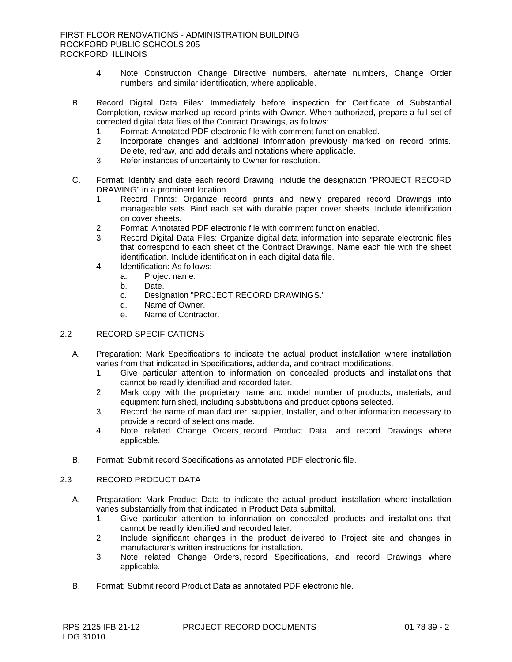- 4. Note Construction Change Directive numbers, alternate numbers, Change Order numbers, and similar identification, where applicable.
- B. Record Digital Data Files: Immediately before inspection for Certificate of Substantial Completion, review marked-up record prints with Owner. When authorized, prepare a full set of corrected digital data files of the Contract Drawings, as follows:
	- 1. Format: Annotated PDF electronic file with comment function enabled.
	- 2. Incorporate changes and additional information previously marked on record prints. Delete, redraw, and add details and notations where applicable.
	- 3. Refer instances of uncertainty to Owner for resolution.
- C. Format: Identify and date each record Drawing; include the designation "PROJECT RECORD DRAWING" in a prominent location.
	- 1. Record Prints: Organize record prints and newly prepared record Drawings into manageable sets. Bind each set with durable paper cover sheets. Include identification on cover sheets.
	- 2. Format: Annotated PDF electronic file with comment function enabled.
	- 3. Record Digital Data Files: Organize digital data information into separate electronic files that correspond to each sheet of the Contract Drawings. Name each file with the sheet identification. Include identification in each digital data file.
	- 4. Identification: As follows:
		- a. Project name.
		- b. Date.
		- c. Designation "PROJECT RECORD DRAWINGS."
		- d. Name of Owner.
		- e. Name of Contractor.

## 2.2 RECORD SPECIFICATIONS

- A. Preparation: Mark Specifications to indicate the actual product installation where installation varies from that indicated in Specifications, addenda, and contract modifications.
	- 1. Give particular attention to information on concealed products and installations that cannot be readily identified and recorded later.
	- 2. Mark copy with the proprietary name and model number of products, materials, and equipment furnished, including substitutions and product options selected.
	- 3. Record the name of manufacturer, supplier, Installer, and other information necessary to provide a record of selections made.
	- 4. Note related Change Orders, record Product Data, and record Drawings where applicable.
- B. Format: Submit record Specifications as annotated PDF electronic file.

## 2.3 RECORD PRODUCT DATA

- A. Preparation: Mark Product Data to indicate the actual product installation where installation varies substantially from that indicated in Product Data submittal.
	- 1. Give particular attention to information on concealed products and installations that cannot be readily identified and recorded later.
	- 2. Include significant changes in the product delivered to Project site and changes in manufacturer's written instructions for installation.
	- 3. Note related Change Orders, record Specifications, and record Drawings where applicable.
- B. Format: Submit record Product Data as annotated PDF electronic file.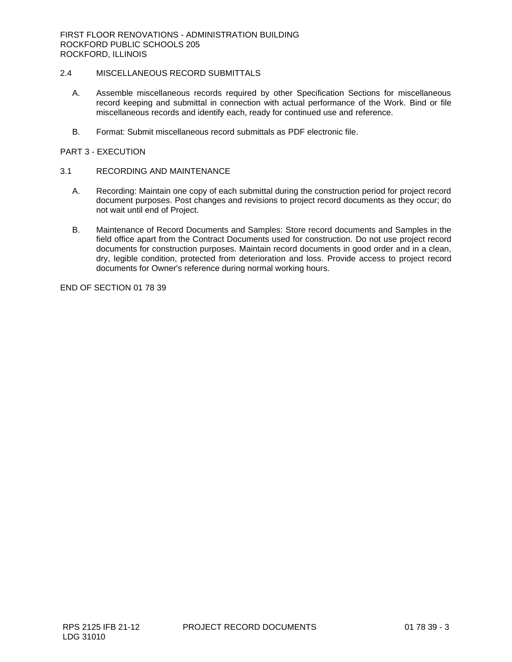## 2.4 MISCELLANEOUS RECORD SUBMITTALS

- A. Assemble miscellaneous records required by other Specification Sections for miscellaneous record keeping and submittal in connection with actual performance of the Work. Bind or file miscellaneous records and identify each, ready for continued use and reference.
- B. Format: Submit miscellaneous record submittals as PDF electronic file.

## PART 3 - EXECUTION

## 3.1 RECORDING AND MAINTENANCE

- A. Recording: Maintain one copy of each submittal during the construction period for project record document purposes. Post changes and revisions to project record documents as they occur; do not wait until end of Project.
- B. Maintenance of Record Documents and Samples: Store record documents and Samples in the field office apart from the Contract Documents used for construction. Do not use project record documents for construction purposes. Maintain record documents in good order and in a clean, dry, legible condition, protected from deterioration and loss. Provide access to project record documents for Owner's reference during normal working hours.

END OF SECTION 01 78 39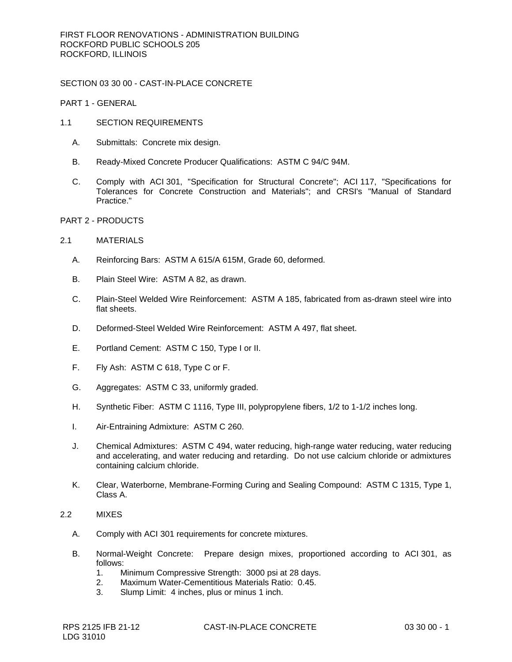SECTION 03 30 00 - CAST-IN-PLACE CONCRETE

PART 1 - GENERAL

- 1.1 SECTION REQUIREMENTS
	- A. Submittals: Concrete mix design.
	- B. Ready-Mixed Concrete Producer Qualifications: ASTM C 94/C 94M.
	- C. Comply with ACI 301, "Specification for Structural Concrete"; ACI 117, "Specifications for Tolerances for Concrete Construction and Materials"; and CRSI's "Manual of Standard Practice."
- PART 2 PRODUCTS

## 2.1 MATERIALS

- A. Reinforcing Bars: ASTM A 615/A 615M, Grade 60, deformed.
- B. Plain Steel Wire: ASTM A 82, as drawn.
- C. Plain-Steel Welded Wire Reinforcement: ASTM A 185, fabricated from as-drawn steel wire into flat sheets.
- D. Deformed-Steel Welded Wire Reinforcement: ASTM A 497, flat sheet.
- E. Portland Cement: ASTM C 150, Type I or II.
- F. Fly Ash: ASTM C 618, Type C or F.
- G. Aggregates: ASTM C 33, uniformly graded.
- H. Synthetic Fiber: ASTM C 1116, Type III, polypropylene fibers, 1/2 to 1-1/2 inches long.
- I. Air-Entraining Admixture: ASTM C 260.
- J. Chemical Admixtures: ASTM C 494, water reducing, high-range water reducing, water reducing and accelerating, and water reducing and retarding. Do not use calcium chloride or admixtures containing calcium chloride.
- K. Clear, Waterborne, Membrane-Forming Curing and Sealing Compound: ASTM C 1315, Type 1, Class A.
- 2.2 MIXES
	- A. Comply with ACI 301 requirements for concrete mixtures.
	- B. Normal-Weight Concrete: Prepare design mixes, proportioned according to ACI 301, as follows:
		- 1. Minimum Compressive Strength: 3000 psi at 28 days.
		- 2. Maximum Water-Cementitious Materials Ratio: 0.45.
		- 3. Slump Limit: 4 inches, plus or minus 1 inch.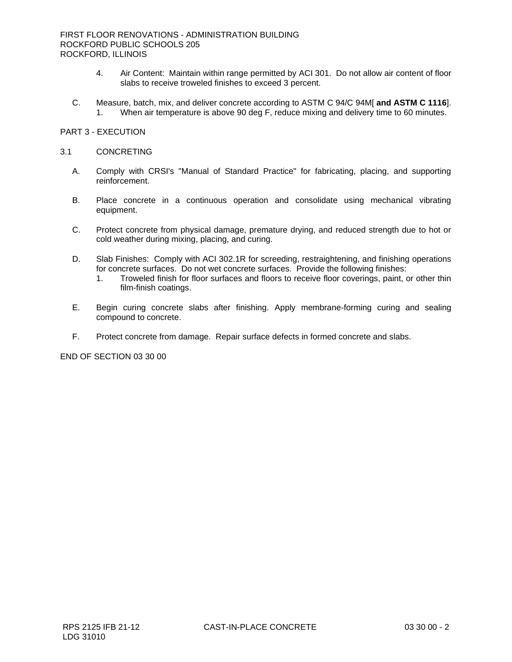- 4. Air Content: Maintain within range permitted by ACI 301. Do not allow air content of floor slabs to receive troweled finishes to exceed 3 percent.
- C. Measure, batch, mix, and deliver concrete according to ASTM C 94/C 94M[ **and ASTM C 1116**]. 1. When air temperature is above 90 deg F, reduce mixing and delivery time to 60 minutes.

#### PART 3 - EXECUTION

#### 3.1 CONCRETING

- A. Comply with CRSI's "Manual of Standard Practice" for fabricating, placing, and supporting reinforcement.
- B. Place concrete in a continuous operation and consolidate using mechanical vibrating equipment.
- C. Protect concrete from physical damage, premature drying, and reduced strength due to hot or cold weather during mixing, placing, and curing.
- D. Slab Finishes: Comply with ACI 302.1R for screeding, restraightening, and finishing operations for concrete surfaces. Do not wet concrete surfaces. Provide the following finishes:
	- 1. Troweled finish for floor surfaces and floors to receive floor coverings, paint, or other thin film-finish coatings.
- E. Begin curing concrete slabs after finishing. Apply membrane-forming curing and sealing compound to concrete.
- F. Protect concrete from damage. Repair surface defects in formed concrete and slabs.

END OF SECTION 03 30 00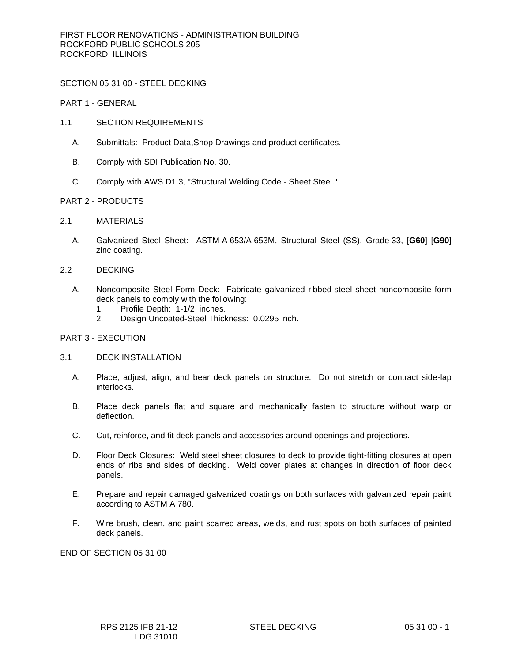SECTION 05 31 00 - STEEL DECKING

PART 1 - GENERAL

- 1.1 SECTION REQUIREMENTS
	- A. Submittals: Product Data,Shop Drawings and product certificates.
	- B. Comply with SDI Publication No. 30.
	- C. Comply with AWS D1.3, "Structural Welding Code Sheet Steel."

#### PART 2 - PRODUCTS

- 2.1 MATERIALS
	- A. Galvanized Steel Sheet: ASTM A 653/A 653M, Structural Steel (SS), Grade 33, [**G60**] [**G90**] zinc coating.
- 2.2 DECKING
	- A. Noncomposite Steel Form Deck: Fabricate galvanized ribbed-steel sheet noncomposite form deck panels to comply with the following:
		- 1. Profile Depth: 1-1/2 inches.
		- 2. Design Uncoated-Steel Thickness: 0.0295 inch.

#### PART 3 - EXECUTION

#### 3.1 DECK INSTALLATION

- A. Place, adjust, align, and bear deck panels on structure. Do not stretch or contract side-lap interlocks.
- B. Place deck panels flat and square and mechanically fasten to structure without warp or deflection.
- C. Cut, reinforce, and fit deck panels and accessories around openings and projections.
- D. Floor Deck Closures: Weld steel sheet closures to deck to provide tight-fitting closures at open ends of ribs and sides of decking. Weld cover plates at changes in direction of floor deck panels.
- E. Prepare and repair damaged galvanized coatings on both surfaces with galvanized repair paint according to ASTM A 780.
- F. Wire brush, clean, and paint scarred areas, welds, and rust spots on both surfaces of painted deck panels.

END OF SECTION 05 31 00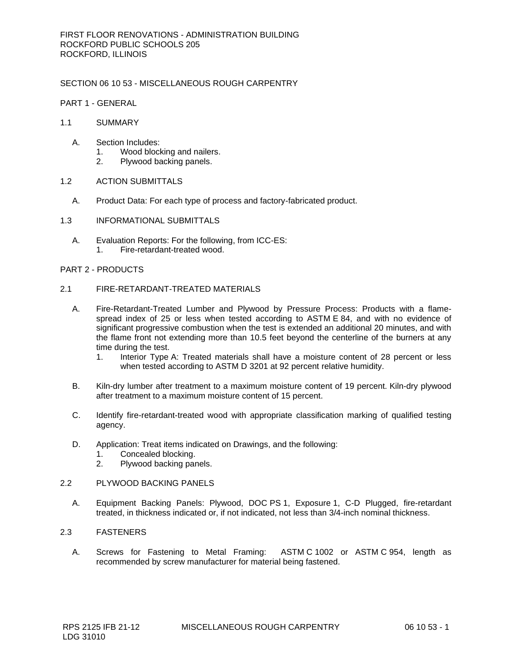## SECTION 06 10 53 - MISCELLANEOUS ROUGH CARPENTRY

PART 1 - GENERAL

#### 1.1 SUMMARY

- A. Section Includes:
	- 1. Wood blocking and nailers.
	- 2. Plywood backing panels.

#### 1.2 ACTION SUBMITTALS

- A. Product Data: For each type of process and factory-fabricated product.
- 1.3 INFORMATIONAL SUBMITTALS
	- A. Evaluation Reports: For the following, from ICC-ES: 1. Fire-retardant-treated wood.

#### PART 2 - PRODUCTS

- 2.1 FIRE-RETARDANT-TREATED MATERIALS
	- A. Fire-Retardant-Treated Lumber and Plywood by Pressure Process: Products with a flamespread index of 25 or less when tested according to ASTM E 84, and with no evidence of significant progressive combustion when the test is extended an additional 20 minutes, and with the flame front not extending more than 10.5 feet beyond the centerline of the burners at any time during the test.
		- 1. Interior Type A: Treated materials shall have a moisture content of 28 percent or less when tested according to ASTM D 3201 at 92 percent relative humidity.
	- B. Kiln-dry lumber after treatment to a maximum moisture content of 19 percent. Kiln-dry plywood after treatment to a maximum moisture content of 15 percent.
	- C. Identify fire-retardant-treated wood with appropriate classification marking of qualified testing agency.
	- D. Application: Treat items indicated on Drawings, and the following:
		- 1. Concealed blocking.
		- 2. Plywood backing panels.

### 2.2 PLYWOOD BACKING PANELS

A. Equipment Backing Panels: Plywood, DOC PS 1, Exposure 1, C-D Plugged, fire-retardant treated, in thickness indicated or, if not indicated, not less than 3/4-inch nominal thickness.

#### 2.3 FASTENERS

A. Screws for Fastening to Metal Framing: ASTM C 1002 or ASTM C 954, length as recommended by screw manufacturer for material being fastened.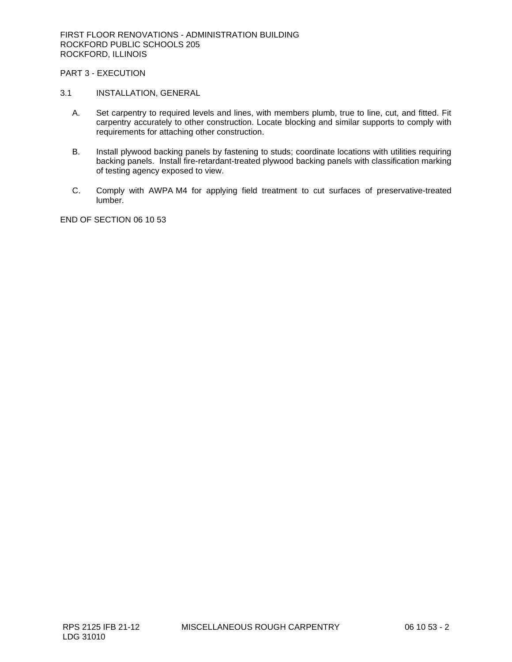## PART 3 - EXECUTION

#### 3.1 INSTALLATION, GENERAL

- A. Set carpentry to required levels and lines, with members plumb, true to line, cut, and fitted. Fit carpentry accurately to other construction. Locate blocking and similar supports to comply with requirements for attaching other construction.
- B. Install plywood backing panels by fastening to studs; coordinate locations with utilities requiring backing panels. Install fire-retardant-treated plywood backing panels with classification marking of testing agency exposed to view.
- C. Comply with AWPA M4 for applying field treatment to cut surfaces of preservative-treated lumber.

END OF SECTION 06 10 53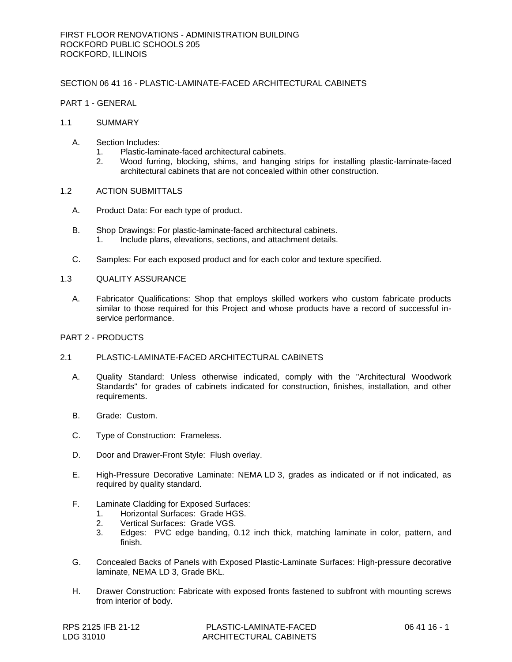## SECTION 06 41 16 - PLASTIC-LAMINATE-FACED ARCHITECTURAL CABINETS

## PART 1 - GENERAL

- 1.1 SUMMARY
	- A. Section Includes:
		- 1. Plastic-laminate-faced architectural cabinets.
		- 2. Wood furring, blocking, shims, and hanging strips for installing plastic-laminate-faced architectural cabinets that are not concealed within other construction.

#### 1.2 ACTION SUBMITTALS

- A. Product Data: For each type of product.
- B. Shop Drawings: For plastic-laminate-faced architectural cabinets. 1. Include plans, elevations, sections, and attachment details.
- C. Samples: For each exposed product and for each color and texture specified.

#### 1.3 QUALITY ASSURANCE

A. Fabricator Qualifications: Shop that employs skilled workers who custom fabricate products similar to those required for this Project and whose products have a record of successful inservice performance.

## PART 2 - PRODUCTS

## 2.1 PLASTIC-LAMINATE-FACED ARCHITECTURAL CABINETS

- A. Quality Standard: Unless otherwise indicated, comply with the "Architectural Woodwork Standards" for grades of cabinets indicated for construction, finishes, installation, and other requirements.
- B. Grade: Custom.
- C. Type of Construction: Frameless.
- D. Door and Drawer-Front Style: Flush overlay.
- E. High-Pressure Decorative Laminate: NEMA LD 3, grades as indicated or if not indicated, as required by quality standard.
- F. Laminate Cladding for Exposed Surfaces:
	- 1. Horizontal Surfaces: Grade HGS.
	- 2. Vertical Surfaces: Grade VGS.
	- 3. Edges: PVC edge banding, 0.12 inch thick, matching laminate in color, pattern, and finish.
- G. Concealed Backs of Panels with Exposed Plastic-Laminate Surfaces: High-pressure decorative laminate, NEMA LD 3, Grade BKL.
- H. Drawer Construction: Fabricate with exposed fronts fastened to subfront with mounting screws from interior of body.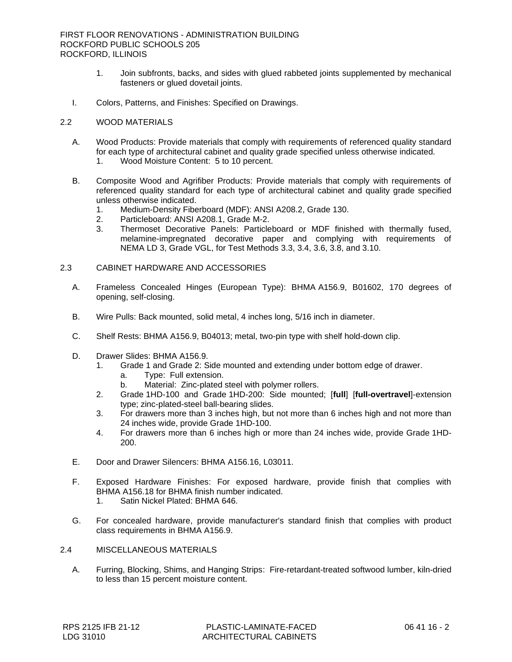- 1. Join subfronts, backs, and sides with glued rabbeted joints supplemented by mechanical fasteners or glued dovetail joints.
- I. Colors, Patterns, and Finishes: Specified on Drawings.

#### 2.2 WOOD MATERIALS

- A. Wood Products: Provide materials that comply with requirements of referenced quality standard for each type of architectural cabinet and quality grade specified unless otherwise indicated.
	- 1. Wood Moisture Content: 5 to 10 percent.
- B. Composite Wood and Agrifiber Products: Provide materials that comply with requirements of referenced quality standard for each type of architectural cabinet and quality grade specified unless otherwise indicated.
	- 1. Medium-Density Fiberboard (MDF): ANSI A208.2, Grade 130.
	- 2. Particleboard: ANSI A208.1, Grade M-2.
	- 3. Thermoset Decorative Panels: Particleboard or MDF finished with thermally fused, melamine-impregnated decorative paper and complying with requirements of NEMA LD 3, Grade VGL, for Test Methods 3.3, 3.4, 3.6, 3.8, and 3.10.

## 2.3 CABINET HARDWARE AND ACCESSORIES

- A. Frameless Concealed Hinges (European Type): BHMA A156.9, B01602, 170 degrees of opening, self-closing.
- B. Wire Pulls: Back mounted, solid metal, 4 inches long, 5/16 inch in diameter.
- C. Shelf Rests: BHMA A156.9, B04013; metal, two-pin type with shelf hold-down clip.
- D. Drawer Slides: BHMA A156.9.
	- 1. Grade 1 and Grade 2: Side mounted and extending under bottom edge of drawer.
		- a. Type: Full extension.
		- b. Material: Zinc-plated steel with polymer rollers.
	- 2. Grade 1HD-100 and Grade 1HD-200: Side mounted; [**full**] [**full-overtravel**]-extension type; zinc-plated-steel ball-bearing slides.
	- 3. For drawers more than 3 inches high, but not more than 6 inches high and not more than 24 inches wide, provide Grade 1HD-100.
	- 4. For drawers more than 6 inches high or more than 24 inches wide, provide Grade 1HD-200.
- E. Door and Drawer Silencers: BHMA A156.16, L03011.
- F. Exposed Hardware Finishes: For exposed hardware, provide finish that complies with BHMA A156.18 for BHMA finish number indicated.
	- 1. Satin Nickel Plated: BHMA 646.
- G. For concealed hardware, provide manufacturer's standard finish that complies with product class requirements in BHMA A156.9.
- 2.4 MISCELLANEOUS MATERIALS
	- A. Furring, Blocking, Shims, and Hanging Strips: Fire-retardant-treated softwood lumber, kiln-dried to less than 15 percent moisture content.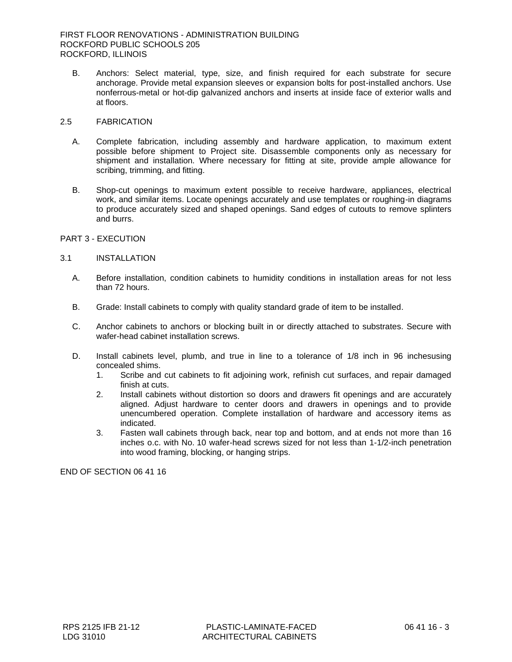B. Anchors: Select material, type, size, and finish required for each substrate for secure anchorage. Provide metal expansion sleeves or expansion bolts for post-installed anchors. Use nonferrous-metal or hot-dip galvanized anchors and inserts at inside face of exterior walls and at floors.

# 2.5 FABRICATION

- A. Complete fabrication, including assembly and hardware application, to maximum extent possible before shipment to Project site. Disassemble components only as necessary for shipment and installation. Where necessary for fitting at site, provide ample allowance for scribing, trimming, and fitting.
- B. Shop-cut openings to maximum extent possible to receive hardware, appliances, electrical work, and similar items. Locate openings accurately and use templates or roughing-in diagrams to produce accurately sized and shaped openings. Sand edges of cutouts to remove splinters and burrs.

# PART 3 - EXECUTION

### 3.1 INSTALLATION

- A. Before installation, condition cabinets to humidity conditions in installation areas for not less than 72 hours.
- B. Grade: Install cabinets to comply with quality standard grade of item to be installed.
- C. Anchor cabinets to anchors or blocking built in or directly attached to substrates. Secure with wafer-head cabinet installation screws.
- D. Install cabinets level, plumb, and true in line to a tolerance of 1/8 inch in 96 inchesusing concealed shims.
	- 1. Scribe and cut cabinets to fit adjoining work, refinish cut surfaces, and repair damaged finish at cuts.
	- 2. Install cabinets without distortion so doors and drawers fit openings and are accurately aligned. Adjust hardware to center doors and drawers in openings and to provide unencumbered operation. Complete installation of hardware and accessory items as indicated.
	- 3. Fasten wall cabinets through back, near top and bottom, and at ends not more than 16 inches o.c. with No. 10 wafer-head screws sized for not less than 1-1/2-inch penetration into wood framing, blocking, or hanging strips.

END OF SECTION 06 41 16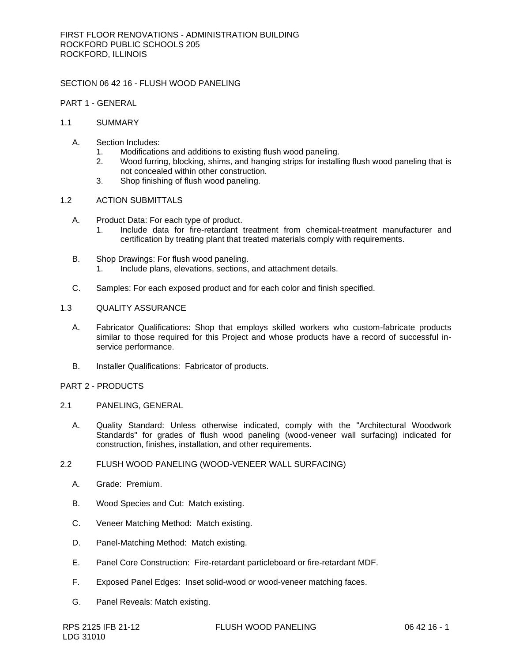# SECTION 06 42 16 - FLUSH WOOD PANELING

# PART 1 - GENERAL

## 1.1 SUMMARY

- A. Section Includes:
	- 1. Modifications and additions to existing flush wood paneling.
	- 2. Wood furring, blocking, shims, and hanging strips for installing flush wood paneling that is not concealed within other construction.
	- 3. Shop finishing of flush wood paneling.

## 1.2 ACTION SUBMITTALS

- A. Product Data: For each type of product.
	- 1. Include data for fire-retardant treatment from chemical-treatment manufacturer and certification by treating plant that treated materials comply with requirements.
- B. Shop Drawings: For flush wood paneling.
	- 1. Include plans, elevations, sections, and attachment details.
- C. Samples: For each exposed product and for each color and finish specified.

# 1.3 QUALITY ASSURANCE

- A. Fabricator Qualifications: Shop that employs skilled workers who custom-fabricate products similar to those required for this Project and whose products have a record of successful inservice performance.
- B. Installer Qualifications: Fabricator of products.

## PART 2 - PRODUCTS

- 2.1 PANELING, GENERAL
	- A. Quality Standard: Unless otherwise indicated, comply with the "Architectural Woodwork Standards" for grades of flush wood paneling (wood-veneer wall surfacing) indicated for construction, finishes, installation, and other requirements.

# 2.2 FLUSH WOOD PANELING (WOOD-VENEER WALL SURFACING)

- A. Grade: Premium.
- B. Wood Species and Cut: Match existing.
- C. Veneer Matching Method: Match existing.
- D. Panel-Matching Method: Match existing.
- E. Panel Core Construction: Fire-retardant particleboard or fire-retardant MDF.
- F. Exposed Panel Edges: Inset solid-wood or wood-veneer matching faces.
- G. Panel Reveals: Match existing.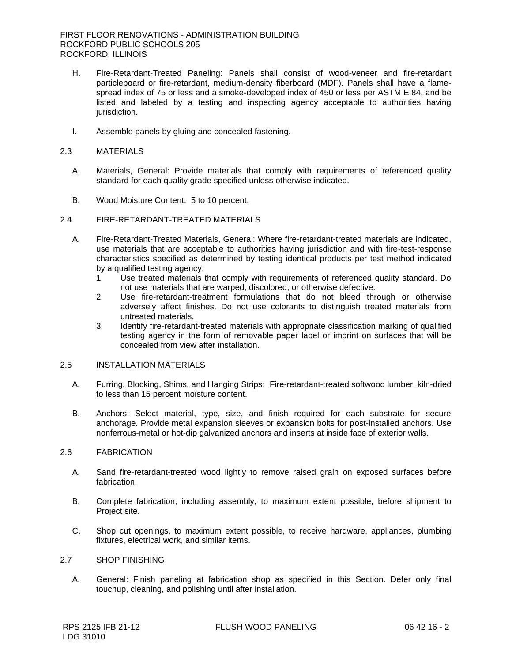- H. Fire-Retardant-Treated Paneling: Panels shall consist of wood-veneer and fire-retardant particleboard or fire-retardant, medium-density fiberboard (MDF). Panels shall have a flamespread index of 75 or less and a smoke-developed index of 450 or less per ASTM E 84, and be listed and labeled by a testing and inspecting agency acceptable to authorities having jurisdiction.
- I. Assemble panels by gluing and concealed fastening.

## 2.3 MATERIALS

- A. Materials, General: Provide materials that comply with requirements of referenced quality standard for each quality grade specified unless otherwise indicated.
- B. Wood Moisture Content: 5 to 10 percent.

## 2.4 FIRE-RETARDANT-TREATED MATERIALS

- A. Fire-Retardant-Treated Materials, General: Where fire-retardant-treated materials are indicated, use materials that are acceptable to authorities having jurisdiction and with fire-test-response characteristics specified as determined by testing identical products per test method indicated by a qualified testing agency.
	- 1. Use treated materials that comply with requirements of referenced quality standard. Do not use materials that are warped, discolored, or otherwise defective.
	- 2. Use fire-retardant-treatment formulations that do not bleed through or otherwise adversely affect finishes. Do not use colorants to distinguish treated materials from untreated materials.
	- 3. Identify fire-retardant-treated materials with appropriate classification marking of qualified testing agency in the form of removable paper label or imprint on surfaces that will be concealed from view after installation.

# 2.5 INSTALLATION MATERIALS

- A. Furring, Blocking, Shims, and Hanging Strips: Fire-retardant-treated softwood lumber, kiln-dried to less than 15 percent moisture content.
- B. Anchors: Select material, type, size, and finish required for each substrate for secure anchorage. Provide metal expansion sleeves or expansion bolts for post-installed anchors. Use nonferrous-metal or hot-dip galvanized anchors and inserts at inside face of exterior walls.

## 2.6 FABRICATION

- A. Sand fire-retardant-treated wood lightly to remove raised grain on exposed surfaces before fabrication.
- B. Complete fabrication, including assembly, to maximum extent possible, before shipment to Project site.
- C. Shop cut openings, to maximum extent possible, to receive hardware, appliances, plumbing fixtures, electrical work, and similar items.

## 2.7 SHOP FINISHING

A. General: Finish paneling at fabrication shop as specified in this Section. Defer only final touchup, cleaning, and polishing until after installation.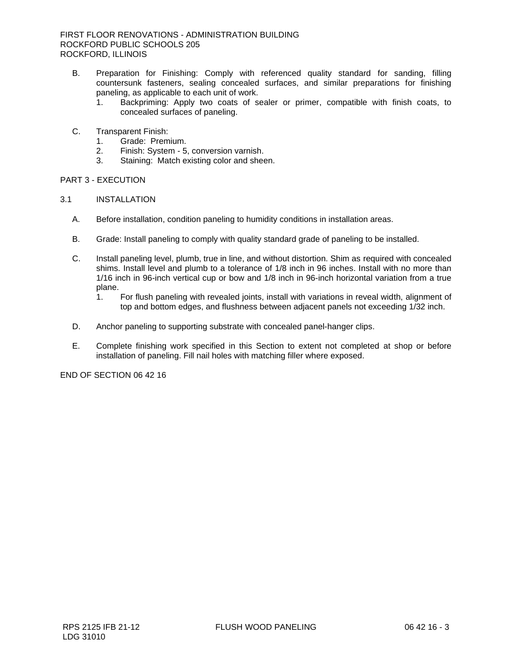- B. Preparation for Finishing: Comply with referenced quality standard for sanding, filling countersunk fasteners, sealing concealed surfaces, and similar preparations for finishing paneling, as applicable to each unit of work.
	- 1. Backpriming: Apply two coats of sealer or primer, compatible with finish coats, to concealed surfaces of paneling.
- C. Transparent Finish:
	- 1. Grade: Premium.
	- 2. Finish: System 5, conversion varnish.
	- 3. Staining: Match existing color and sheen.

# PART 3 - EXECUTION

# 3.1 INSTALLATION

- A. Before installation, condition paneling to humidity conditions in installation areas.
- B. Grade: Install paneling to comply with quality standard grade of paneling to be installed.
- C. Install paneling level, plumb, true in line, and without distortion. Shim as required with concealed shims. Install level and plumb to a tolerance of 1/8 inch in 96 inches. Install with no more than 1/16 inch in 96-inch vertical cup or bow and 1/8 inch in 96-inch horizontal variation from a true plane.
	- 1. For flush paneling with revealed joints, install with variations in reveal width, alignment of top and bottom edges, and flushness between adjacent panels not exceeding 1/32 inch.
- D. Anchor paneling to supporting substrate with concealed panel-hanger clips.
- E. Complete finishing work specified in this Section to extent not completed at shop or before installation of paneling. Fill nail holes with matching filler where exposed.

END OF SECTION 06 42 16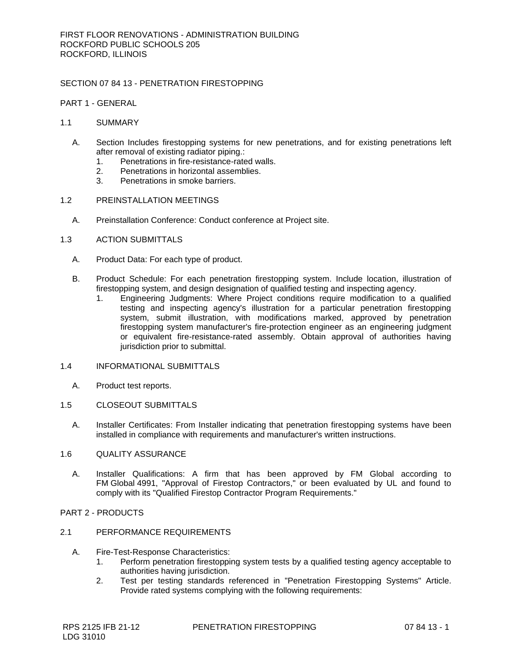# SECTION 07 84 13 - PENETRATION FIRESTOPPING

PART 1 - GENERAL

### 1.1 SUMMARY

- A. Section Includes firestopping systems for new penetrations, and for existing penetrations left after removal of existing radiator piping.:
	- 1. Penetrations in fire-resistance-rated walls.
	- 2. Penetrations in horizontal assemblies.<br>3. Penetrations in smoke barriers.
	- Penetrations in smoke barriers.

### 1.2 PREINSTALLATION MEETINGS

A. Preinstallation Conference: Conduct conference at Project site.

## 1.3 ACTION SUBMITTALS

- A. Product Data: For each type of product.
- B. Product Schedule: For each penetration firestopping system. Include location, illustration of firestopping system, and design designation of qualified testing and inspecting agency.
	- 1. Engineering Judgments: Where Project conditions require modification to a qualified testing and inspecting agency's illustration for a particular penetration firestopping system, submit illustration, with modifications marked, approved by penetration firestopping system manufacturer's fire-protection engineer as an engineering judgment or equivalent fire-resistance-rated assembly. Obtain approval of authorities having jurisdiction prior to submittal.

### 1.4 INFORMATIONAL SUBMITTALS

A. Product test reports.

# 1.5 CLOSEOUT SUBMITTALS

A. Installer Certificates: From Installer indicating that penetration firestopping systems have been installed in compliance with requirements and manufacturer's written instructions.

#### 1.6 QUALITY ASSURANCE

A. Installer Qualifications: A firm that has been approved by FM Global according to FM Global 4991, "Approval of Firestop Contractors," or been evaluated by UL and found to comply with its "Qualified Firestop Contractor Program Requirements."

# PART 2 - PRODUCTS

## 2.1 PERFORMANCE REQUIREMENTS

- A. Fire-Test-Response Characteristics:
	- 1. Perform penetration firestopping system tests by a qualified testing agency acceptable to authorities having jurisdiction.
	- 2. Test per testing standards referenced in "Penetration Firestopping Systems" Article. Provide rated systems complying with the following requirements: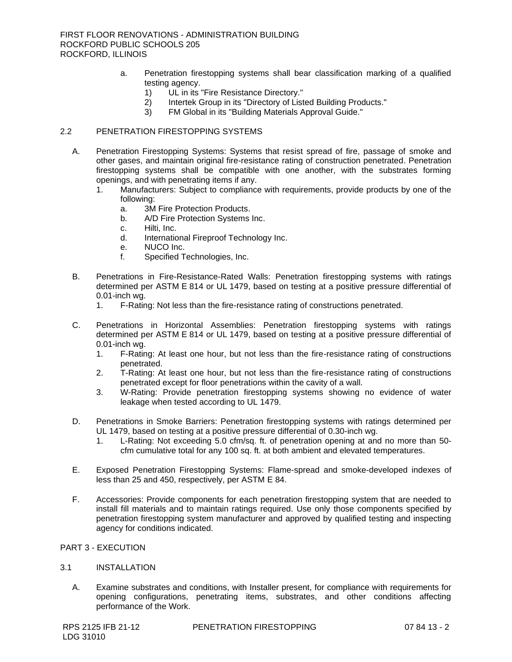- a. Penetration firestopping systems shall bear classification marking of a qualified testing agency.
	- 1) UL in its "Fire Resistance Directory."
	- 2) Intertek Group in its "Directory of Listed Building Products."
	- 3) FM Global in its "Building Materials Approval Guide."

# 2.2 PENETRATION FIRESTOPPING SYSTEMS

- A. Penetration Firestopping Systems: Systems that resist spread of fire, passage of smoke and other gases, and maintain original fire-resistance rating of construction penetrated. Penetration firestopping systems shall be compatible with one another, with the substrates forming openings, and with penetrating items if any.
	- 1. [Manufacturers:](http://www.specagent.com/Lookup?ulid=11857) Subject to compliance with requirements, provide products by one of the following:
		- a. [3M Fire Protection Products.](http://www.specagent.com/Lookup?uid=123457006169)
		- b. [A/D Fire Protection Systems Inc.](http://www.specagent.com/Lookup?uid=123457006170)
		- c. [Hilti, Inc.](http://www.specagent.com/Lookup?uid=123457006172)
		- d. [International Fireproof Technology Inc.](http://www.specagent.com/Lookup?uid=123457185740)
		- e. [NUCO Inc.](http://www.specagent.com/Lookup?uid=123457006175)
		- f. [Specified Technologies, Inc.](http://www.specagent.com/Lookup?uid=123457006178)
- B. Penetrations in Fire-Resistance-Rated Walls: Penetration firestopping systems with ratings determined per ASTM E 814 or UL 1479, based on testing at a positive pressure differential of 0.01-inch wg.
	- 1. F-Rating: Not less than the fire-resistance rating of constructions penetrated.
- C. Penetrations in Horizontal Assemblies: Penetration firestopping systems with ratings determined per ASTM E 814 or UL 1479, based on testing at a positive pressure differential of 0.01-inch wg.
	- 1. F-Rating: At least one hour, but not less than the fire-resistance rating of constructions penetrated.
	- 2. T-Rating: At least one hour, but not less than the fire-resistance rating of constructions penetrated except for floor penetrations within the cavity of a wall.
	- 3. W-Rating: Provide penetration firestopping systems showing no evidence of water leakage when tested according to UL 1479.
- D. Penetrations in Smoke Barriers: Penetration firestopping systems with ratings determined per UL 1479, based on testing at a positive pressure differential of 0.30-inch wg.
	- 1. L-Rating: Not exceeding 5.0 cfm/sq. ft. of penetration opening at and no more than 50 cfm cumulative total for any 100 sq. ft. at both ambient and elevated temperatures.
- E. Exposed Penetration Firestopping Systems: Flame-spread and smoke-developed indexes of less than 25 and 450, respectively, per ASTM E 84.
- F. Accessories: Provide components for each penetration firestopping system that are needed to install fill materials and to maintain ratings required. Use only those components specified by penetration firestopping system manufacturer and approved by qualified testing and inspecting agency for conditions indicated.

# PART 3 - EXECUTION

#### 3.1 INSTALLATION

A. Examine substrates and conditions, with Installer present, for compliance with requirements for opening configurations, penetrating items, substrates, and other conditions affecting performance of the Work.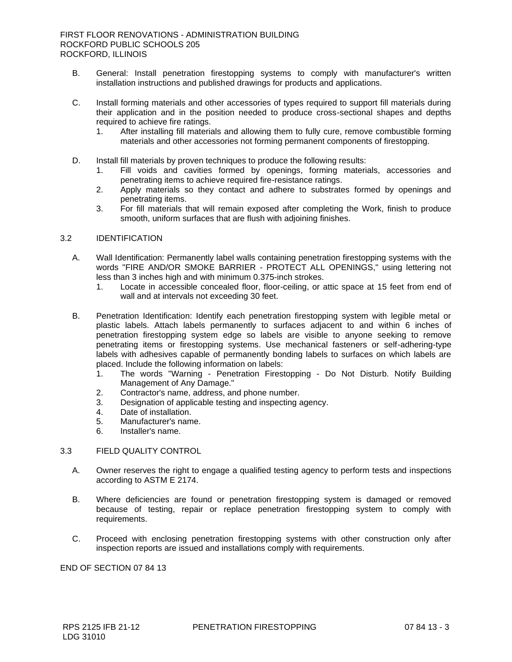- B. General: Install penetration firestopping systems to comply with manufacturer's written installation instructions and published drawings for products and applications.
- C. Install forming materials and other accessories of types required to support fill materials during their application and in the position needed to produce cross-sectional shapes and depths required to achieve fire ratings.
	- 1. After installing fill materials and allowing them to fully cure, remove combustible forming materials and other accessories not forming permanent components of firestopping.
- D. Install fill materials by proven techniques to produce the following results:
	- 1. Fill voids and cavities formed by openings, forming materials, accessories and penetrating items to achieve required fire-resistance ratings.
	- 2. Apply materials so they contact and adhere to substrates formed by openings and penetrating items.
	- 3. For fill materials that will remain exposed after completing the Work, finish to produce smooth, uniform surfaces that are flush with adjoining finishes.

# 3.2 IDENTIFICATION

- A. Wall Identification: Permanently label walls containing penetration firestopping systems with the words "FIRE AND/OR SMOKE BARRIER - PROTECT ALL OPENINGS," using lettering not less than 3 inches high and with minimum 0.375-inch strokes.
	- 1. Locate in accessible concealed floor, floor-ceiling, or attic space at 15 feet from end of wall and at intervals not exceeding 30 feet.
- B. Penetration Identification: Identify each penetration firestopping system with legible metal or plastic labels. Attach labels permanently to surfaces adjacent to and within 6 inches of penetration firestopping system edge so labels are visible to anyone seeking to remove penetrating items or firestopping systems. Use mechanical fasteners or self-adhering-type labels with adhesives capable of permanently bonding labels to surfaces on which labels are placed. Include the following information on labels:
	- 1. The words "Warning Penetration Firestopping Do Not Disturb. Notify Building Management of Any Damage."
	- 2. Contractor's name, address, and phone number.
	- 3. Designation of applicable testing and inspecting agency.
	- 4. Date of installation.
	- 5. Manufacturer's name.
	- 6. Installer's name.

# 3.3 FIELD QUALITY CONTROL

- A. Owner reserves the right to engage a qualified testing agency to perform tests and inspections according to ASTM E 2174.
- B. Where deficiencies are found or penetration firestopping system is damaged or removed because of testing, repair or replace penetration firestopping system to comply with requirements.
- C. Proceed with enclosing penetration firestopping systems with other construction only after inspection reports are issued and installations comply with requirements.

END OF SECTION 07 84 13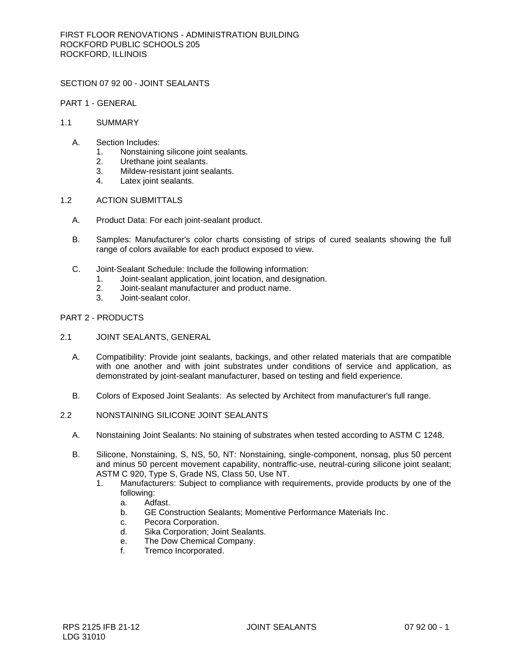SECTION 07 92 00 - JOINT SEALANTS

PART 1 - GENERAL

- 1.1 SUMMARY
	- A. Section Includes:
		- 1. Nonstaining silicone joint sealants.
		- 2. Urethane joint sealants.
		- 3. Mildew-resistant joint sealants.
		- 4. Latex joint sealants.
- 1.2 ACTION SUBMITTALS
	- A. Product Data: For each joint-sealant product.
	- B. Samples: Manufacturer's color charts consisting of strips of cured sealants showing the full range of colors available for each product exposed to view.
	- C. Joint-Sealant Schedule: Include the following information:
		- 1. Joint-sealant application, joint location, and designation.
		- 2. Joint-sealant manufacturer and product name.
		- 3. Joint-sealant color.

## PART 2 - PRODUCTS

- 2.1 JOINT SEALANTS, GENERAL
	- A. Compatibility: Provide joint sealants, backings, and other related materials that are compatible with one another and with joint substrates under conditions of service and application, as demonstrated by joint-sealant manufacturer, based on testing and field experience.
	- B. Colors of Exposed Joint Sealants: As selected by Architect from manufacturer's full range.
- 2.2 NONSTAINING SILICONE JOINT SEALANTS
	- A. Nonstaining Joint Sealants: No staining of substrates when tested according to ASTM C 1248.
	- B. Silicone, Nonstaining, S, NS, 50, NT: Nonstaining, single-component, nonsag, plus 50 percent and minus 50 percent movement capability, nontraffic-use, neutral-curing silicone joint sealant; ASTM C 920, Type S, Grade NS, Class 50, Use NT.
		- 1. [Manufacturers:](http://www.specagent.com/Lookup?ulid=9411) Subject to compliance with requirements, provide products by one of the following:
			- a. [Adfast.](http://www.specagent.com/Lookup?uid=123457060786)
			- b. [GE Construction Sealants; Momentive Performance Materials Inc.](http://www.specagent.com/Lookup?uid=123457013407)
			- c. [Pecora Corporation.](http://www.specagent.com/Lookup?uid=123457013409)
			- d. [Sika Corporation; Joint Sealants.](http://www.specagent.com/Lookup?uid=123457055624)
			- e. [The Dow Chemical Company.](http://www.specagent.com/Lookup?uid=123457013406)
			- f. [Tremco Incorporated.](http://www.specagent.com/Lookup?uid=123457013410)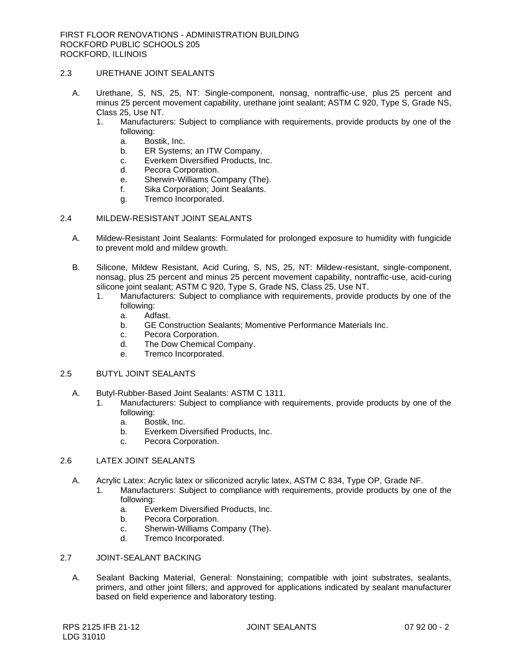# 2.3 URETHANE JOINT SEALANTS

- A. Urethane, S, NS, 25, NT: Single-component, nonsag, nontraffic-use, plus 25 percent and minus 25 percent movement capability, urethane joint sealant; ASTM C 920, Type S, Grade NS, Class 25, Use NT.
	- 1. [Manufacturers:](http://www.specagent.com/Lookup?ulid=9414) Subject to compliance with requirements, provide products by one of the following:
		- a. [Bostik, Inc.](http://www.specagent.com/Lookup?uid=123457013417)
		- b. [ER Systems; an ITW Company.](http://www.specagent.com/Lookup?uid=123457013424)
		- c. [Everkem Diversified Products, Inc.](http://www.specagent.com/Lookup?uid=123457110979)
		- d. [Pecora Corporation.](http://www.specagent.com/Lookup?uid=123457013418)
		- e. [Sherwin-Williams Company \(The\).](http://www.specagent.com/Lookup?uid=123457013421)
		- f. [Sika Corporation; Joint Sealants.](http://www.specagent.com/Lookup?uid=123457058203)
		- g. [Tremco Incorporated.](http://www.specagent.com/Lookup?uid=123457013423)

## 2.4 MILDEW-RESISTANT JOINT SEALANTS

- A. Mildew-Resistant Joint Sealants: Formulated for prolonged exposure to humidity with fungicide to prevent mold and mildew growth.
- B. Silicone, Mildew Resistant, Acid Curing, S, NS, 25, NT: Mildew-resistant, single-component, nonsag, plus 25 percent and minus 25 percent movement capability, nontraffic-use, acid-curing silicone joint sealant; ASTM C 920, Type S, Grade NS, Class 25, Use NT.
	- 1. [Manufacturers:](http://www.specagent.com/Lookup?ulid=9448) Subject to compliance with requirements, provide products by one of the following:
		- a. [Adfast.](http://www.specagent.com/Lookup?uid=123457060785)
		- b. [GE Construction Sealants; Momentive Performance Materials Inc.](http://www.specagent.com/Lookup?uid=123457013476)
		- c. [Pecora Corporation.](http://www.specagent.com/Lookup?uid=123457099583)
		- d. [The Dow Chemical Company.](http://www.specagent.com/Lookup?uid=123457013475)
		- e. [Tremco Incorporated.](http://www.specagent.com/Lookup?uid=123457013479)

# 2.5 BUTYL JOINT SEALANTS

- A. Butyl-Rubber-Based Joint Sealants: ASTM C 1311.
	- 1. [Manufacturers:](http://www.specagent.com/Lookup?ulid=9453) Subject to compliance with requirements, provide products by one of the following:
		- a. [Bostik, Inc.](http://www.specagent.com/Lookup?uid=123457013487)
		- b. [Everkem Diversified Products, Inc.](http://www.specagent.com/Lookup?uid=123457210277)
		- c. [Pecora Corporation.](http://www.specagent.com/Lookup?uid=123457013488)

# 2.6 LATEX JOINT SEALANTS

- A. Acrylic Latex: Acrylic latex or siliconized acrylic latex, ASTM C 834, Type OP, Grade NF.
	- 1. [Manufacturers:](http://www.specagent.com/Lookup?ulid=9454) Subject to compliance with requirements, provide products by one of the following:
		- a. [Everkem Diversified Products, Inc.](http://www.specagent.com/Lookup?uid=123457103653)
		- b. [Pecora Corporation.](http://www.specagent.com/Lookup?uid=123457013358)
		- c. [Sherwin-Williams Company \(The\).](http://www.specagent.com/Lookup?uid=123457013359)
		- d. [Tremco Incorporated.](http://www.specagent.com/Lookup?uid=123457013360)

## 2.7 JOINT-SEALANT BACKING

A. Sealant Backing Material, General: Nonstaining; compatible with joint substrates, sealants, primers, and other joint fillers; and approved for applications indicated by sealant manufacturer based on field experience and laboratory testing.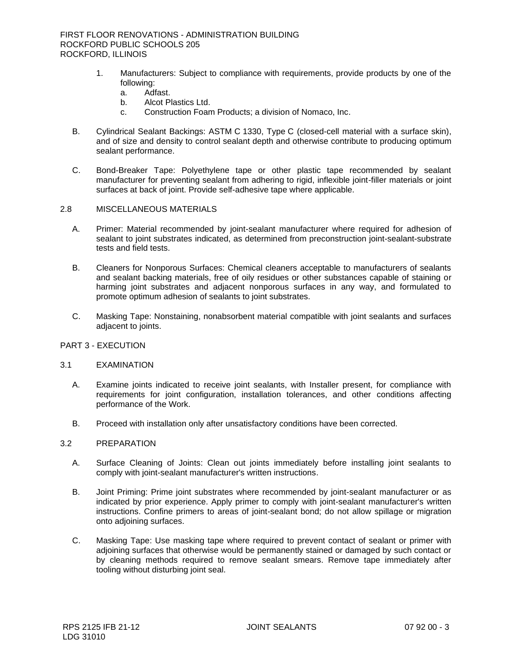- 1. [Manufacturers:](http://www.specagent.com/Lookup?ulid=9455) Subject to compliance with requirements, provide products by one of the following:
	- a. [Adfast.](http://www.specagent.com/Lookup?uid=123457104788)
	- b. [Alcot Plastics Ltd.](http://www.specagent.com/Lookup?uid=123457064684)
	- c. [Construction Foam Products; a division of Nomaco, Inc.](http://www.specagent.com/Lookup?uid=123457013491)
- B. Cylindrical Sealant Backings: ASTM C 1330, Type C (closed-cell material with a surface skin), and of size and density to control sealant depth and otherwise contribute to producing optimum sealant performance.
- C. Bond-Breaker Tape: Polyethylene tape or other plastic tape recommended by sealant manufacturer for preventing sealant from adhering to rigid, inflexible joint-filler materials or joint surfaces at back of joint. Provide self-adhesive tape where applicable.

# 2.8 MISCELLANEOUS MATERIALS

- A. Primer: Material recommended by joint-sealant manufacturer where required for adhesion of sealant to joint substrates indicated, as determined from preconstruction joint-sealant-substrate tests and field tests.
- B. Cleaners for Nonporous Surfaces: Chemical cleaners acceptable to manufacturers of sealants and sealant backing materials, free of oily residues or other substances capable of staining or harming joint substrates and adjacent nonporous surfaces in any way, and formulated to promote optimum adhesion of sealants to joint substrates.
- C. Masking Tape: Nonstaining, nonabsorbent material compatible with joint sealants and surfaces adjacent to joints.

# PART 3 - EXECUTION

#### 3.1 EXAMINATION

- A. Examine joints indicated to receive joint sealants, with Installer present, for compliance with requirements for joint configuration, installation tolerances, and other conditions affecting performance of the Work.
- B. Proceed with installation only after unsatisfactory conditions have been corrected.

#### 3.2 PREPARATION

- A. Surface Cleaning of Joints: Clean out joints immediately before installing joint sealants to comply with joint-sealant manufacturer's written instructions.
- B. Joint Priming: Prime joint substrates where recommended by joint-sealant manufacturer or as indicated by prior experience. Apply primer to comply with joint-sealant manufacturer's written instructions. Confine primers to areas of joint-sealant bond; do not allow spillage or migration onto adjoining surfaces.
- C. Masking Tape: Use masking tape where required to prevent contact of sealant or primer with adjoining surfaces that otherwise would be permanently stained or damaged by such contact or by cleaning methods required to remove sealant smears. Remove tape immediately after tooling without disturbing joint seal.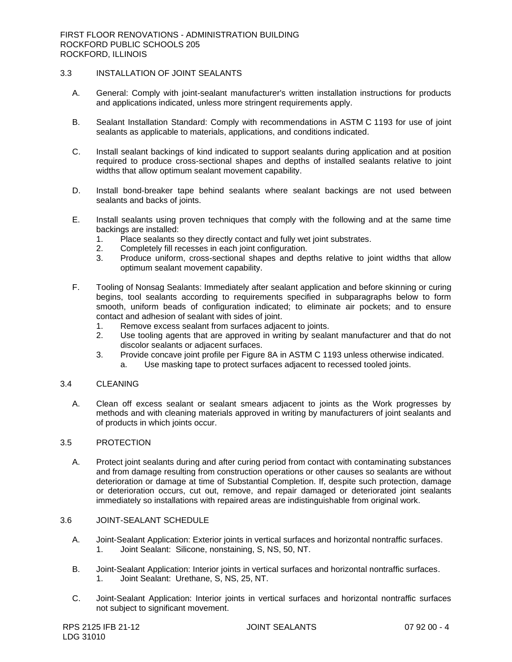# 3.3 INSTALLATION OF JOINT SEALANTS

- A. General: Comply with joint-sealant manufacturer's written installation instructions for products and applications indicated, unless more stringent requirements apply.
- B. Sealant Installation Standard: Comply with recommendations in ASTM C 1193 for use of joint sealants as applicable to materials, applications, and conditions indicated.
- C. Install sealant backings of kind indicated to support sealants during application and at position required to produce cross-sectional shapes and depths of installed sealants relative to joint widths that allow optimum sealant movement capability.
- D. Install bond-breaker tape behind sealants where sealant backings are not used between sealants and backs of joints.
- E. Install sealants using proven techniques that comply with the following and at the same time backings are installed:
	- 1. Place sealants so they directly contact and fully wet joint substrates.<br>2. Completely fill recesses in each joint configuration.
	- 2. Completely fill recesses in each joint configuration.
	- 3. Produce uniform, cross-sectional shapes and depths relative to joint widths that allow optimum sealant movement capability.
- F. Tooling of Nonsag Sealants: Immediately after sealant application and before skinning or curing begins, tool sealants according to requirements specified in subparagraphs below to form smooth, uniform beads of configuration indicated; to eliminate air pockets; and to ensure contact and adhesion of sealant with sides of joint.
	- 1. Remove excess sealant from surfaces adjacent to joints.
	- 2. Use tooling agents that are approved in writing by sealant manufacturer and that do not discolor sealants or adjacent surfaces.
	- 3. Provide concave joint profile per Figure 8A in ASTM C 1193 unless otherwise indicated.
		- a. Use masking tape to protect surfaces adjacent to recessed tooled joints.

# 3.4 CLEANING

A. Clean off excess sealant or sealant smears adjacent to joints as the Work progresses by methods and with cleaning materials approved in writing by manufacturers of joint sealants and of products in which joints occur.

## 3.5 PROTECTION

A. Protect joint sealants during and after curing period from contact with contaminating substances and from damage resulting from construction operations or other causes so sealants are without deterioration or damage at time of Substantial Completion. If, despite such protection, damage or deterioration occurs, cut out, remove, and repair damaged or deteriorated joint sealants immediately so installations with repaired areas are indistinguishable from original work.

# 3.6 JOINT-SEALANT SCHEDULE

- A. Joint-Sealant Application: Exterior joints in vertical surfaces and horizontal nontraffic surfaces. 1. Joint Sealant: Silicone, nonstaining, S, NS, 50, NT.
- B. Joint-Sealant Application: Interior joints in vertical surfaces and horizontal nontraffic surfaces. 1. Joint Sealant: Urethane, S, NS, 25, NT.
- C. Joint-Sealant Application: Interior joints in vertical surfaces and horizontal nontraffic surfaces not subject to significant movement.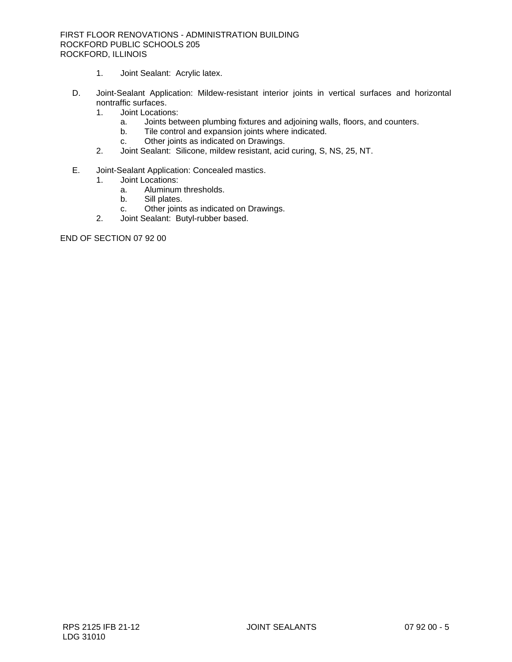# FIRST FLOOR RENOVATIONS - ADMINISTRATION BUILDING ROCKFORD PUBLIC SCHOOLS 205 ROCKFORD, ILLINOIS

- 1. Joint Sealant: Acrylic latex.
- D. Joint-Sealant Application: Mildew-resistant interior joints in vertical surfaces and horizontal nontraffic surfaces.
	- 1. Joint Locations:
		- a. Joints between plumbing fixtures and adjoining walls, floors, and counters.
		- b. Tile control and expansion joints where indicated.
		- c. Other joints as indicated on Drawings.
	- 2. Joint Sealant: Silicone, mildew resistant, acid curing, S, NS, 25, NT.
- E. Joint-Sealant Application: Concealed mastics.
	- 1. Joint Locations:
		- a. Aluminum thresholds.
		- b. Sill plates.
		- c. Other joints as indicated on Drawings.
	- 2. Joint Sealant: Butyl-rubber based.

END OF SECTION 07 92 00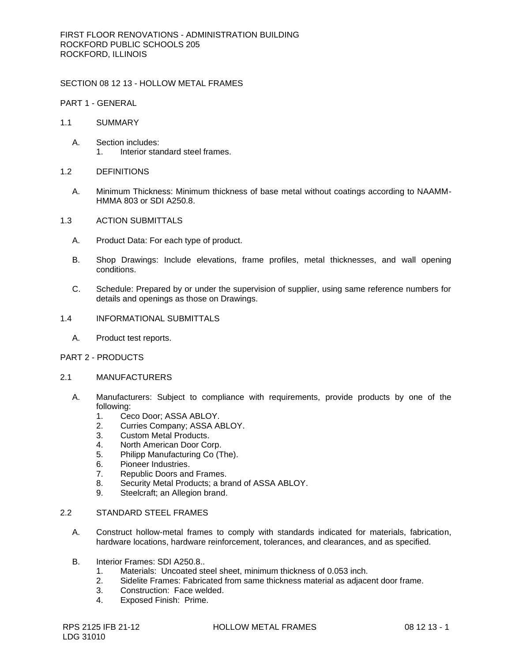SECTION 08 12 13 - HOLLOW METAL FRAMES

PART 1 - GENERAL

- 1.1 SUMMARY
	- A. Section includes: 1. Interior standard steel frames.
- 1.2 DEFINITIONS
	- A. Minimum Thickness: Minimum thickness of base metal without coatings according to NAAMM-HMMA 803 or SDI A250.8.
- 1.3 ACTION SUBMITTALS
	- A. Product Data: For each type of product.
	- B. Shop Drawings: Include elevations, frame profiles, metal thicknesses, and wall opening conditions.
	- C. Schedule: Prepared by or under the supervision of supplier, using same reference numbers for details and openings as those on Drawings.
- 1.4 INFORMATIONAL SUBMITTALS
	- A. Product test reports.

## PART 2 - PRODUCTS

- 2.1 MANUFACTURERS
	- A. [Manufacturers:](http://www.specagent.com/Lookup?ulid=5745) Subject to compliance with requirements, provide products by one of the following:
		- 1. [Ceco Door; ASSA ABLOY.](http://www.specagent.com/Lookup?uid=123457076044)
		- 2. [Curries Company; ASSA ABLOY.](http://www.specagent.com/Lookup?uid=123457076036)
		- 3. [Custom Metal Products.](http://www.specagent.com/Lookup?uid=123457076037)
		- 4. [North American Door Corp.](http://www.specagent.com/Lookup?uid=123457076052)
		- 5. [Philipp Manufacturing Co \(The\).](http://www.specagent.com/Lookup?uid=123457076057)
		- 6. [Pioneer Industries.](http://www.specagent.com/Lookup?uid=123457076067)
		- 7. [Republic Doors and Frames.](http://www.specagent.com/Lookup?uid=123457076070)
		- 8. [Security Metal Products; a brand of ASSA ABLOY.](http://www.specagent.com/Lookup?uid=123457076058)
		- 9. [Steelcraft; an Allegion brand.](http://www.specagent.com/Lookup?uid=123457076059)

# 2.2 STANDARD STEEL FRAMES

- A. Construct hollow-metal frames to comply with standards indicated for materials, fabrication, hardware locations, hardware reinforcement, tolerances, and clearances, and as specified.
- B. Interior Frames: SDI A250.8..
	- 1. Materials: Uncoated steel sheet, minimum thickness of 0.053 inch.
	- 2. Sidelite Frames: Fabricated from same thickness material as adjacent door frame.
	- 3. Construction: Face welded.
	- 4. Exposed Finish: Prime.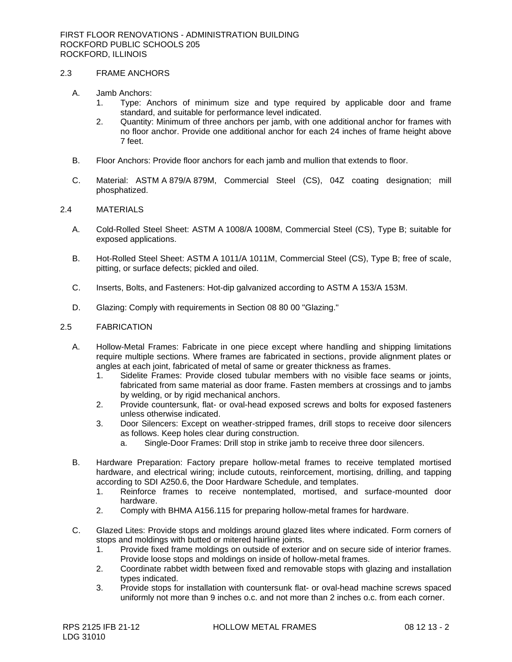# 2.3 FRAME ANCHORS

- A. Jamb Anchors:
	- 1. Type: Anchors of minimum size and type required by applicable door and frame standard, and suitable for performance level indicated.
	- 2. Quantity: Minimum of three anchors per jamb, with one additional anchor for frames with no floor anchor. Provide one additional anchor for each 24 inches of frame height above 7 feet.
- B. Floor Anchors: Provide floor anchors for each jamb and mullion that extends to floor.
- C. Material: ASTM A 879/A 879M, Commercial Steel (CS), 04Z coating designation; mill phosphatized.

### 2.4 MATERIALS

- A. Cold-Rolled Steel Sheet: ASTM A 1008/A 1008M, Commercial Steel (CS), Type B; suitable for exposed applications.
- B. Hot-Rolled Steel Sheet: ASTM A 1011/A 1011M, Commercial Steel (CS), Type B; free of scale, pitting, or surface defects; pickled and oiled.
- C. Inserts, Bolts, and Fasteners: Hot-dip galvanized according to ASTM A 153/A 153M.
- D. Glazing: Comply with requirements in Section 08 80 00 "Glazing."

## 2.5 FABRICATION

- A. Hollow-Metal Frames: Fabricate in one piece except where handling and shipping limitations require multiple sections. Where frames are fabricated in sections, provide alignment plates or angles at each joint, fabricated of metal of same or greater thickness as frames.
	- 1. Sidelite Frames: Provide closed tubular members with no visible face seams or joints, fabricated from same material as door frame. Fasten members at crossings and to jambs by welding, or by rigid mechanical anchors.
	- 2. Provide countersunk, flat- or oval-head exposed screws and bolts for exposed fasteners unless otherwise indicated.
	- 3. Door Silencers: Except on weather-stripped frames, drill stops to receive door silencers as follows. Keep holes clear during construction.
		- a. Single-Door Frames: Drill stop in strike jamb to receive three door silencers.
- B. Hardware Preparation: Factory prepare hollow-metal frames to receive templated mortised hardware, and electrical wiring; include cutouts, reinforcement, mortising, drilling, and tapping according to SDI A250.6, the Door Hardware Schedule, and templates.
	- 1. Reinforce frames to receive nontemplated, mortised, and surface-mounted door hardware.
	- 2. Comply with BHMA A156.115 for preparing hollow-metal frames for hardware.
- C. Glazed Lites: Provide stops and moldings around glazed lites where indicated. Form corners of stops and moldings with butted or mitered hairline joints.
	- 1. Provide fixed frame moldings on outside of exterior and on secure side of interior frames. Provide loose stops and moldings on inside of hollow-metal frames.
	- 2. Coordinate rabbet width between fixed and removable stops with glazing and installation types indicated.
	- 3. Provide stops for installation with countersunk flat- or oval-head machine screws spaced uniformly not more than 9 inches o.c. and not more than 2 inches o.c. from each corner.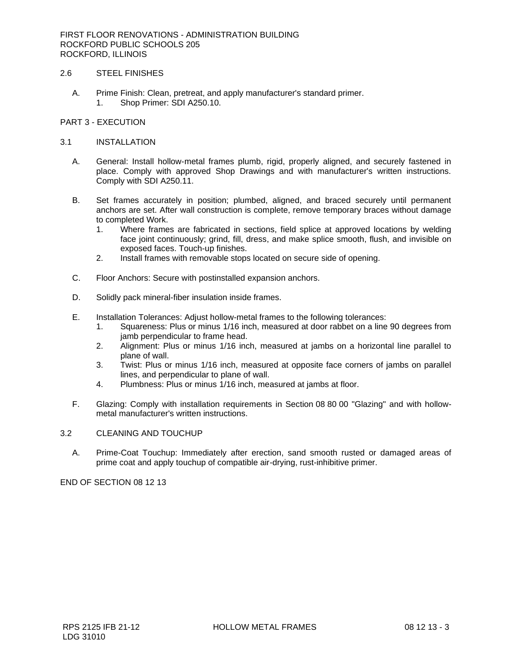FIRST FLOOR RENOVATIONS - ADMINISTRATION BUILDING ROCKFORD PUBLIC SCHOOLS 205 ROCKFORD, ILLINOIS

# 2.6 STEEL FINISHES

A. Prime Finish: Clean, pretreat, and apply manufacturer's standard primer. 1. Shop Primer: SDI A250.10.

## PART 3 - EXECUTION

### 3.1 INSTALLATION

- A. General: Install hollow-metal frames plumb, rigid, properly aligned, and securely fastened in place. Comply with approved Shop Drawings and with manufacturer's written instructions. Comply with SDI A250.11.
- B. Set frames accurately in position; plumbed, aligned, and braced securely until permanent anchors are set. After wall construction is complete, remove temporary braces without damage to completed Work.
	- 1. Where frames are fabricated in sections, field splice at approved locations by welding face joint continuously; grind, fill, dress, and make splice smooth, flush, and invisible on exposed faces. Touch-up finishes.
	- 2. Install frames with removable stops located on secure side of opening.
- C. Floor Anchors: Secure with postinstalled expansion anchors.
- D. Solidly pack mineral-fiber insulation inside frames.
- E. Installation Tolerances: Adjust hollow-metal frames to the following tolerances:
	- 1. Squareness: Plus or minus 1/16 inch, measured at door rabbet on a line 90 degrees from jamb perpendicular to frame head.
	- 2. Alignment: Plus or minus 1/16 inch, measured at jambs on a horizontal line parallel to plane of wall.
	- 3. Twist: Plus or minus 1/16 inch, measured at opposite face corners of jambs on parallel lines, and perpendicular to plane of wall.
	- 4. Plumbness: Plus or minus 1/16 inch, measured at jambs at floor.
- F. Glazing: Comply with installation requirements in Section 08 80 00 "Glazing" and with hollowmetal manufacturer's written instructions.

## 3.2 CLEANING AND TOUCHUP

A. Prime-Coat Touchup: Immediately after erection, sand smooth rusted or damaged areas of prime coat and apply touchup of compatible air-drying, rust-inhibitive primer.

END OF SECTION 08 12 13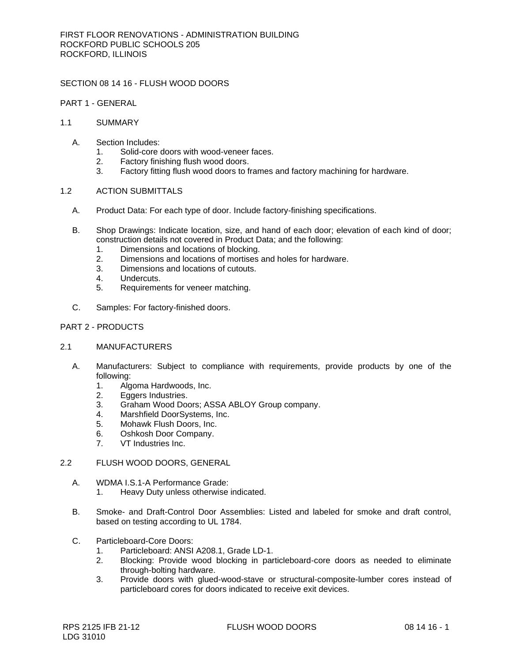SECTION 08 14 16 - FLUSH WOOD DOORS

PART 1 - GENERAL

## 1.1 SUMMARY

- A. Section Includes:
	- 1. Solid-core doors with wood-veneer faces.
	- 2. Factory finishing flush wood doors.
	- 3. Factory fitting flush wood doors to frames and factory machining for hardware.

### 1.2 ACTION SUBMITTALS

- A. Product Data: For each type of door. Include factory-finishing specifications.
- B. Shop Drawings: Indicate location, size, and hand of each door; elevation of each kind of door; construction details not covered in Product Data; and the following:
	- 1. Dimensions and locations of blocking.
	- 2. Dimensions and locations of mortises and holes for hardware.
	- 3. Dimensions and locations of cutouts.
	- 4. Undercuts.
	- 5. Requirements for veneer matching.
- C. Samples: For factory-finished doors.

## PART 2 - PRODUCTS

#### 2.1 MANUFACTURERS

- A. [Manufacturers:](http://www.specagent.com/Lookup?ulid=4) Subject to compliance with requirements, provide products by one of the following:
	- 1. [Algoma Hardwoods, Inc.](http://www.specagent.com/Lookup?uid=123457006427)
	- 2. [Eggers Industries.](http://www.specagent.com/Lookup?uid=123457006434)
	- 3. [Graham Wood Doors; ASSA ABLOY Group company.](http://www.specagent.com/Lookup?uid=123457006428)
	- 4. [Marshfield DoorSystems, Inc.](http://www.specagent.com/Lookup?uid=123457006440)
	- 5. [Mohawk Flush Doors, Inc.](http://www.specagent.com/Lookup?uid=123457006429)
	- 6. [Oshkosh Door Company.](http://www.specagent.com/Lookup?uid=123457006441)
	- 7. [VT Industries Inc.](http://www.specagent.com/Lookup?uid=123457006436)

# 2.2 FLUSH WOOD DOORS, GENERAL

- A. WDMA I.S.1-A Performance Grade: 1. Heavy Duty unless otherwise indicated.
- B. Smoke- and Draft-Control Door Assemblies: Listed and labeled for smoke and draft control, based on testing according to UL 1784.
- C. Particleboard-Core Doors:
	- 1. Particleboard: ANSI A208.1, Grade LD-1.
	- 2. Blocking: Provide wood blocking in particleboard-core doors as needed to eliminate through-bolting hardware.
	- 3. Provide doors with glued-wood-stave or structural-composite-lumber cores instead of particleboard cores for doors indicated to receive exit devices.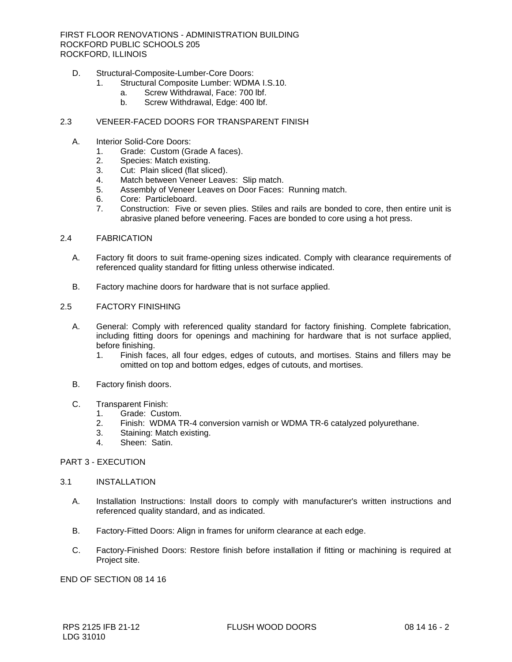FIRST FLOOR RENOVATIONS - ADMINISTRATION BUILDING ROCKFORD PUBLIC SCHOOLS 205 ROCKFORD, ILLINOIS

- D. Structural-Composite-Lumber-Core Doors:
	- 1. Structural Composite Lumber: WDMA I.S.10.
		- a. Screw Withdrawal, Face: 700 lbf.
			- b. Screw Withdrawal, Edge: 400 lbf.

### 2.3 VENEER-FACED DOORS FOR TRANSPARENT FINISH

- A. Interior Solid-Core Doors:
	- 1. Grade: Custom (Grade A faces).
	- 2. Species: Match existing.
	- 3. Cut: Plain sliced (flat sliced).
	- 4. Match between Veneer Leaves: Slip match.
	- 5. Assembly of Veneer Leaves on Door Faces: Running match.
	- 6. Core: Particleboard.
	- 7. Construction: Five or seven plies. Stiles and rails are bonded to core, then entire unit is abrasive planed before veneering. Faces are bonded to core using a hot press.

#### 2.4 FABRICATION

- A. Factory fit doors to suit frame-opening sizes indicated. Comply with clearance requirements of referenced quality standard for fitting unless otherwise indicated.
- B. Factory machine doors for hardware that is not surface applied.

#### 2.5 FACTORY FINISHING

- A. General: Comply with referenced quality standard for factory finishing. Complete fabrication, including fitting doors for openings and machining for hardware that is not surface applied, before finishing.
	- 1. Finish faces, all four edges, edges of cutouts, and mortises. Stains and fillers may be omitted on top and bottom edges, edges of cutouts, and mortises.
- B. Factory finish doors.

#### C. Transparent Finish:

- 1. Grade: Custom.
- 2. Finish: WDMA TR-4 conversion varnish or WDMA TR-6 catalyzed polyurethane.
- 3. Staining: Match existing.
- 4. Sheen: Satin.

## PART 3 - EXECUTION

#### 3.1 INSTALLATION

- A. Installation Instructions: Install doors to comply with manufacturer's written instructions and referenced quality standard, and as indicated.
- B. Factory-Fitted Doors: Align in frames for uniform clearance at each edge.
- C. Factory-Finished Doors: Restore finish before installation if fitting or machining is required at Project site.

END OF SECTION 08 14 16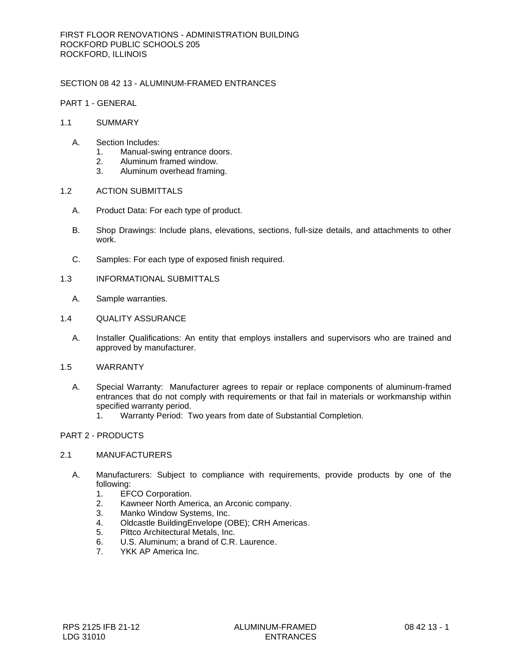# SECTION 08 42 13 - ALUMINUM-FRAMED ENTRANCES

PART 1 - GENERAL

## 1.1 SUMMARY

- A. Section Includes:
	- 1. Manual-swing entrance doors.
	- 2. Aluminum framed window.
	- 3. Aluminum overhead framing.

# 1.2 ACTION SUBMITTALS

- A. Product Data: For each type of product.
- B. Shop Drawings: Include plans, elevations, sections, full-size details, and attachments to other work.
- C. Samples: For each type of exposed finish required.

### 1.3 INFORMATIONAL SUBMITTALS

- A. Sample warranties.
- 1.4 QUALITY ASSURANCE
	- A. Installer Qualifications: An entity that employs installers and supervisors who are trained and approved by manufacturer.
- 1.5 WARRANTY
	- A. Special Warranty: Manufacturer agrees to repair or replace components of aluminum-framed entrances that do not comply with requirements or that fail in materials or workmanship within specified warranty period.
		- 1. Warranty Period: Two years from date of Substantial Completion.

# PART 2 - PRODUCTS

## 2.1 MANUFACTURERS

- A. [Manufacturers:](http://www.specagent.com/Lookup?ulid=12803) Subject to compliance with requirements, provide products by one of the following:
	- 1. [EFCO Corporation.](http://www.specagent.com/Lookup?uid=123457066307)
	- 2. [Kawneer North America, an Arconic company.](http://www.specagent.com/Lookup?uid=123457066308)
	- 3. [Manko Window Systems, Inc.](http://www.specagent.com/Lookup?uid=123457066310)
	- 4. [Oldcastle BuildingEnvelope \(OBE\); CRH Americas.](http://www.specagent.com/Lookup?uid=123457066311)
	- 5. [Pittco Architectural Metals, Inc.](http://www.specagent.com/Lookup?uid=123457066312)
	- 6. [U.S. Aluminum; a brand of C.R. Laurence.](http://www.specagent.com/Lookup?uid=123457066315)
	- 7. [YKK AP America Inc.](http://www.specagent.com/Lookup?uid=123457066318)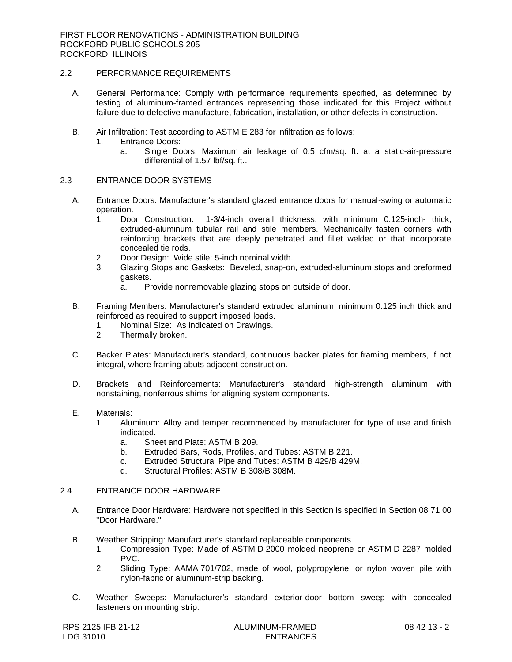# 2.2 PERFORMANCE REQUIREMENTS

- A. General Performance: Comply with performance requirements specified, as determined by testing of aluminum-framed entrances representing those indicated for this Project without failure due to defective manufacture, fabrication, installation, or other defects in construction.
- B. Air Infiltration: Test according to ASTM E 283 for infiltration as follows:
	- 1. Entrance Doors:
		- a. Single Doors: Maximum air leakage of 0.5 cfm/sq. ft. at a static-air-pressure differential of 1.57 lbf/sq. ft..

## 2.3 ENTRANCE DOOR SYSTEMS

- A. Entrance Doors: Manufacturer's standard glazed entrance doors for manual-swing or automatic operation.
	- 1. Door Construction: 1-3/4-inch overall thickness, with minimum 0.125-inch- thick, extruded-aluminum tubular rail and stile members. Mechanically fasten corners with reinforcing brackets that are deeply penetrated and fillet welded or that incorporate concealed tie rods.
	- 2. Door Design: Wide stile; 5-inch nominal width.
	- 3. Glazing Stops and Gaskets: Beveled, snap-on, extruded-aluminum stops and preformed gaskets.
		- a. Provide nonremovable glazing stops on outside of door.
- B. Framing Members: Manufacturer's standard extruded aluminum, minimum 0.125 inch thick and reinforced as required to support imposed loads.
	- 1. Nominal Size: As indicated on Drawings.
	- 2. Thermally broken.
- C. Backer Plates: Manufacturer's standard, continuous backer plates for framing members, if not integral, where framing abuts adjacent construction.
- D. Brackets and Reinforcements: Manufacturer's standard high-strength aluminum with nonstaining, nonferrous shims for aligning system components.
- E. Materials:
	- 1. Aluminum: Alloy and temper recommended by manufacturer for type of use and finish indicated.
		- a. Sheet and Plate: ASTM B 209.
		- b. Extruded Bars, Rods, Profiles, and Tubes: ASTM B 221.
		- c. Extruded Structural Pipe and Tubes: ASTM B 429/B 429M.
		- d. Structural Profiles: ASTM B 308/B 308M.

## 2.4 ENTRANCE DOOR HARDWARE

- A. Entrance Door Hardware: Hardware not specified in this Section is specified in Section 08 71 00 "Door Hardware."
- B. Weather Stripping: Manufacturer's standard replaceable components.
	- 1. Compression Type: Made of ASTM D 2000 molded neoprene or ASTM D 2287 molded PVC.
	- 2. Sliding Type: AAMA 701/702, made of wool, polypropylene, or nylon woven pile with nylon-fabric or aluminum-strip backing.
- C. Weather Sweeps: Manufacturer's standard exterior-door bottom sweep with concealed fasteners on mounting strip.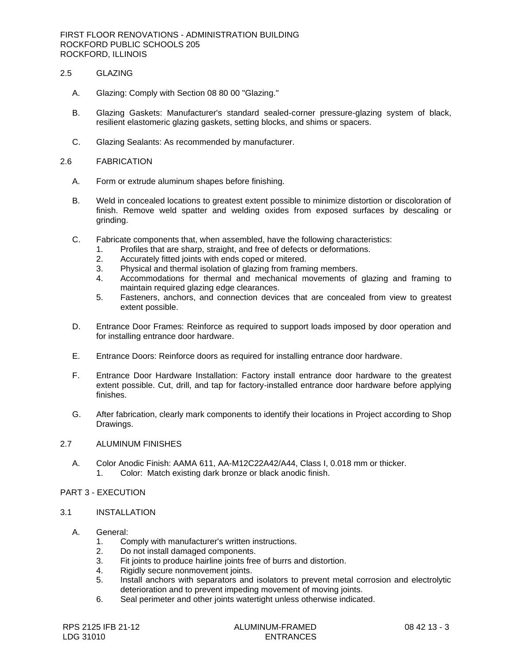FIRST FLOOR RENOVATIONS - ADMINISTRATION BUILDING ROCKFORD PUBLIC SCHOOLS 205 ROCKFORD, ILLINOIS

# 2.5 GLAZING

- A. Glazing: Comply with Section 08 80 00 "Glazing."
- B. Glazing Gaskets: Manufacturer's standard sealed-corner pressure-glazing system of black, resilient elastomeric glazing gaskets, setting blocks, and shims or spacers.
- C. Glazing Sealants: As recommended by manufacturer.

#### 2.6 FABRICATION

- A. Form or extrude aluminum shapes before finishing.
- B. Weld in concealed locations to greatest extent possible to minimize distortion or discoloration of finish. Remove weld spatter and welding oxides from exposed surfaces by descaling or grinding.
- C. Fabricate components that, when assembled, have the following characteristics:
	- 1. Profiles that are sharp, straight, and free of defects or deformations.
	- 2. Accurately fitted joints with ends coped or mitered.
	- 3. Physical and thermal isolation of glazing from framing members.
	- 4. Accommodations for thermal and mechanical movements of glazing and framing to maintain required glazing edge clearances.
	- 5. Fasteners, anchors, and connection devices that are concealed from view to greatest extent possible.
- D. Entrance Door Frames: Reinforce as required to support loads imposed by door operation and for installing entrance door hardware.
- E. Entrance Doors: Reinforce doors as required for installing entrance door hardware.
- F. Entrance Door Hardware Installation: Factory install entrance door hardware to the greatest extent possible. Cut, drill, and tap for factory-installed entrance door hardware before applying finishes.
- G. After fabrication, clearly mark components to identify their locations in Project according to Shop Drawings.

#### 2.7 ALUMINUM FINISHES

A. Color Anodic Finish: AAMA 611, AA-M12C22A42/A44, Class I, 0.018 mm or thicker. 1. Color: Match existing dark bronze or black anodic finish.

## PART 3 - EXECUTION

- 3.1 INSTALLATION
	- A. General:
		- 1. Comply with manufacturer's written instructions.
		- 2. Do not install damaged components.
		- 3. Fit joints to produce hairline joints free of burrs and distortion.
		- 4. Rigidly secure nonmovement joints.
		- 5. Install anchors with separators and isolators to prevent metal corrosion and electrolytic deterioration and to prevent impeding movement of moving joints.
		- 6. Seal perimeter and other joints watertight unless otherwise indicated.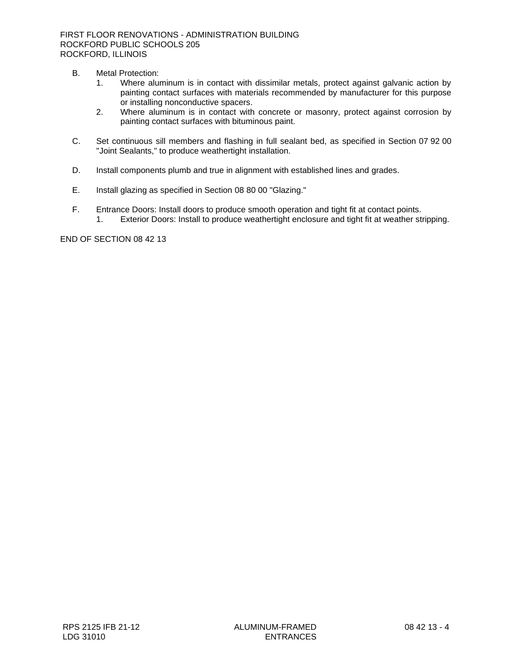- B. Metal Protection:
	- 1. Where aluminum is in contact with dissimilar metals, protect against galvanic action by painting contact surfaces with materials recommended by manufacturer for this purpose or installing nonconductive spacers.
	- 2. Where aluminum is in contact with concrete or masonry, protect against corrosion by painting contact surfaces with bituminous paint.
- C. Set continuous sill members and flashing in full sealant bed, as specified in Section 07 92 00 "Joint Sealants," to produce weathertight installation.
- D. Install components plumb and true in alignment with established lines and grades.
- E. Install glazing as specified in Section 08 80 00 "Glazing."
- F. Entrance Doors: Install doors to produce smooth operation and tight fit at contact points. 1. Exterior Doors: Install to produce weathertight enclosure and tight fit at weather stripping.

END OF SECTION 08 42 13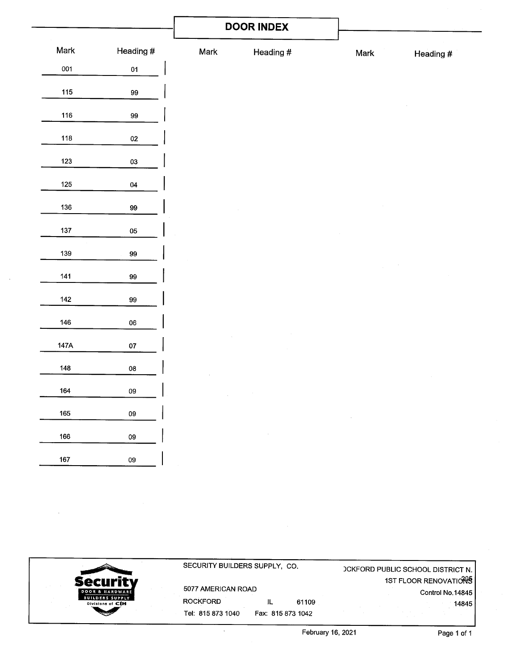|         |                    |             | <b>DOOR INDEX</b> |      |           |
|---------|--------------------|-------------|-------------------|------|-----------|
| Mark    | Heading #          | Mark        | Heading #         | Mark | Heading # |
| 001     | 01                 |             |                   |      |           |
| 115     | $99\,$             |             |                   |      |           |
| 116     | 99                 |             |                   |      |           |
| 118     | $02\,$             |             |                   |      |           |
| 123     | 03                 |             |                   |      |           |
| $125\,$ | $04\,$             |             |                   |      |           |
| 136     | 99                 |             |                   |      |           |
| 137     | $05\,$             |             |                   |      |           |
| 139     | 99                 |             |                   |      |           |
| $141$   | 99                 |             |                   |      |           |
| $142$   | 99                 |             |                   |      |           |
| 146     | ${\bf 06}$         |             |                   |      |           |
| 147A    | 07                 |             |                   |      |           |
| $148\,$ | ${\bf 08}$         |             |                   |      |           |
| 164     | 09<br>$\mathbf{I}$ | $\sim 10^7$ |                   |      |           |
| 165     | ${\bf 09}$         |             |                   |      |           |
| 166     | ${\bf 09}$         |             | $\sim$            |      |           |
| 167     | ${\bf 09}$         |             |                   |      |           |

 $\sim 10^{11}$ 

 $\mathcal{A}^{\mathcal{A}}$  ,  $\mathcal{A}$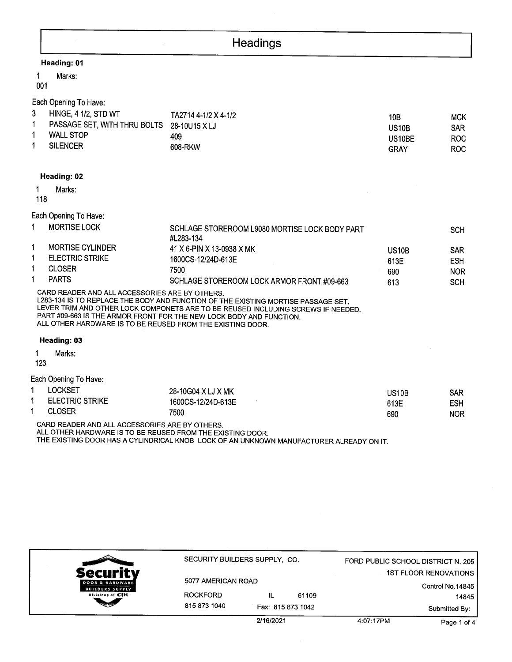|                                                                                                              | Headings                                                                                                                                                                                                                                     |                     |                          |
|--------------------------------------------------------------------------------------------------------------|----------------------------------------------------------------------------------------------------------------------------------------------------------------------------------------------------------------------------------------------|---------------------|--------------------------|
| Heading: 01                                                                                                  |                                                                                                                                                                                                                                              |                     |                          |
| Marks:<br>1<br>001                                                                                           |                                                                                                                                                                                                                                              |                     |                          |
| Each Opening To Have:<br>3<br><b>HINGE, 4 1/2, STD WT</b>                                                    | TA2714 4-1/2 X 4-1/2                                                                                                                                                                                                                         |                     |                          |
| 1<br>PASSAGE SET, WITH THRU BOLTS                                                                            | 28-10U15 X LJ                                                                                                                                                                                                                                | 10B<br><b>US10B</b> | <b>MCK</b><br><b>SAR</b> |
| 1<br><b>WALL STOP</b>                                                                                        | 409                                                                                                                                                                                                                                          | US10BE              | <b>ROC</b>               |
| <b>SILENCER</b><br>1                                                                                         | 608-RKW                                                                                                                                                                                                                                      | <b>GRAY</b>         | <b>ROC</b>               |
| Heading: 02                                                                                                  |                                                                                                                                                                                                                                              |                     |                          |
| Marks:<br>1<br>118                                                                                           |                                                                                                                                                                                                                                              |                     |                          |
| Each Opening To Have:                                                                                        |                                                                                                                                                                                                                                              |                     |                          |
| <b>MORTISE LOCK</b><br>1                                                                                     | SCHLAGE STOREROOM L9080 MORTISE LOCK BODY PART<br>#L283-134                                                                                                                                                                                  |                     | <b>SCH</b>               |
| 1<br><b>MORTISE CYLINDER</b>                                                                                 | 41 X 6-PIN X 13-0938 X MK                                                                                                                                                                                                                    | <b>US10B</b>        | SAR                      |
| <b>ELECTRIC STRIKE</b><br>1                                                                                  | 1600CS-12/24D-613E                                                                                                                                                                                                                           | 613E                | <b>ESH</b>               |
| 1<br><b>CLOSER</b>                                                                                           | 7500                                                                                                                                                                                                                                         | 690                 | <b>NOR</b>               |
| <b>PARTS</b><br>1                                                                                            | SCHLAGE STOREROOM LOCK ARMOR FRONT #09-663                                                                                                                                                                                                   | 613                 | <b>SCH</b>               |
| CARD READER AND ALL ACCESSORIES ARE BY OTHERS.<br>ALL OTHER HARDWARE IS TO BE REUSED FROM THE EXISTING DOOR. | L283-134 IS TO REPLACE THE BODY AND FUNCTION OF THE EXISTING MORTISE PASSAGE SET.<br>LEVER TRIM AND OTHER LOCK COMPONETS ARE TO BE REUSED INCLUDING SCREWS IF NEEDED.<br>PART #09-663 IS THE ARMOR FRONT FOR THE NEW LOCK BODY AND FUNCTION. |                     |                          |
| Heading: 03                                                                                                  |                                                                                                                                                                                                                                              |                     |                          |
| Marks:<br>1<br>123                                                                                           |                                                                                                                                                                                                                                              |                     |                          |
| Each Opening To Have:                                                                                        |                                                                                                                                                                                                                                              |                     |                          |
| <b>LOCKSET</b><br>1                                                                                          | 28-10G04 X LJ X MK                                                                                                                                                                                                                           | <b>US10B</b>        | <b>SAR</b>               |
| <b>ELECTRIC STRIKE</b><br>1                                                                                  | 1600CS-12/24D-613E                                                                                                                                                                                                                           | 613E                | <b>ESH</b>               |
| <b>CLOSER</b>                                                                                                | 7500                                                                                                                                                                                                                                         | 690                 | <b>NOR</b>               |
| CARD READER AND ALL ACCESSORIES ARE BY OTHERS.                                                               |                                                                                                                                                                                                                                              |                     |                          |

ALL OTHER HARDWARE IS TO BE REUSED FROM THE EXISTING DOOR.<br>THE EXISTING DOOR HAS A CYLINDRICAL KNOB LOCK OF AN UNKNOWN MANUFACTURER ALREADY ON IT.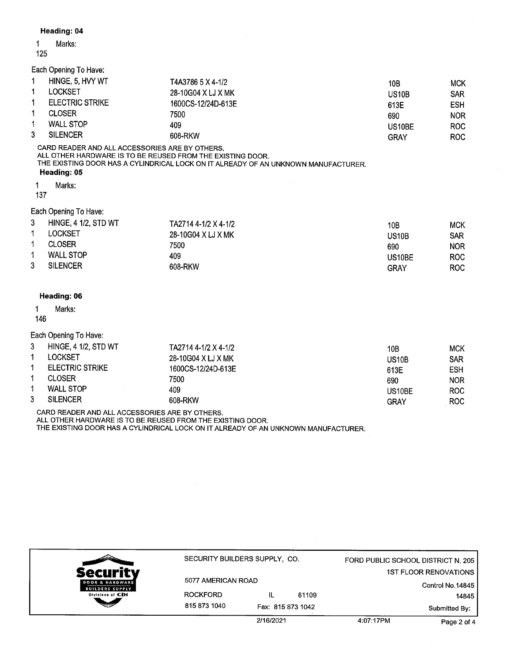# Heading: 04

#### $\mathbf{1}$ Marks:

## 125

Each Opening To Have:

|             | HINGE, 5, HVY WT       | T4A3786 5 X 4-1/2  | 10B                 | <b>MCK</b> |
|-------------|------------------------|--------------------|---------------------|------------|
| 1           | LOCKSET                | 28-10G04 X LJ X MK | US10B               | <b>SAR</b> |
| $\mathbf 1$ | <b>ELECTRIC STRIKE</b> | 1600CS-12/24D-613E | 613E                | <b>ESH</b> |
| 1           | <b>CLOSER</b>          | 7500               | 690                 | <b>NOR</b> |
|             | <b>WALL STOP</b>       | 409                | US <sub>10</sub> BE | ROC.       |
| 3           | <b>SILENCER</b>        | 608-RKW            | GRAY                | ROC.       |

CARD READER AND ALL ACCESSORIES ARE BY OTHERS. ALL OTHER HARDWARE IS TO BE REUSED FROM THE EXISTING DOOR. THE EXISTING DOOR HAS A CYLINDRICAL LOCK ON IT ALREADY OF AN UNKNOWN MANUFACTURER. Heading: 05

Marks:  $\mathbf{1}$ 

137

# Each Opening To Have:

| -3 | <b>HINGE, 4 1/2, STD WT</b> | TA2714 4-1/2 X 4-1/2 | 10B    | <b>MCK</b> |
|----|-----------------------------|----------------------|--------|------------|
|    | <b>LOCKSET</b>              | 28-10G04 X LJ X MK   | US10B  | <b>SAR</b> |
|    | <b>CLOSER</b>               | 7500                 | 690    | <b>NOR</b> |
| 1  | <b>WALL STOP</b>            | 409                  | US10BE | ROC.       |
| 3  | <b>SILENCER</b>             | 608-RKW              | GRAY   | ROC.       |

## Heading: 06

#### $\mathbf{1}$ Marks:

146

### Each Opening To Have:

| 3 | <b>HINGE, 4 1/2, STD WT</b> | TA2714 4-1/2 X 4-1/2 | 10B                | MCK        |
|---|-----------------------------|----------------------|--------------------|------------|
|   | LOCKSET                     | 28-10G04 X LJ X MK   | US <sub>10</sub> B | <b>SAR</b> |
|   | <b>ELECTRIC STRIKE</b>      | 1600CS-12/24D-613E   | 613E               | <b>ESH</b> |
|   | <b>CLOSER</b>               | 7500                 | 690                | <b>NOR</b> |
|   | <b>WALL STOP</b>            | 409                  | US10BE             | <b>ROC</b> |
| 3 | <b>SILENCER</b>             | 608-RKW              | GRAY               | ROC        |

CARD READER AND ALL ACCESSORIES ARE BY OTHERS. ALL OTHER HARDWARE IS TO BE REUSED FROM THE EXISTING DOOR. THE EXISTING DOOR HAS A CYLINDRICAL LOCK ON IT ALREADY OF AN UNKNOWN MANUFACTURER.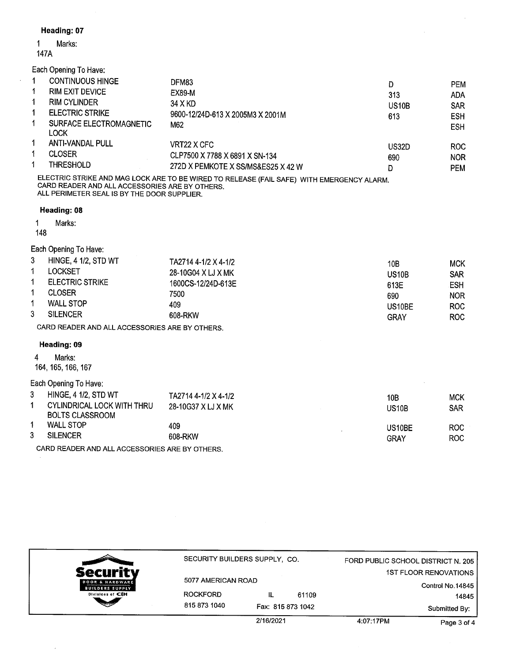# Heading: 07

#### Marks:  $\mathbf{1}$

147A

Each Opening To Have:

|   | <b>CONTINUOUS HINGE</b>         | DFM83                              | D                  | <b>PEM</b> |
|---|---------------------------------|------------------------------------|--------------------|------------|
| 1 | <b>RIM EXIT DEVICE</b>          | EX89-M                             | 313                | <b>ADA</b> |
|   | <b>RIM CYLINDER</b>             | 34 X KD                            | US <sub>10</sub> B | <b>SAR</b> |
|   | <b>ELECTRIC STRIKE</b>          | 9600-12/24D-613 X 2005M3 X 2001M   | 613                | <b>ESH</b> |
|   | SURFACE ELECTROMAGNETIC<br>LOCK | M62                                |                    | <b>ESH</b> |
|   | <b>ANTI-VANDAL PULL</b>         | VRT22 X CFC                        | US32D              | <b>ROC</b> |
|   | <b>CLOSER</b>                   | CLP7500 X 7788 X 6891 X SN-134     | 690                | <b>NOR</b> |
|   | <b>THRESHOLD</b>                | 272D X PEMKOTE X SS/MS&ES25 X 42 W | D                  | <b>PEM</b> |

ELECTRIC STRIKE AND MAG LOCK ARE TO BE WIRED TO RELEASE (FAIL SAFE) WITH EMERGENCY ALARM. CARD READER AND ALL ACCESSORIES ARE BY OTHERS. ALL PERIMETER SEAL IS BY THE DOOR SUPPLIER.

# Heading: 08

1 Marks:

148

# Each Opening To Have:

| 3 | <b>HINGE, 4 1/2, STD WT</b> | TA2714 4-1/2 X 4-1/2 | 10B          | <b>MCK</b> |
|---|-----------------------------|----------------------|--------------|------------|
|   | LOCKSET                     | 28-10G04 X LJ X MK   | <b>US10B</b> | <b>SAR</b> |
|   | <b>ELECTRIC STRIKE</b>      | 1600CS-12/24D-613E   | 613E         | ESH        |
|   | <b>CLOSER</b>               | 7500                 | 690          | <b>NOR</b> |
|   | <b>WALL STOP</b>            | 409                  | US10BE       | ROC.       |
| 3 | <b>SILENCER</b>             | 608-RKW              | GRAY         | ROC.       |

CARD READER AND ALL ACCESSORIES ARE BY OTHERS.

# Heading: 09

 $\overline{\mathbf{4}}$ Marks:

164, 165, 166, 167

# Each Opening To Have:

| <b>HINGE, 4 1/2, STD WT</b><br>CYLINDRICAL LOCK WITH THRU<br>BOLTS CLASSROOM | TA2714 4-1/2 X 4-1/2<br>28-10G37 X LJ X MK | 10B<br>US <sub>10</sub> B | <b>MCK</b><br>SAR |
|------------------------------------------------------------------------------|--------------------------------------------|---------------------------|-------------------|
| <b>WALL STOP</b>                                                             | 409                                        | US10BE                    | <b>ROC</b>        |
| <b>SILENCER</b>                                                              | 608-RKW                                    | GRAY                      | ROC               |

CARD READER AND ALL ACCESSORIES ARE BY OTHERS.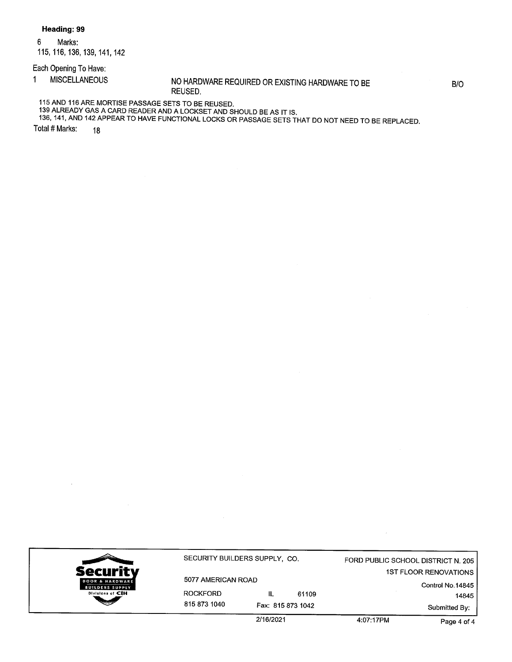Heading: 99

 $6\phantom{a}$ Marks: 115, 116, 136, 139, 141, 142

Each Opening To Have:

**MISCELLANEOUS**  $\mathbf{1}$ 

NO HARDWARE REQUIRED OR EXISTING HARDWARE TO BE REUSED.

B/O

115 AND 116 ARE MORTISE PASSAGE SETS TO BE REUSED.

139 ALREADY GAS A CARD READER AND A LOCKSET AND SHOULD BE AS IT IS.

136, 141, AND 142 APPEAR TO HAVE FUNCTIONAL LOCKS OR PASSAGE SETS THAT DO NOT NEED TO BE REPLACED.

Total # Marks: 18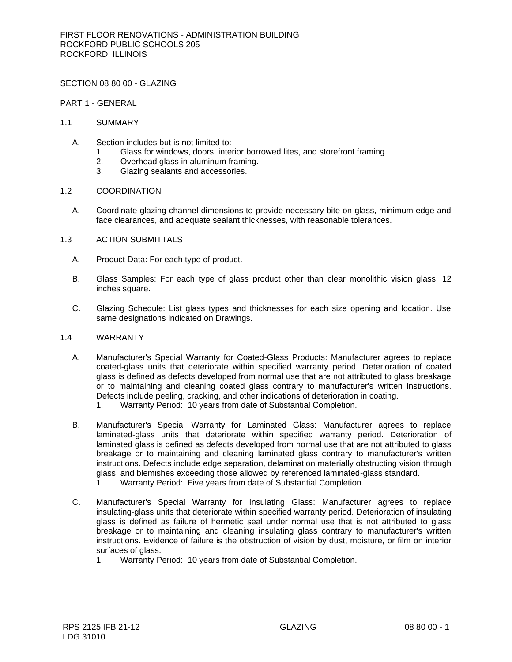SECTION 08 80 00 - GLAZING

PART 1 - GENERAL

## 1.1 SUMMARY

- A. Section includes but is not limited to:
	- 1. Glass for windows, doors, interior borrowed lites, and storefront framing.
	- 2. Overhead glass in aluminum framing.
	- 3. Glazing sealants and accessories.

### 1.2 COORDINATION

- A. Coordinate glazing channel dimensions to provide necessary bite on glass, minimum edge and face clearances, and adequate sealant thicknesses, with reasonable tolerances.
- 1.3 ACTION SUBMITTALS
	- A. Product Data: For each type of product.
	- B. Glass Samples: For each type of glass product other than clear monolithic vision glass; 12 inches square.
	- C. Glazing Schedule: List glass types and thicknesses for each size opening and location. Use same designations indicated on Drawings.

#### 1.4 WARRANTY

- A. Manufacturer's Special Warranty for Coated-Glass Products: Manufacturer agrees to replace coated-glass units that deteriorate within specified warranty period. Deterioration of coated glass is defined as defects developed from normal use that are not attributed to glass breakage or to maintaining and cleaning coated glass contrary to manufacturer's written instructions. Defects include peeling, cracking, and other indications of deterioration in coating.
	- 1. Warranty Period: 10 years from date of Substantial Completion.
- B. Manufacturer's Special Warranty for Laminated Glass: Manufacturer agrees to replace laminated-glass units that deteriorate within specified warranty period. Deterioration of laminated glass is defined as defects developed from normal use that are not attributed to glass breakage or to maintaining and cleaning laminated glass contrary to manufacturer's written instructions. Defects include edge separation, delamination materially obstructing vision through glass, and blemishes exceeding those allowed by referenced laminated-glass standard. 1. Warranty Period: Five years from date of Substantial Completion.
- C. Manufacturer's Special Warranty for Insulating Glass: Manufacturer agrees to replace insulating-glass units that deteriorate within specified warranty period. Deterioration of insulating glass is defined as failure of hermetic seal under normal use that is not attributed to glass breakage or to maintaining and cleaning insulating glass contrary to manufacturer's written instructions. Evidence of failure is the obstruction of vision by dust, moisture, or film on interior surfaces of glass.
	- 1. Warranty Period: 10 years from date of Substantial Completion.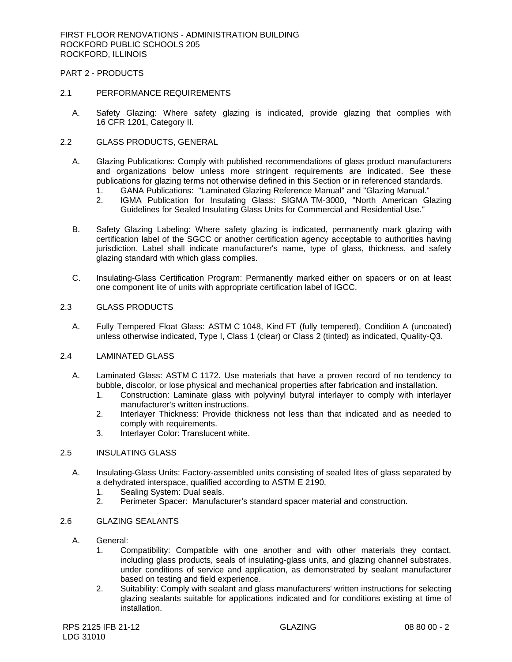PART 2 - PRODUCTS

#### 2.1 PERFORMANCE REQUIREMENTS

- A. Safety Glazing: Where safety glazing is indicated, provide glazing that complies with 16 CFR 1201, Category II.
- 2.2 GLASS PRODUCTS, GENERAL
	- A. Glazing Publications: Comply with published recommendations of glass product manufacturers and organizations below unless more stringent requirements are indicated. See these publications for glazing terms not otherwise defined in this Section or in referenced standards.
		- 1. GANA Publications: "Laminated Glazing Reference Manual" and "Glazing Manual."
		- 2. IGMA Publication for Insulating Glass: SIGMA TM-3000, "North American Glazing Guidelines for Sealed Insulating Glass Units for Commercial and Residential Use."
	- B. Safety Glazing Labeling: Where safety glazing is indicated, permanently mark glazing with certification label of the SGCC or another certification agency acceptable to authorities having jurisdiction. Label shall indicate manufacturer's name, type of glass, thickness, and safety glazing standard with which glass complies.
	- C. Insulating-Glass Certification Program: Permanently marked either on spacers or on at least one component lite of units with appropriate certification label of IGCC.

### 2.3 GLASS PRODUCTS

A. Fully Tempered Float Glass: ASTM C 1048, Kind FT (fully tempered), Condition A (uncoated) unless otherwise indicated, Type I, Class 1 (clear) or Class 2 (tinted) as indicated, Quality-Q3.

## 2.4 LAMINATED GLASS

- A. Laminated Glass: ASTM C 1172. Use materials that have a proven record of no tendency to bubble, discolor, or lose physical and mechanical properties after fabrication and installation.
	- 1. Construction: Laminate glass with polyvinyl butyral interlayer to comply with interlayer manufacturer's written instructions.
	- 2. Interlayer Thickness: Provide thickness not less than that indicated and as needed to comply with requirements.
	- 3. Interlayer Color: Translucent white.

## 2.5 INSULATING GLASS

- A. Insulating-Glass Units: Factory-assembled units consisting of sealed lites of glass separated by a dehydrated interspace, qualified according to ASTM E 2190.
	- 1. Sealing System: Dual seals.
	- 2. Perimeter Spacer: Manufacturer's standard spacer material and construction.

# 2.6 GLAZING SEALANTS

- A. General:
	- 1. Compatibility: Compatible with one another and with other materials they contact, including glass products, seals of insulating-glass units, and glazing channel substrates, under conditions of service and application, as demonstrated by sealant manufacturer based on testing and field experience.
	- 2. Suitability: Comply with sealant and glass manufacturers' written instructions for selecting glazing sealants suitable for applications indicated and for conditions existing at time of installation.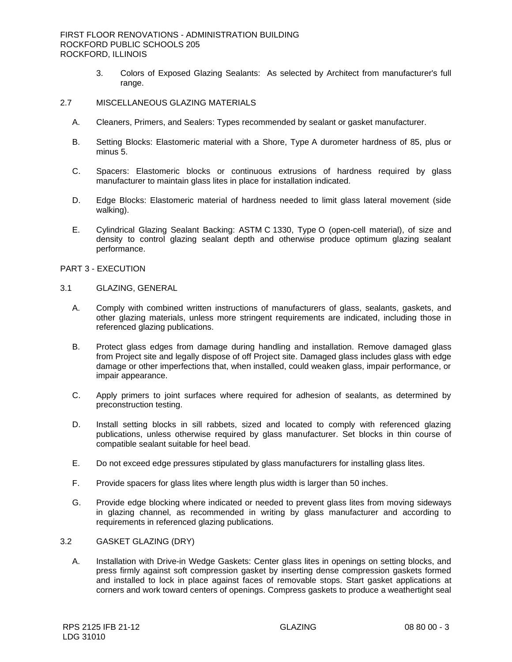3. Colors of Exposed Glazing Sealants: As selected by Architect from manufacturer's full range.

# 2.7 MISCELLANEOUS GLAZING MATERIALS

- A. Cleaners, Primers, and Sealers: Types recommended by sealant or gasket manufacturer.
- B. Setting Blocks: Elastomeric material with a Shore, Type A durometer hardness of 85, plus or minus 5.
- C. Spacers: Elastomeric blocks or continuous extrusions of hardness required by glass manufacturer to maintain glass lites in place for installation indicated.
- D. Edge Blocks: Elastomeric material of hardness needed to limit glass lateral movement (side walking).
- E. Cylindrical Glazing Sealant Backing: ASTM C 1330, Type O (open-cell material), of size and density to control glazing sealant depth and otherwise produce optimum glazing sealant performance.

PART 3 - EXECUTION

- 3.1 GLAZING, GENERAL
	- A. Comply with combined written instructions of manufacturers of glass, sealants, gaskets, and other glazing materials, unless more stringent requirements are indicated, including those in referenced glazing publications.
	- B. Protect glass edges from damage during handling and installation. Remove damaged glass from Project site and legally dispose of off Project site. Damaged glass includes glass with edge damage or other imperfections that, when installed, could weaken glass, impair performance, or impair appearance.
	- C. Apply primers to joint surfaces where required for adhesion of sealants, as determined by preconstruction testing.
	- D. Install setting blocks in sill rabbets, sized and located to comply with referenced glazing publications, unless otherwise required by glass manufacturer. Set blocks in thin course of compatible sealant suitable for heel bead.
	- E. Do not exceed edge pressures stipulated by glass manufacturers for installing glass lites.
	- F. Provide spacers for glass lites where length plus width is larger than 50 inches.
	- G. Provide edge blocking where indicated or needed to prevent glass lites from moving sideways in glazing channel, as recommended in writing by glass manufacturer and according to requirements in referenced glazing publications.

## 3.2 GASKET GLAZING (DRY)

A. Installation with Drive-in Wedge Gaskets: Center glass lites in openings on setting blocks, and press firmly against soft compression gasket by inserting dense compression gaskets formed and installed to lock in place against faces of removable stops. Start gasket applications at corners and work toward centers of openings. Compress gaskets to produce a weathertight seal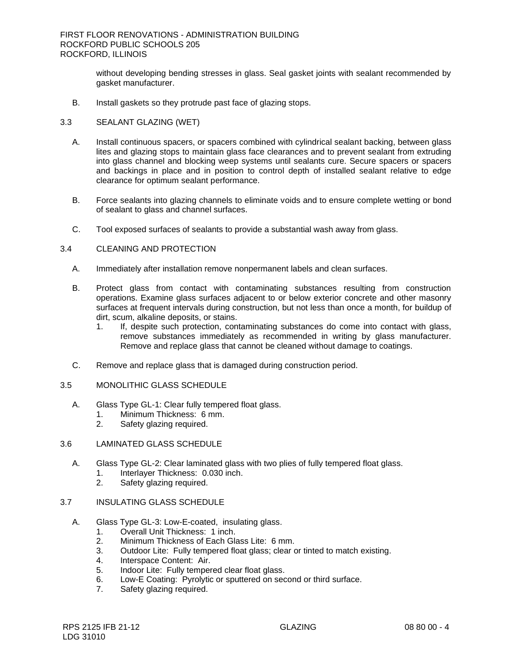without developing bending stresses in glass. Seal gasket joints with sealant recommended by gasket manufacturer.

B. Install gaskets so they protrude past face of glazing stops.

## 3.3 SEALANT GLAZING (WET)

- A. Install continuous spacers, or spacers combined with cylindrical sealant backing, between glass lites and glazing stops to maintain glass face clearances and to prevent sealant from extruding into glass channel and blocking weep systems until sealants cure. Secure spacers or spacers and backings in place and in position to control depth of installed sealant relative to edge clearance for optimum sealant performance.
- B. Force sealants into glazing channels to eliminate voids and to ensure complete wetting or bond of sealant to glass and channel surfaces.
- C. Tool exposed surfaces of sealants to provide a substantial wash away from glass.
- 3.4 CLEANING AND PROTECTION
	- A. Immediately after installation remove nonpermanent labels and clean surfaces.
	- B. Protect glass from contact with contaminating substances resulting from construction operations. Examine glass surfaces adjacent to or below exterior concrete and other masonry surfaces at frequent intervals during construction, but not less than once a month, for buildup of dirt, scum, alkaline deposits, or stains.
		- 1. If, despite such protection, contaminating substances do come into contact with glass, remove substances immediately as recommended in writing by glass manufacturer. Remove and replace glass that cannot be cleaned without damage to coatings.
	- C. Remove and replace glass that is damaged during construction period.
- 3.5 MONOLITHIC GLASS SCHEDULE
	- A. Glass Type GL-1: Clear fully tempered float glass.
		- 1. Minimum Thickness: 6 mm.
		- 2. Safety glazing required.
- 3.6 LAMINATED GLASS SCHEDULE
	- A. Glass Type GL-2: Clear laminated glass with two plies of fully tempered float glass.
		- 1. Interlayer Thickness: 0.030 inch.<br>2. Safety glazing required.
		- Safety glazing required.
- 3.7 INSULATING GLASS SCHEDULE
	- A. Glass Type GL-3: Low-E-coated, insulating glass.
		- 1. Overall Unit Thickness: 1 inch.
		- 2. Minimum Thickness of Each Glass Lite: 6 mm.
		- 3. Outdoor Lite: Fully tempered float glass; clear or tinted to match existing.
		- 4. Interspace Content: Air.
		- 5. Indoor Lite: Fully tempered clear float glass.
		- 6. Low-E Coating: Pyrolytic or sputtered on second or third surface.
		- 7. Safety glazing required.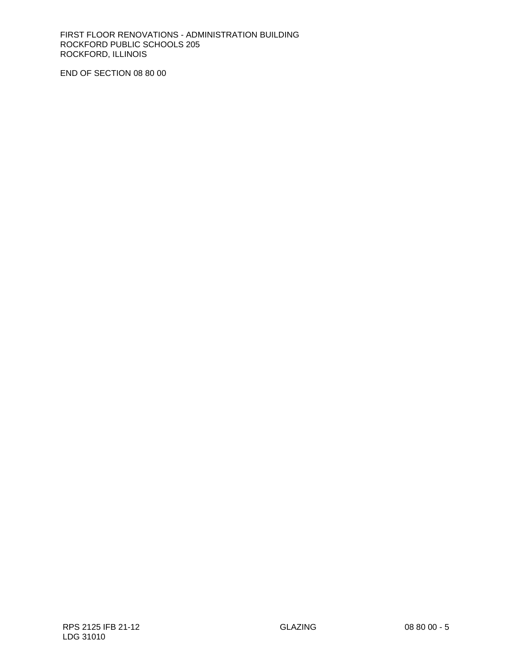FIRST FLOOR RENOVATIONS - ADMINISTRATION BUILDING ROCKFORD PUBLIC SCHOOLS 205 ROCKFORD, ILLINOIS

END OF SECTION 08 80 00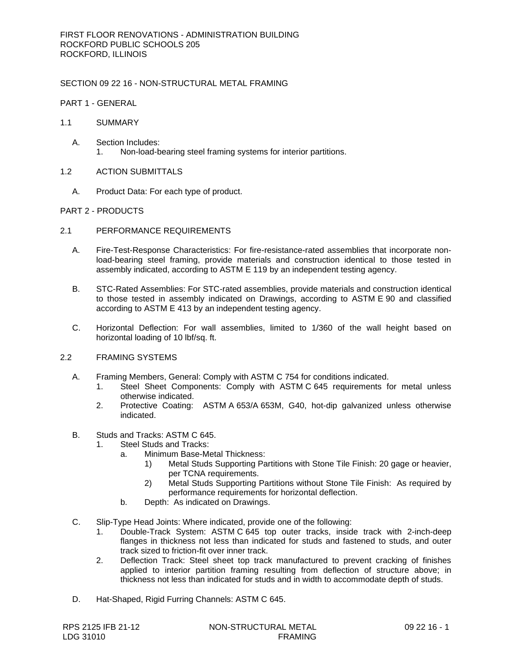# SECTION 09 22 16 - NON-STRUCTURAL METAL FRAMING

PART 1 - GENERAL

## 1.1 SUMMARY

- A. Section Includes: 1. Non-load-bearing steel framing systems for interior partitions.
- 1.2 ACTION SUBMITTALS
	- A. Product Data: For each type of product.

## PART 2 - PRODUCTS

- 2.1 PERFORMANCE REQUIREMENTS
	- A. Fire-Test-Response Characteristics: For fire-resistance-rated assemblies that incorporate nonload-bearing steel framing, provide materials and construction identical to those tested in assembly indicated, according to ASTM E 119 by an independent testing agency.
	- B. STC-Rated Assemblies: For STC-rated assemblies, provide materials and construction identical to those tested in assembly indicated on Drawings, according to ASTM E 90 and classified according to ASTM E 413 by an independent testing agency.
	- C. Horizontal Deflection: For wall assemblies, limited to 1/360 of the wall height based on horizontal loading of 10 lbf/sq. ft.

# 2.2 FRAMING SYSTEMS

- A. Framing Members, General: Comply with ASTM C 754 for conditions indicated.
	- 1. Steel Sheet Components: Comply with ASTM C 645 requirements for metal unless otherwise indicated.
	- 2. Protective Coating: ASTM A 653/A 653M, G40, hot-dip galvanized unless otherwise indicated.
- B. Studs and Tracks: ASTM C 645.
	- 1. Steel Studs and Tracks:
		- a. Minimum Base-Metal Thickness:
			- 1) Metal Studs Supporting Partitions with Stone Tile Finish: 20 gage or heavier, per TCNA requirements.
			- 2) Metal Studs Supporting Partitions without Stone Tile Finish: As required by performance requirements for horizontal deflection.
		- b. Depth: As indicated on Drawings.
- C. Slip-Type Head Joints: Where indicated, provide one of the following:
	- 1. Double-Track System: ASTM C 645 top outer tracks, inside track with 2-inch-deep flanges in thickness not less than indicated for studs and fastened to studs, and outer track sized to friction-fit over inner track.
	- 2. Deflection Track: Steel sheet top track manufactured to prevent cracking of finishes applied to interior partition framing resulting from deflection of structure above; in thickness not less than indicated for studs and in width to accommodate depth of studs.
- D. Hat-Shaped, Rigid Furring Channels: ASTM C 645.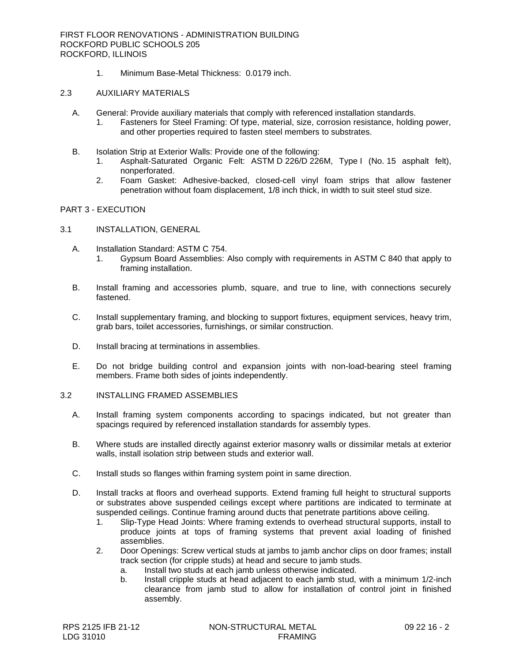1. Minimum Base-Metal Thickness: 0.0179 inch.

# 2.3 AUXILIARY MATERIALS

- A. General: Provide auxiliary materials that comply with referenced installation standards.
	- 1. Fasteners for Steel Framing: Of type, material, size, corrosion resistance, holding power, and other properties required to fasten steel members to substrates.
- B. Isolation Strip at Exterior Walls: Provide one of the following:
	- 1. Asphalt-Saturated Organic Felt: ASTM D 226/D 226M, Type I (No. 15 asphalt felt), nonperforated.
	- 2. Foam Gasket: Adhesive-backed, closed-cell vinyl foam strips that allow fastener penetration without foam displacement, 1/8 inch thick, in width to suit steel stud size.

# PART 3 - EXECUTION

- 3.1 INSTALLATION, GENERAL
	- A. Installation Standard: ASTM C 754.
		- 1. Gypsum Board Assemblies: Also comply with requirements in ASTM C 840 that apply to framing installation.
	- B. Install framing and accessories plumb, square, and true to line, with connections securely fastened.
	- C. Install supplementary framing, and blocking to support fixtures, equipment services, heavy trim, grab bars, toilet accessories, furnishings, or similar construction.
	- D. Install bracing at terminations in assemblies.
	- E. Do not bridge building control and expansion joints with non-load-bearing steel framing members. Frame both sides of joints independently.

# 3.2 INSTALLING FRAMED ASSEMBLIES

- A. Install framing system components according to spacings indicated, but not greater than spacings required by referenced installation standards for assembly types.
- B. Where studs are installed directly against exterior masonry walls or dissimilar metals at exterior walls, install isolation strip between studs and exterior wall.
- C. Install studs so flanges within framing system point in same direction.
- D. Install tracks at floors and overhead supports. Extend framing full height to structural supports or substrates above suspended ceilings except where partitions are indicated to terminate at suspended ceilings. Continue framing around ducts that penetrate partitions above ceiling.
	- 1. Slip-Type Head Joints: Where framing extends to overhead structural supports, install to produce joints at tops of framing systems that prevent axial loading of finished assemblies.
	- 2. Door Openings: Screw vertical studs at jambs to jamb anchor clips on door frames; install track section (for cripple studs) at head and secure to jamb studs.
		- a. Install two studs at each jamb unless otherwise indicated.
		- b. Install cripple studs at head adjacent to each jamb stud, with a minimum 1/2-inch clearance from jamb stud to allow for installation of control joint in finished assembly.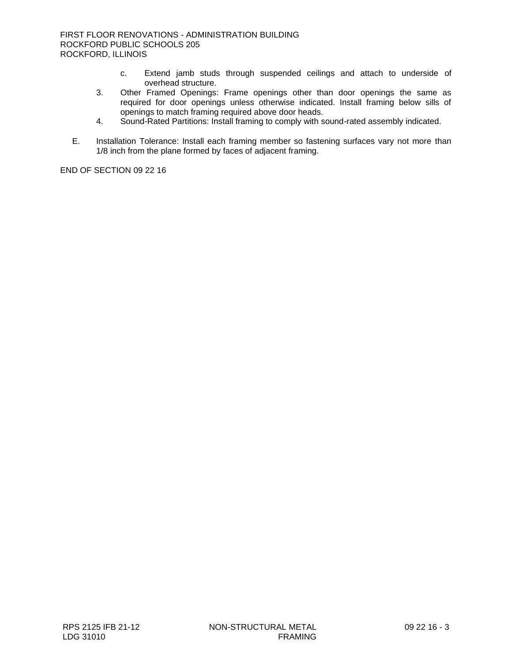- c. Extend jamb studs through suspended ceilings and attach to underside of overhead structure.
- 3. Other Framed Openings: Frame openings other than door openings the same as required for door openings unless otherwise indicated. Install framing below sills of openings to match framing required above door heads.
- 4. Sound-Rated Partitions: Install framing to comply with sound-rated assembly indicated.
- E. Installation Tolerance: Install each framing member so fastening surfaces vary not more than 1/8 inch from the plane formed by faces of adjacent framing.

END OF SECTION 09 22 16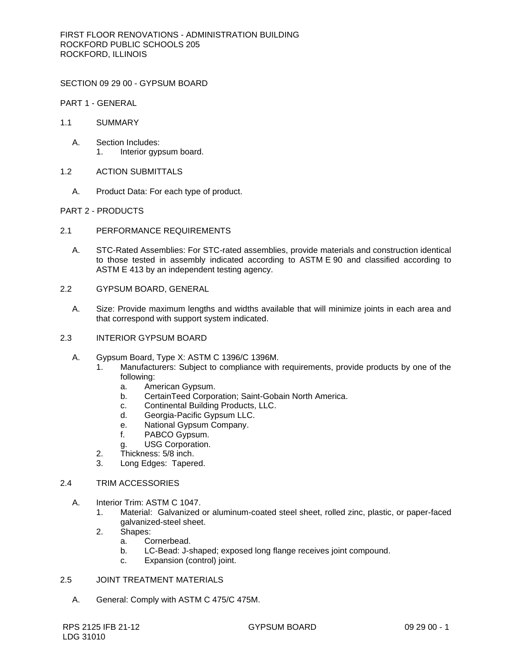SECTION 09 29 00 - GYPSUM BOARD

PART 1 - GENERAL

- 1.1 SUMMARY
	- A. Section Includes: 1. Interior gypsum board.
- 1.2 ACTION SUBMITTALS
	- A. Product Data: For each type of product.

## PART 2 - PRODUCTS

- 2.1 PERFORMANCE REQUIREMENTS
	- A. STC-Rated Assemblies: For STC-rated assemblies, provide materials and construction identical to those tested in assembly indicated according to ASTM E 90 and classified according to ASTM E 413 by an independent testing agency.
- 2.2 GYPSUM BOARD, GENERAL
	- A. Size: Provide maximum lengths and widths available that will minimize joints in each area and that correspond with support system indicated.
- 2.3 INTERIOR GYPSUM BOARD
	- A. Gypsum Board, Type X: ASTM C 1396/C 1396M.
		- 1. [Manufacturers:](http://www.specagent.com/Lookup?ulid=12043) Subject to compliance with requirements, provide products by one of the following:
			- a. [American Gypsum.](http://www.specagent.com/Lookup?uid=123457104191)
			- b. [CertainTeed Corporation; Saint-Gobain North America.](http://www.specagent.com/Lookup?uid=123457104192)
			- c. [Continental Building Products, LLC.](http://www.specagent.com/Lookup?uid=123457104199)
			- d. [Georgia-Pacific Gypsum LLC.](http://www.specagent.com/Lookup?uid=123457104194)
			- e. [National Gypsum](http://www.specagent.com/Lookup?uid=123457104195) Company.
			- f. [PABCO Gypsum.](http://www.specagent.com/Lookup?uid=123457104196)
			- g. [USG Corporation.](http://www.specagent.com/Lookup?uid=123457104198)
		- 2. Thickness: 5/8 inch.
		- 3. Long Edges: Tapered.

# 2.4 TRIM ACCESSORIES

- A. Interior Trim: ASTM C 1047.
	- 1. Material: Galvanized or aluminum-coated steel sheet, rolled zinc, plastic, or paper-faced galvanized-steel sheet.
	- 2. Shapes:
		- a. Cornerbead.
		- b. LC-Bead: J-shaped; exposed long flange receives joint compound.
		- c. Expansion (control) joint.

# 2.5 JOINT TREATMENT MATERIALS

A. General: Comply with ASTM C 475/C 475M.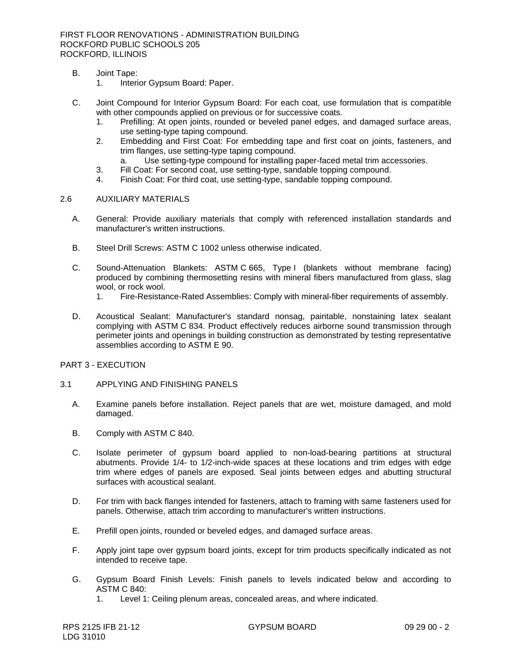FIRST FLOOR RENOVATIONS - ADMINISTRATION BUILDING ROCKFORD PUBLIC SCHOOLS 205 ROCKFORD, ILLINOIS

- B. Joint Tape:
	- 1. Interior Gypsum Board: Paper.
- C. Joint Compound for Interior Gypsum Board: For each coat, use formulation that is compatible with other compounds applied on previous or for successive coats.
	- 1. Prefilling: At open joints, rounded or beveled panel edges, and damaged surface areas, use setting-type taping compound.
	- 2. Embedding and First Coat: For embedding tape and first coat on joints, fasteners, and trim flanges, use setting-type taping compound.
		- a. Use setting-type compound for installing paper-faced metal trim accessories.
	- 3. Fill Coat: For second coat, use setting-type, sandable topping compound.
	- 4. Finish Coat: For third coat, use setting-type, sandable topping compound.

### 2.6 AUXILIARY MATERIALS

- A. General: Provide auxiliary materials that comply with referenced installation standards and manufacturer's written instructions.
- B. Steel Drill Screws: ASTM C 1002 unless otherwise indicated.
- C. Sound-Attenuation Blankets: ASTM C 665, Type I (blankets without membrane facing) produced by combining thermosetting resins with mineral fibers manufactured from glass, slag wool, or rock wool.
	- 1. Fire-Resistance-Rated Assemblies: Comply with mineral-fiber requirements of assembly.
- D. Acoustical Sealant: Manufacturer's standard nonsag, paintable, nonstaining latex sealant complying with ASTM C 834. Product effectively reduces airborne sound transmission through perimeter joints and openings in building construction as demonstrated by testing representative assemblies according to ASTM E 90.
- PART 3 EXECUTION
- 3.1 APPLYING AND FINISHING PANELS
	- A. Examine panels before installation. Reject panels that are wet, moisture damaged, and mold damaged.
	- B. Comply with ASTM C 840.
	- C. Isolate perimeter of gypsum board applied to non-load-bearing partitions at structural abutments. Provide 1/4- to 1/2-inch-wide spaces at these locations and trim edges with edge trim where edges of panels are exposed. Seal joints between edges and abutting structural surfaces with acoustical sealant.
	- D. For trim with back flanges intended for fasteners, attach to framing with same fasteners used for panels. Otherwise, attach trim according to manufacturer's written instructions.
	- E. Prefill open joints, rounded or beveled edges, and damaged surface areas.
	- F. Apply joint tape over gypsum board joints, except for trim products specifically indicated as not intended to receive tape.
	- G. Gypsum Board Finish Levels: Finish panels to levels indicated below and according to ASTM C 840:
		- 1. Level 1: Ceiling plenum areas, concealed areas, and where indicated.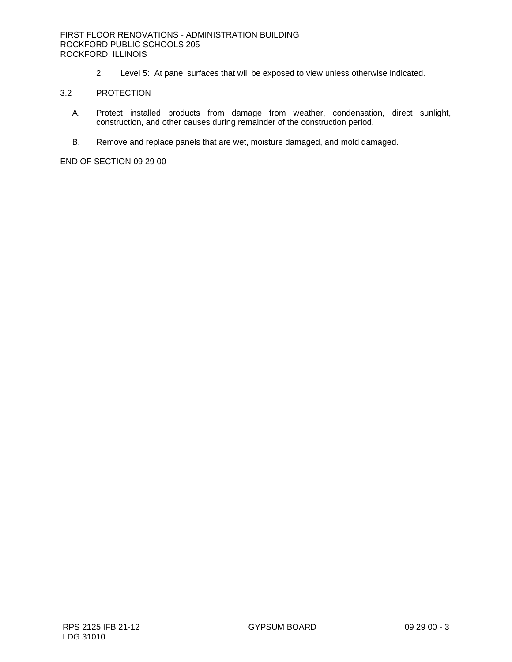### FIRST FLOOR RENOVATIONS - ADMINISTRATION BUILDING ROCKFORD PUBLIC SCHOOLS 205 ROCKFORD, ILLINOIS

2. Level 5: At panel surfaces that will be exposed to view unless otherwise indicated.

#### 3.2 PROTECTION

- A. Protect installed products from damage from weather, condensation, direct sunlight, construction, and other causes during remainder of the construction period.
- B. Remove and replace panels that are wet, moisture damaged, and mold damaged.

END OF SECTION 09 29 00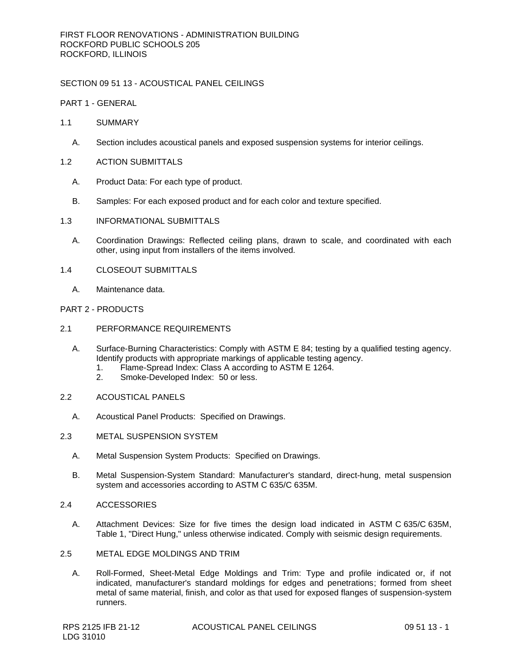## SECTION 09 51 13 - ACOUSTICAL PANEL CEILINGS

PART 1 - GENERAL

- 1.1 SUMMARY
	- A. Section includes acoustical panels and exposed suspension systems for interior ceilings.
- 1.2 ACTION SUBMITTALS
	- A. Product Data: For each type of product.
	- B. Samples: For each exposed product and for each color and texture specified.
- 1.3 INFORMATIONAL SUBMITTALS
	- A. Coordination Drawings: Reflected ceiling plans, drawn to scale, and coordinated with each other, using input from installers of the items involved.
- 1.4 CLOSEOUT SUBMITTALS
	- A. Maintenance data.

### PART 2 - PRODUCTS

- 2.1 PERFORMANCE REQUIREMENTS
	- A. Surface-Burning Characteristics: Comply with ASTM E 84; testing by a qualified testing agency. Identify products with appropriate markings of applicable testing agency.
		- 1. Flame-Spread Index: Class A according to ASTM E 1264.<br>2. Smoke-Developed Index: 50 or less.
		- Smoke-Developed Index: 50 or less.
- 2.2 ACOUSTICAL PANELS
	- A. Acoustical Panel Products: Specified on Drawings.
- 2.3 METAL SUSPENSION SYSTEM
	- A. Metal Suspension System Products: Specified on Drawings.
	- B. Metal Suspension-System Standard: Manufacturer's standard, direct-hung, metal suspension system and accessories according to ASTM C 635/C 635M.
- 2.4 ACCESSORIES
	- A. Attachment Devices: Size for five times the design load indicated in ASTM C 635/C 635M, Table 1, "Direct Hung," unless otherwise indicated. Comply with seismic design requirements.
- 2.5 METAL EDGE MOLDINGS AND TRIM
	- A. Roll-Formed, Sheet-Metal Edge Moldings and Trim: Type and profile indicated or, if not indicated, manufacturer's standard moldings for edges and penetrations; formed from sheet metal of same material, finish, and color as that used for exposed flanges of suspension-system runners.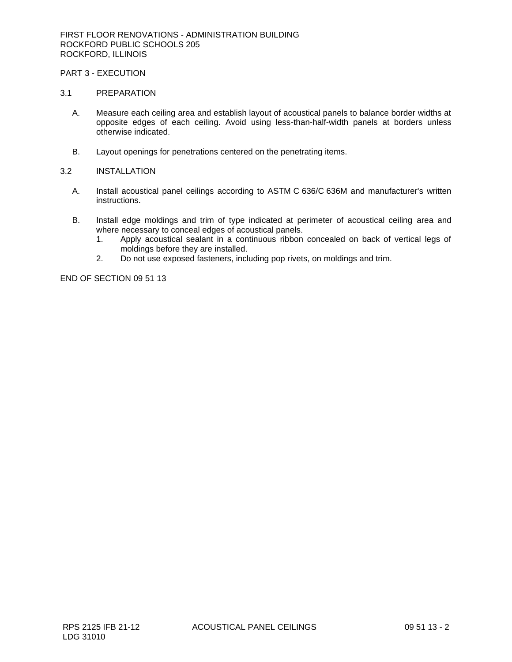# PART 3 - EXECUTION

#### 3.1 PREPARATION

- A. Measure each ceiling area and establish layout of acoustical panels to balance border widths at opposite edges of each ceiling. Avoid using less-than-half-width panels at borders unless otherwise indicated.
- B. Layout openings for penetrations centered on the penetrating items.

#### 3.2 INSTALLATION

- A. Install acoustical panel ceilings according to ASTM C 636/C 636M and manufacturer's written instructions.
- B. Install edge moldings and trim of type indicated at perimeter of acoustical ceiling area and where necessary to conceal edges of acoustical panels.
	- 1. Apply acoustical sealant in a continuous ribbon concealed on back of vertical legs of moldings before they are installed.
	- 2. Do not use exposed fasteners, including pop rivets, on moldings and trim.

END OF SECTION 09 51 13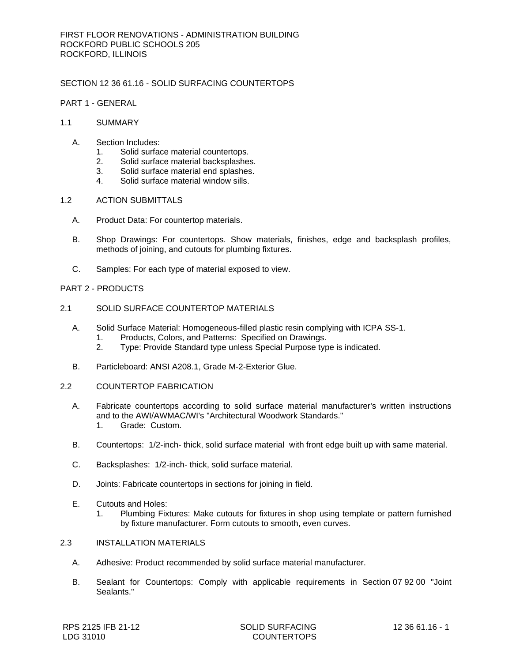## SECTION 12 36 61.16 - SOLID SURFACING COUNTERTOPS

### PART 1 - GENERAL

- 1.1 SUMMARY
	- A. Section Includes:
		- 1. Solid surface material countertops.
		- 2. Solid surface material backsplashes.
		- 3. Solid surface material end splashes.
		- 4. Solid surface material window sills.
- 1.2 ACTION SUBMITTALS
	- A. Product Data: For countertop materials.
	- B. Shop Drawings: For countertops. Show materials, finishes, edge and backsplash profiles, methods of joining, and cutouts for plumbing fixtures.
	- C. Samples: For each type of material exposed to view.

## PART 2 - PRODUCTS

- 2.1 SOLID SURFACE COUNTERTOP MATERIALS
	- A. Solid Surface Material: Homogeneous-filled plastic resin complying with ICPA SS-1.
		- 1. Products, Colors, and Patterns: Specified on Drawings.
		- 2. Type: Provide Standard type unless Special Purpose type is indicated.
	- B. Particleboard: ANSI A208.1, Grade M-2-Exterior Glue.
- 2.2 COUNTERTOP FABRICATION
	- A. Fabricate countertops according to solid surface material manufacturer's written instructions and to the AWI/AWMAC/WI's "Architectural Woodwork Standards." 1. Grade: Custom.
	- B. Countertops: 1/2-inch- thick, solid surface material with front edge built up with same material.
	- C. Backsplashes: 1/2-inch- thick, solid surface material.
	- D. Joints: Fabricate countertops in sections for joining in field.
	- E. Cutouts and Holes:
		- 1. Plumbing Fixtures: Make cutouts for fixtures in shop using template or pattern furnished by fixture manufacturer. Form cutouts to smooth, even curves.
- 2.3 INSTALLATION MATERIALS
	- A. Adhesive: Product recommended by solid surface material manufacturer.
	- B. Sealant for Countertops: Comply with applicable requirements in Section 07 92 00 "Joint Sealants."